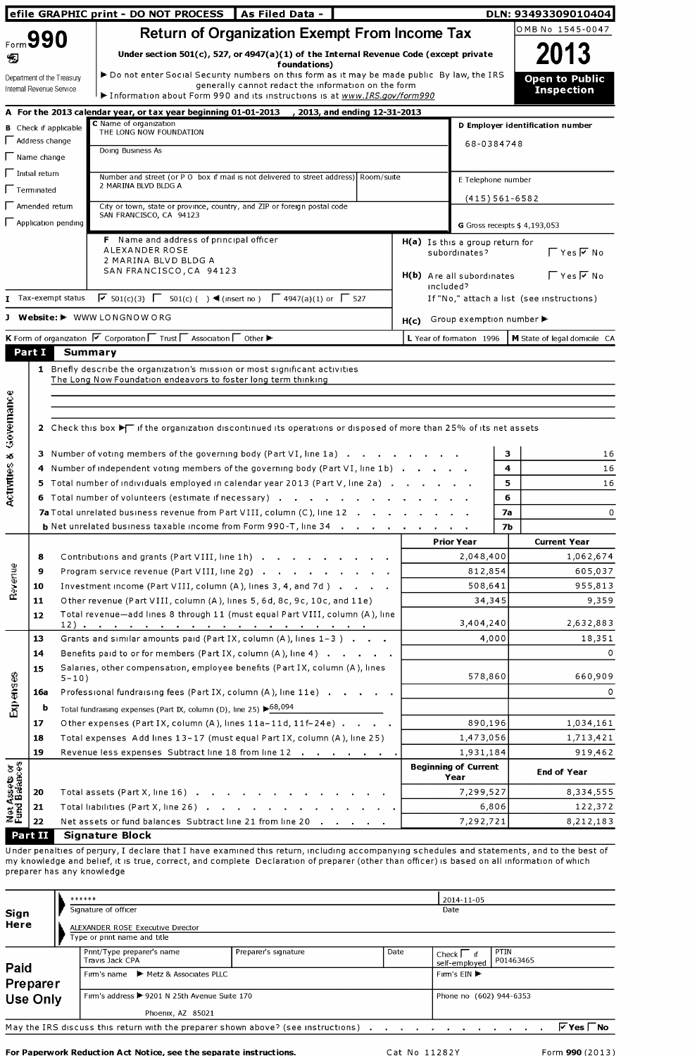| efile GRAPHIC print - DO NOT PROCESS                     |                         |                                                        |                                                                                                                                                                                                                                                                                                               |      |           |                                                  |            |                               |                                            |
|----------------------------------------------------------|-------------------------|--------------------------------------------------------|---------------------------------------------------------------------------------------------------------------------------------------------------------------------------------------------------------------------------------------------------------------------------------------------------------------|------|-----------|--------------------------------------------------|------------|-------------------------------|--------------------------------------------|
|                                                          | Form 990                |                                                        | <b>Return of Organization Exempt From Income Tax</b>                                                                                                                                                                                                                                                          |      |           |                                                  |            |                               | OMB No 1545-0047                           |
|                                                          |                         |                                                        | Under section $501(c)$ , 527, or 4947(a)(1) of the Internal Revenue Code (except private                                                                                                                                                                                                                      |      |           |                                                  |            |                               | 2013                                       |
| D                                                        |                         |                                                        | foundations)<br>► Do not enter Social Security numbers on this form as it may be made public By law, the IRS                                                                                                                                                                                                  |      |           |                                                  |            |                               |                                            |
|                                                          |                         | Department of the Treasury<br>Internal Revenue Service | generally cannot redact the information on the form                                                                                                                                                                                                                                                           |      |           |                                                  |            |                               | <b>Open to Public</b><br><b>Inspection</b> |
|                                                          |                         |                                                        | Information about Form 990 and its instructions is at www.IRS.gov/form990                                                                                                                                                                                                                                     |      |           |                                                  |            |                               |                                            |
|                                                          |                         |                                                        | A For the 2013 calendar year, or tax year beginning 01-01-2013 , 2013, and ending 12-31-2013<br>C Name of organization                                                                                                                                                                                        |      |           |                                                  |            |                               | D Employer identification number           |
|                                                          | $\Box$ Address change   | <b>B</b> Check if applicable                           | THE LONG NOW FOUNDATION                                                                                                                                                                                                                                                                                       |      |           |                                                  |            |                               |                                            |
|                                                          | $\Gamma$ Name change    |                                                        | Doing Business As                                                                                                                                                                                                                                                                                             |      |           |                                                  | 68-0384748 |                               |                                            |
|                                                          | $\Gamma$ Initial return |                                                        |                                                                                                                                                                                                                                                                                                               |      |           |                                                  |            |                               |                                            |
|                                                          | $\Gamma$ Terminated     |                                                        | Number and street (or P O box if mail is not delivered to street address) Room/suite<br>2 MARINA BLVD BLDG A                                                                                                                                                                                                  |      |           | E Telephone number                               |            |                               |                                            |
|                                                          | $\Box$ Amended return   |                                                        | City or town, state or province, country, and ZIP or foreign postal code                                                                                                                                                                                                                                      |      |           |                                                  |            | $(415)561-6582$               |                                            |
|                                                          |                         | $\Box$ Application pending                             | SAN FRANCISCO, CA 94123                                                                                                                                                                                                                                                                                       |      |           |                                                  |            |                               |                                            |
|                                                          |                         |                                                        | F Name and address of principal officer                                                                                                                                                                                                                                                                       |      |           |                                                  |            | G Gross receipts $$4,193,053$ |                                            |
|                                                          |                         |                                                        | ALEXANDER ROSE                                                                                                                                                                                                                                                                                                |      |           | H(a) Is this a group return for<br>subordinates? |            |                               | $\Gamma$ Yes $\overline{V}$ No             |
|                                                          |                         |                                                        | 2 MARINA BLVD BLDG A<br>SAN FRANCISCO, CA 94123                                                                                                                                                                                                                                                               |      |           |                                                  |            |                               |                                            |
|                                                          |                         |                                                        |                                                                                                                                                                                                                                                                                                               |      | included? | H(b) Are all subordinates                        |            |                               | $\Gamma$ Yes $\overline{V}$ No             |
|                                                          |                         | $\blacksquare$ Tax-exempt status                       | $\sqrt{6}$ 501(c)(3) $\sqrt{6}$ 501(c)( ) ◀ (insert no) $\sqrt{6}$ 4947(a)(1) or $\sqrt{6}$ 527                                                                                                                                                                                                               |      |           |                                                  |            |                               | If "No," attach a list (see instructions)  |
|                                                          |                         |                                                        | J Website: I WWW LONGNOW ORG                                                                                                                                                                                                                                                                                  | H(c) |           | Group exemption number ▶                         |            |                               |                                            |
|                                                          |                         |                                                        | K Form of organization $\nabla$ Corporation $\nabla$ Trust $\nabla$ Association $\nabla$ Other $\nabla$                                                                                                                                                                                                       |      |           | L Year of formation 1996                         |            |                               | M State of legal domicile CA               |
|                                                          | Part I                  | <b>Summary</b>                                         |                                                                                                                                                                                                                                                                                                               |      |           |                                                  |            |                               |                                            |
|                                                          |                         |                                                        | The Long Now Foundation endeavors to foster long term thinking                                                                                                                                                                                                                                                |      |           |                                                  |            |                               |                                            |
|                                                          |                         |                                                        |                                                                                                                                                                                                                                                                                                               |      |           |                                                  |            |                               |                                            |
|                                                          |                         |                                                        |                                                                                                                                                                                                                                                                                                               |      |           |                                                  |            |                               |                                            |
|                                                          |                         |                                                        |                                                                                                                                                                                                                                                                                                               |      |           |                                                  |            |                               |                                            |
|                                                          |                         |                                                        | 2 Check this box $\blacktriangleright$ if the organization discontinued its operations or disposed of more than 25% of its net assets                                                                                                                                                                         |      |           |                                                  |            |                               |                                            |
|                                                          |                         |                                                        |                                                                                                                                                                                                                                                                                                               |      |           |                                                  |            |                               |                                            |
|                                                          |                         |                                                        | 3 Number of voting members of the governing body (Part VI, line 1a)                                                                                                                                                                                                                                           |      |           |                                                  | з          |                               | 16                                         |
|                                                          |                         |                                                        | 4 Number of independent voting members of the governing body (Part VI, line 1b)                                                                                                                                                                                                                               |      |           |                                                  | 4<br>5     |                               | 16<br>16                                   |
|                                                          |                         |                                                        | 5 Total number of individuals employed in calendar year 2013 (Part V, line 2a)<br>6 Total number of volunteers (estimate if necessary)                                                                                                                                                                        |      |           |                                                  | 6          |                               |                                            |
|                                                          |                         |                                                        | 7a Total unrelated business revenue from Part VIII, column (C), line 12                                                                                                                                                                                                                                       |      |           |                                                  | 7a         |                               |                                            |
|                                                          |                         |                                                        | <b>b</b> Net unrelated business taxable income from Form 990-T, line 34                                                                                                                                                                                                                                       |      |           |                                                  | <b>7b</b>  |                               |                                            |
|                                                          |                         |                                                        |                                                                                                                                                                                                                                                                                                               |      |           | <b>Prior Year</b>                                |            |                               | <b>Current Year</b>                        |
|                                                          | 8                       |                                                        | Contributions and grants (Part VIII, line 1h)                                                                                                                                                                                                                                                                 |      |           | 2,048,400                                        |            |                               | 1,062,674                                  |
|                                                          | 9                       |                                                        | Program service revenue (Part VIII, line 2g)                                                                                                                                                                                                                                                                  |      |           | 812,854                                          |            |                               | 605,037                                    |
| <b>Revenue</b>                                           | 10                      |                                                        | Investment income (Part VIII, column (A), lines 3, 4, and 7d)                                                                                                                                                                                                                                                 |      |           | 508,641                                          |            |                               | 955,813                                    |
|                                                          | 11                      |                                                        | Other revenue (Part VIII, column (A), lines 5, 6d, 8c, 9c, 10c, and 11e)                                                                                                                                                                                                                                      |      |           |                                                  | 34,345     |                               | 9,359                                      |
|                                                          | 12                      | 12) .                                                  | Total revenue-add lines 8 through 11 (must equal Part VIII, column (A), line<br>. The contract of the contract of the contract of the contract of the contract of the contract of the contract of the contract of the contract of the contract of the contract of the contract of the contract of the contrac |      |           | 3,404,240                                        |            |                               | 2,632,883                                  |
|                                                          | 13                      |                                                        | Grants and similar amounts paid (Part IX, column (A), lines 1-3)                                                                                                                                                                                                                                              |      |           |                                                  | 4,000      |                               | 18,351                                     |
|                                                          | 14                      |                                                        | Benefits paid to or for members (Part IX, column $(A)$ , line $A$ ) $\cdots$ $\cdots$                                                                                                                                                                                                                         |      |           |                                                  |            |                               |                                            |
|                                                          | 15                      |                                                        | Salaries, other compensation, employee benefits (Part IX, column (A), lines                                                                                                                                                                                                                                   |      |           | 578,860                                          |            |                               | 660,909                                    |
|                                                          | 16a                     | $5 - 10$ )                                             | Professional fundraising fees (Part IX, column (A), line 11e)                                                                                                                                                                                                                                                 |      |           |                                                  |            |                               |                                            |
|                                                          | b                       |                                                        | Total fundraising expenses (Part IX, column (D), line 25) $\blacktriangleright^{68,094}$                                                                                                                                                                                                                      |      |           |                                                  |            |                               |                                            |
| Expenses                                                 | 17                      |                                                        | Other expenses (Part IX, column (A), lines 11a-11d, 11f-24e)                                                                                                                                                                                                                                                  |      |           | 890,196                                          |            |                               | 1,034,161                                  |
|                                                          | 18                      |                                                        | Total expenses Add lines 13-17 (must equal Part IX, column (A), line 25)                                                                                                                                                                                                                                      |      |           | 1,473,056                                        |            |                               | 1,713,421                                  |
|                                                          | 19                      |                                                        | Revenue less expenses Subtract line 18 from line 12                                                                                                                                                                                                                                                           |      |           | 1,931,184                                        |            |                               | 919,462                                    |
|                                                          |                         |                                                        |                                                                                                                                                                                                                                                                                                               |      |           | <b>Beginning of Current</b>                      |            |                               | <b>End of Year</b>                         |
|                                                          |                         |                                                        |                                                                                                                                                                                                                                                                                                               |      |           | Year                                             |            |                               |                                            |
| Governance<br>$\mathbf{x}^{\prime}$<br>- 17<br>Activitie | 20<br>21                |                                                        | Total assets (Part X, line 16)<br>Total liabilities (Part X, line 26)                                                                                                                                                                                                                                         |      |           | 7,299,527                                        | 6,806      |                               | 8,334,555                                  |
| <b>Net Assets or</b><br>Fund Balances                    | 22                      |                                                        | Net assets or fund balances Subtract line 21 from line 20                                                                                                                                                                                                                                                     |      |           | 7,292,721                                        |            |                               | 122,372<br>8,212,183                       |

Under penalties of perjury, I declare that I have examined this return, including accompanying schedules and statements, and to the best of my knowledge and belief, it is true, correct, and complete Declaration of preparer (other than officer) is based on all information of which preparer has any knowledge

| Sign<br>Here                                                                                                                                                                                                       |  |  | ******<br>Signature of officer<br>ALEXANDER ROSE Executive Director<br>Type or print name and title |                         |      | 2014-11-05<br>Date          |                   |  |  |  |
|--------------------------------------------------------------------------------------------------------------------------------------------------------------------------------------------------------------------|--|--|-----------------------------------------------------------------------------------------------------|-------------------------|------|-----------------------------|-------------------|--|--|--|
|                                                                                                                                                                                                                    |  |  | Print/Type preparer's name<br>Travis Jack CPA                                                       | Preparer's signature    | Date | Check I if<br>self-employed | PTIN<br>P01463465 |  |  |  |
| Paid<br>Preparer                                                                                                                                                                                                   |  |  | Firm's name $\blacktriangleright$ Metz & Associates PLLC                                            | Firm s $EIN$            |      |                             |                   |  |  |  |
| <b>Use Only</b>                                                                                                                                                                                                    |  |  | Firm's address > 9201 N 25th Avenue Suite 170                                                       | Phone no (602) 944-6353 |      |                             |                   |  |  |  |
|                                                                                                                                                                                                                    |  |  | Phoenix, AZ 85021                                                                                   |                         |      |                             |                   |  |  |  |
| $\triangledown$ Yes $\square$ No<br>May the IRS discuss this return with the preparer shown above? (see instructions). The return of the IRS discuss this return with the preparer shown above? (see instructions) |  |  |                                                                                                     |                         |      |                             |                   |  |  |  |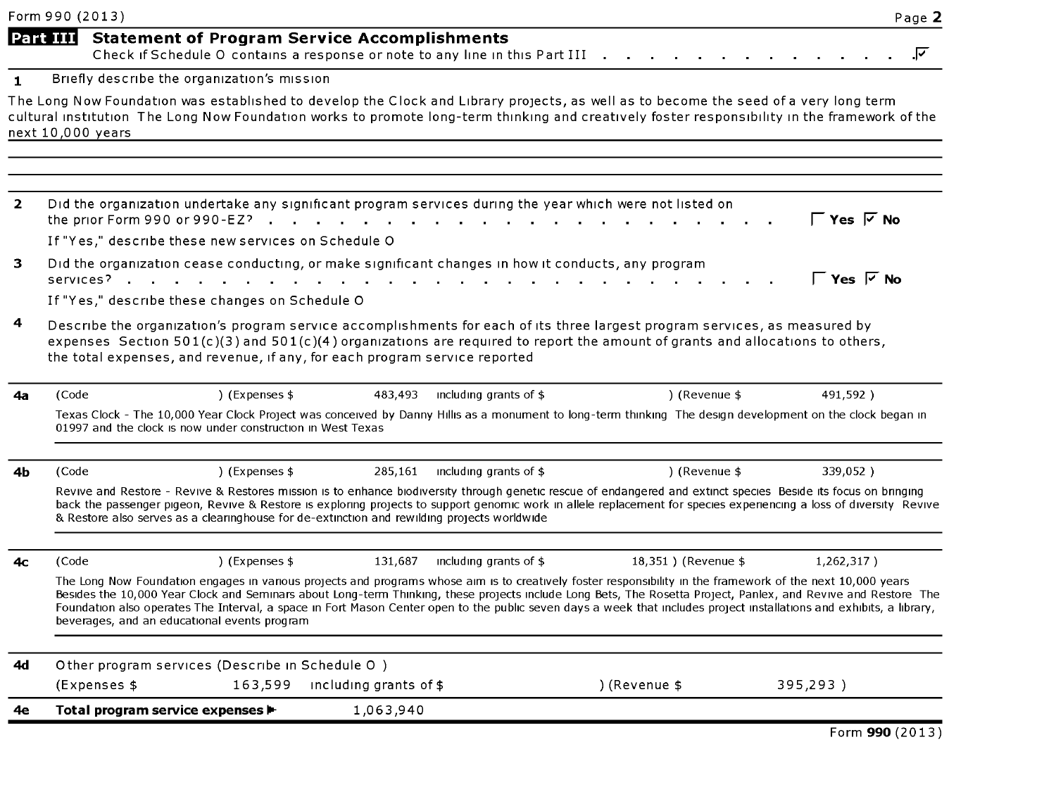|                | Form 990 (2013)   |                                                                                                          |                |                                                                            |                                                                                             |                                                                                                                                                                                                                                                             | Page 2                                                                                                                                                                                                                                                                                                                                  |
|----------------|-------------------|----------------------------------------------------------------------------------------------------------|----------------|----------------------------------------------------------------------------|---------------------------------------------------------------------------------------------|-------------------------------------------------------------------------------------------------------------------------------------------------------------------------------------------------------------------------------------------------------------|-----------------------------------------------------------------------------------------------------------------------------------------------------------------------------------------------------------------------------------------------------------------------------------------------------------------------------------------|
|                | <b>Part III</b>   |                                                                                                          |                | <b>Statement of Program Service Accomplishments</b>                        | Check if Schedule O contains a response or note to any line in this Part III                |                                                                                                                                                                                                                                                             | ⊽                                                                                                                                                                                                                                                                                                                                       |
| $\blacksquare$ |                   | Briefly describe the organization's mission                                                              |                |                                                                            |                                                                                             |                                                                                                                                                                                                                                                             |                                                                                                                                                                                                                                                                                                                                         |
|                | next 10,000 years |                                                                                                          |                |                                                                            |                                                                                             | The Long Now Foundation was established to develop the Clock and Library projects, as well as to become the seed of a very long term                                                                                                                        | cultural institution The Long Now Foundation works to promote long-term thinking and creatively foster responsibility in the framework of the                                                                                                                                                                                           |
| $\overline{2}$ |                   | the prior Form 990 or 990-EZ? $\cdot$ , , , , , ,<br>If "Yes," describe these new services on Schedule O |                |                                                                            |                                                                                             | Did the organization undertake any significant program services during the year which were not listed on                                                                                                                                                    | ΓYes ⊽ No                                                                                                                                                                                                                                                                                                                               |
| 3              |                   | services?<br>If "Yes," describe these changes on Schedule O                                              |                | $\sim 100$                                                                 |                                                                                             | Did the organization cease conducting, or make significant changes in how it conducts, any program                                                                                                                                                          | ΓYes ⊽ No                                                                                                                                                                                                                                                                                                                               |
| 4              |                   |                                                                                                          |                | the total expenses, and revenue, if any, for each program service reported |                                                                                             | Describe the organization's program service accomplishments for each of its three largest program services, as measured by<br>expenses Section 501(c)(3) and 501(c)(4) organizations are required to report the amount of grants and allocations to others, |                                                                                                                                                                                                                                                                                                                                         |
| 4а             | (Code             |                                                                                                          | ) (Expenses \$ | 483,493                                                                    | including grants of $$$                                                                     | ) (Revenue \$                                                                                                                                                                                                                                               | 491,592)                                                                                                                                                                                                                                                                                                                                |
|                |                   | 01997 and the clock is now under construction in West Texas                                              |                |                                                                            |                                                                                             | Texas Clock - The 10,000 Year Clock Project was conceived by Danny Hillis as a monument to long-term thinking The design development on the clock began in                                                                                                  |                                                                                                                                                                                                                                                                                                                                         |
| 4b             | (Code             |                                                                                                          | ) (Expenses \$ | 285,161                                                                    | including grants of \$                                                                      | ) (Revenue \$                                                                                                                                                                                                                                               | 339,052)                                                                                                                                                                                                                                                                                                                                |
|                |                   |                                                                                                          |                |                                                                            | & Restore also serves as a clearinghouse for de-extinction and rewilding projects worldwide | Revive and Restore - Revive & Restores mission is to enhance biodiversity through genetic rescue of endangered and extinct species Beside its focus on bringing                                                                                             | back the passenger pigeon, Revive & Restore is exploring projects to support genomic work in allele replacement for species experiencing a loss of diversity Revive                                                                                                                                                                     |
| 4с             | (Code             |                                                                                                          | ) (Expenses \$ | 131.687                                                                    | including grants of $$$                                                                     | 18.351) (Revenue \$                                                                                                                                                                                                                                         | 1,262,317)                                                                                                                                                                                                                                                                                                                              |
|                |                   | beverages, and an educational events program                                                             |                |                                                                            |                                                                                             | The Long Now Foundation engages in various projects and programs whose aim is to creatively foster responsibility in the framework of the next 10,000 years                                                                                                 | Besides the 10,000 Year Clock and Seminars about Long-term Thinking, these projects include Long Bets, The Rosetta Project, Panlex, and Revive and Restore The<br>Foundation also operates The Interval, a space in Fort Mason Center open to the public seven days a week that includes project installations and exhibits, a library, |
| 4d             |                   | Other program services (Describe in Schedule O)<br>(Expenses \$                                          |                | 163,599 including grants of \$                                             |                                                                                             | ) (Revenue \$                                                                                                                                                                                                                                               | 395,293)                                                                                                                                                                                                                                                                                                                                |
|                |                   |                                                                                                          |                |                                                                            |                                                                                             |                                                                                                                                                                                                                                                             |                                                                                                                                                                                                                                                                                                                                         |
| 4е             |                   | Total program service expenses $\blacktriangleright$                                                     |                | 1,063,940                                                                  |                                                                                             |                                                                                                                                                                                                                                                             |                                                                                                                                                                                                                                                                                                                                         |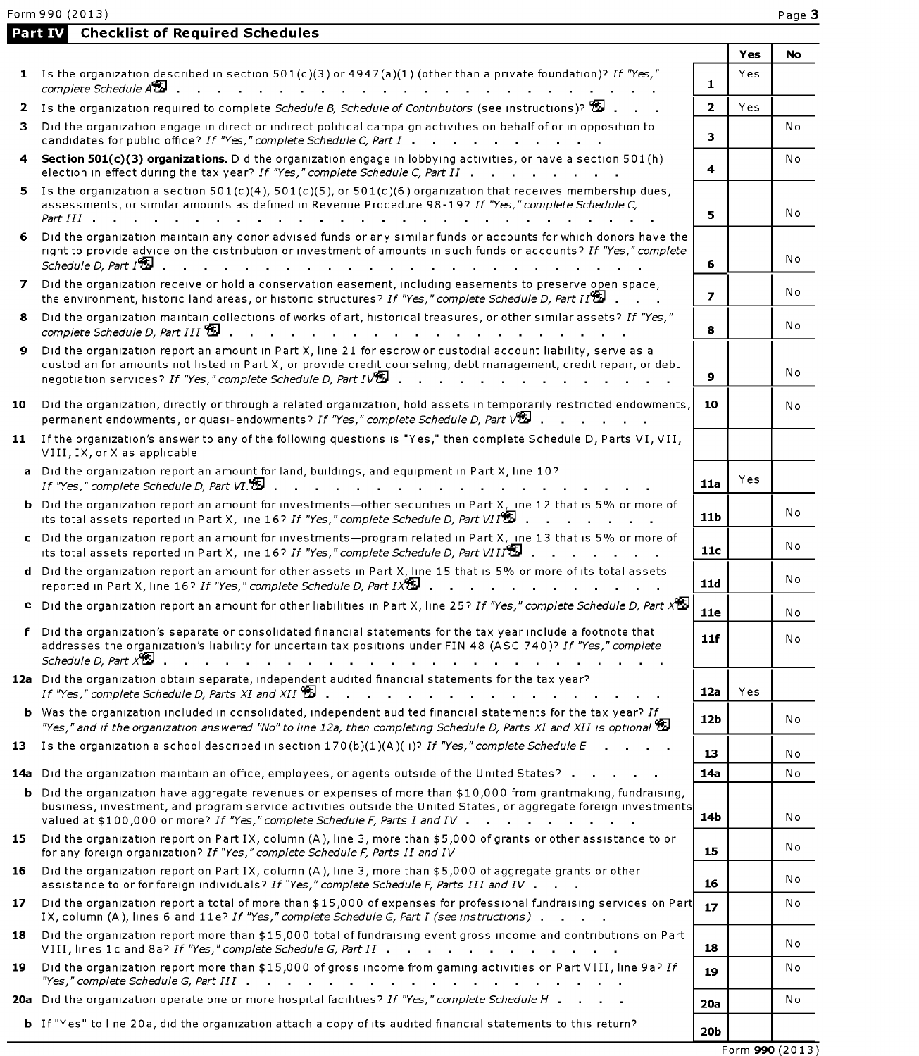Part IV Checklist of Required Schedules

|              |                                                                                                                                                                                                                                                                                                                          |                 | Yes | No             |
|--------------|--------------------------------------------------------------------------------------------------------------------------------------------------------------------------------------------------------------------------------------------------------------------------------------------------------------------------|-----------------|-----|----------------|
|              | 1 Is the organization described in section $501(c)(3)$ or $4947(a)(1)$ (other than a private foundation)? If "Yes,"<br>complete Schedule A <sup>8</sup> 2<br>the contract of the contract of the contract of the contract of the contract of                                                                             | $\mathbf{1}$    | Yes |                |
| 2            | Is the organization required to complete Schedule B, Schedule of Contributors (see instructions)? $\mathbb{Z}$ .                                                                                                                                                                                                         | $\overline{2}$  | Yes |                |
| з.           | Did the organization engage in direct or indirect political campaign activities on behalf of or in opposition to<br>candidates for public office? If "Yes," complete Schedule C, Part I                                                                                                                                  | 3               |     | N <sub>o</sub> |
| 4            | Section 501(c)(3) organizations. Did the organization engage in lobbying activities, or have a section 501(h)<br>election in effect during the tax year? If "Yes," complete Schedule C, Part II                                                                                                                          | 4               |     | N o            |
| 5.           | Is the organization a section $501(c)(4)$ , $501(c)(5)$ , or $501(c)(6)$ organization that receives membership dues,<br>assessments, or similar amounts as defined in Revenue Procedure 98-19? If "Yes," complete Schedule C,<br>Part III                                                                                | 5               |     | No             |
| 6.           | Did the organization maintain any donor advised funds or any similar funds or accounts for which donors have the<br>right to provide advice on the distribution or investment of amounts in such funds or accounts? If "Yes," complete<br>Schedule D, Part I <sup>9</sup>                                                | 6               |     | Νo             |
| $\mathbf{z}$ | Did the organization receive or hold a conservation easement, including easements to preserve open space,<br>the environment, historic land areas, or historic structures? If "Yes," complete Schedule D, Part II $\mathbb{S}^1$ .                                                                                       | $\overline{ }$  |     | No             |
| 8            | Did the organization maintain collections of works of art, historical treasures, or other similar assets? If "Yes,"                                                                                                                                                                                                      | 8               |     | No             |
| 9            | Did the organization report an amount in Part X, line 21 for escrow or custodial account liability, serve as a<br>custodian for amounts not listed in Part X, or provide credit counseling, debt management, credit repair, or debt<br>negotiation services? If "Yes," complete Schedule D, Part IV                      | 9               |     | No             |
| 10           | Did the organization, directly or through a related organization, hold assets in temporarily restricted endowments,<br>permanent endowments, or quasi-endowments? If "Yes," complete Schedule D, Part VED.                                                                                                               | 10              |     | N o            |
|              | 11 If the organization's answer to any of the following questions is "Yes," then complete Schedule D, Parts VI, VII,<br>VIII, IX, or X as applicable                                                                                                                                                                     |                 |     |                |
|              | a Did the organization report an amount for land, buildings, and equipment in Part X, line 10?<br>If "Yes," complete Schedule D, Part VI.<br>and the state of the state of the state of                                                                                                                                  | 11a             | Yes |                |
|              | <b>b</b> Did the organization report an amount for investments-other securities in Part X, line 12 that is 5% or more of<br>its total assets reported in Part X, line 16? If "Yes," complete Schedule D, Part VII <sup>9</sup>                                                                                           | 11 <sub>b</sub> |     | No             |
|              | c Did the organization report an amount for investments-program related in Part X, line 13 that is 5% or more of<br>its total assets reported in Part X, line 16? If "Yes," complete Schedule D, Part VIII $\mathbb{Z}$ .                                                                                                | 11c             |     | No             |
|              | d Did the organization report an amount for other assets in Part X, line 15 that is 5% or more of its total assets<br>reported in Part X, line 16? If "Yes," complete Schedule D, Part IX                                                                                                                                | 11d             |     | No             |
|              | <b>e</b> Did the organization report an amount for other liabilities in Part X, line 25? If "Yes," complete Schedule D, Part X <sup>95</sup>                                                                                                                                                                             | <b>11e</b>      |     | No             |
|              | f Did the organization's separate or consolidated financial statements for the tax year include a footnote that<br>addresses the organization's liability for uncertain tax positions under FIN 48 (ASC 740)? If "Yes," complete                                                                                         | 11f             |     | No             |
|              | 12a Did the organization obtain separate, independent audited financial statements for the tax year?                                                                                                                                                                                                                     | 12a             | Yes |                |
|              | <b>b</b> Was the organization included in consolidated, independent audited financial statements for the tax year? If<br>"Yes," and if the organization answered "No" to line 12a, then completing Schedule D, Parts XI and XII is optional $\mathbb{S}^1$                                                               | 12b             |     | No             |
| 13.          | Is the organization a school described in section $170(b)(1)(A)(ii)^2$ If "Yes," complete Schedule E                                                                                                                                                                                                                     | 13              |     | N o            |
|              | 14a Did the organization maintain an office, employees, or agents outside of the United States?                                                                                                                                                                                                                          | 14a             |     | No             |
|              | <b>b</b> Did the organization have aggregate revenues or expenses of more than \$10,000 from grantmaking, fundraising,<br>business, investment, and program service activities outside the United States, or aggregate foreign investments<br>valued at \$100,000 or more? If "Yes," complete Schedule F, Parts I and IV | 14b             |     | No             |
| 15           | Did the organization report on Part IX, column (A), line 3, more than \$5,000 of grants or other assistance to or<br>for any foreign organization? If "Yes," complete Schedule F, Parts II and IV                                                                                                                        | 15              |     | N o            |
| 16           | Did the organization report on Part IX, column (A), line 3, more than \$5,000 of aggregate grants or other<br>assistance to or for foreign individuals? If "Yes," complete Schedule F, Parts III and IV                                                                                                                  | 16              |     | No             |
| 17           | Did the organization report a total of more than \$15,000 of expenses for professional fundraising services on Part<br>IX, column (A), lines 6 and 11e? If "Yes," complete Schedule G, Part I (see instructions)                                                                                                         | 17              |     | Νo             |
| 18           | Did the organization report more than \$15,000 total of fundraising event gross income and contributions on Part<br>VIII, lines 1c and 8a? If "Yes," complete Schedule G, Part II                                                                                                                                        | 18              |     | Νo             |
| 19           | Did the organization report more than \$15,000 of gross income from gaming activities on Part VIII, line 9a? If                                                                                                                                                                                                          | 19              |     | No             |
|              | 20a Did the organization operate one or more hospital facilities? If "Yes," complete Schedule H                                                                                                                                                                                                                          | 20a             |     | Νo             |
|              | <b>b</b> If "Yes" to line 20a, did the organization attach a copy of its audited financial statements to this return?                                                                                                                                                                                                    | 20b             |     |                |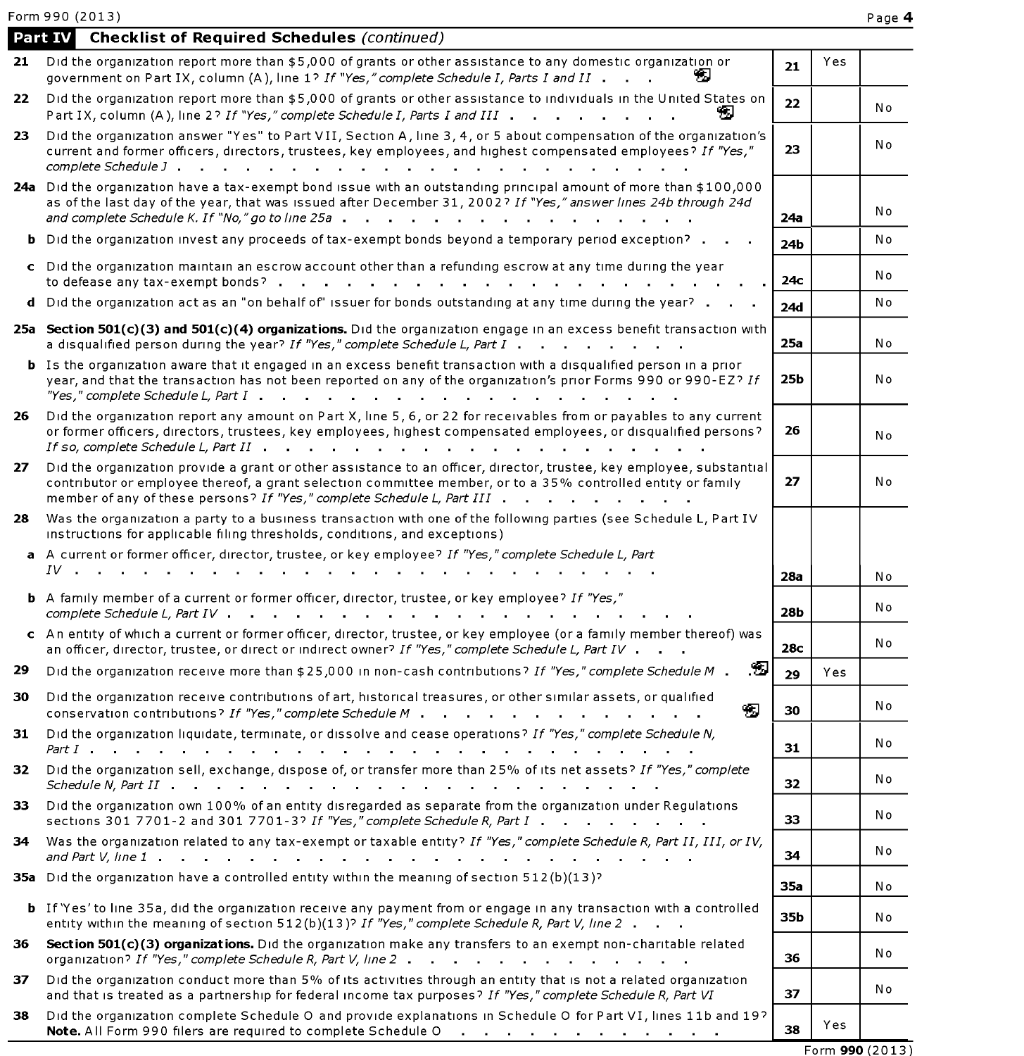|    | <b>Checklist of Required Schedules (continued)</b><br>Part IV                                                                                                                                                                                                                                                                                    |            |     |     |
|----|--------------------------------------------------------------------------------------------------------------------------------------------------------------------------------------------------------------------------------------------------------------------------------------------------------------------------------------------------|------------|-----|-----|
| 21 | Did the organization report more than \$5,000 of grants or other assistance to any domestic organization or<br>government on Part IX, column (A), line 1? If "Yes," complete Schedule I, Parts I and II                                                                                                                                          | 21         | Yes |     |
| 22 | Did the organization report more than \$5,000 of grants or other assistance to individuals in the United States on<br>Part IX, column (A), line 2? If "Yes," complete Schedule I, Parts I and III                                                                                                                                                | 22         |     | No  |
| 23 | Did the organization answer "Yes" to Part VII, Section A, line 3, 4, or 5 about compensation of the organization's<br>current and former officers, directors, trustees, key employees, and highest compensated employees? If "Yes,"                                                                                                              | 23         |     | No  |
|    | 24a Did the organization have a tax-exempt bond issue with an outstanding principal amount of more than \$100,000<br>as of the last day of the year, that was issued after December 31, 2002? If "Yes," answer lines 24b through 24d<br>and complete Schedule K. If $N_o$ " go to line 25a $\ldots$ $\ldots$ $\ldots$ $\ldots$ $\ldots$ $\ldots$ | 24a        |     | No  |
|    | <b>b</b> Did the organization invest any proceeds of tax-exempt bonds beyond a temporary period exception?                                                                                                                                                                                                                                       | 24b        |     | No  |
|    | c Did the organization maintain an escrow account other than a refunding escrow at any time during the year<br>to defease any tax-exempt bonds?                                                                                                                                                                                                  | 24с        |     | No  |
| d  | Did the organization act as an "on behalf of" issuer for bonds outstanding at any time during the year?                                                                                                                                                                                                                                          | <b>24d</b> |     | No  |
|    | 25a Section 501(c)(3) and 501(c)(4) organizations. Did the organization engage in an excess benefit transaction with<br>a disqualified person during the year? If "Yes," complete Schedule L, Part I                                                                                                                                             | 25a        |     | No  |
|    | <b>b</b> Is the organization aware that it engaged in an excess benefit transaction with a disqualified person in a prior<br>year, and that the transaction has not been reported on any of the organization's prior Forms 990 or 990-EZ? If                                                                                                     | 25b        |     | N o |
| 26 | Did the organization report any amount on Part X, line 5, 6, or 22 for receivables from or payables to any current<br>or former officers, directors, trustees, key employees, highest compensated employees, or disqualified persons?<br>If so, complete Schedule L. Part II $\cdot \cdot \cdot \cdot \cdot \cdot \cdot \cdot \cdot \cdot \cdot$ | 26         |     | No  |
| 27 | Did the organization provide a grant or other assistance to an officer, director, trustee, key employee, substantial<br>contributor or employee thereof, a grant selection committee member, or to a 35% controlled entity or family<br>member of any of these persons? If "Yes," complete Schedule L, Part III                                  | 27         |     | No  |
| 28 | Was the organization a party to a business transaction with one of the following parties (see Schedule L, Part IV<br>instructions for applicable filing thresholds, conditions, and exceptions)                                                                                                                                                  |            |     |     |
|    | a A current or former officer, director, trustee, or key employee? If "Yes," complete Schedule L, Part                                                                                                                                                                                                                                           |            |     |     |
|    | $IV$                                                                                                                                                                                                                                                                                                                                             | 28a        |     | No  |
|    | <b>b</b> A family member of a current or former officer, director, trustee, or key employee? If "Yes,"<br>complete Schedule L, Part IV .<br>$\sim 10^{-11}$<br>the contract of the contract of the contract of the contract of the contract of the contract of the contract of                                                                   | <b>28b</b> |     | Νo  |
|    | c An entity of which a current or former officer, director, trustee, or key employee (or a family member thereof) was<br>an officer, director, trustee, or direct or indirect owner? If "Yes," complete Schedule L, Part IV                                                                                                                      | 28c        |     | No  |
| 29 | ப<br>Did the organization receive more than \$25,000 in non-cash contributions? If "Yes," complete Schedule M.                                                                                                                                                                                                                                   | 29         | Yes |     |
| 30 | Did the organization receive contributions of art, historical treasures, or other similar assets, or qualified<br>भर<br>conservation contributions? If "Yes," complete Schedule M                                                                                                                                                                | 30         |     | No  |
| 31 | Did the organization liquidate, terminate, or dissolve and cease operations? If "Yes," complete Schedule N,<br><i>Part I</i><br>and a series of the series of the series of the series of the series of the series of the series of the series<br>the contract of the contract of the contract of the contract of                                | 31         |     | Νo  |
| 32 | Did the organization sell, exchange, dispose of, or transfer more than 25% of its net assets? If "Yes," complete                                                                                                                                                                                                                                 | 32         |     | No  |
| 33 | Did the organization own 100% of an entity disregarded as separate from the organization under Regulations<br>sections 301 7701-2 and 301 7701-3? If "Yes," complete Schedule R, Part I                                                                                                                                                          | 33         |     | Νo  |
| 34 | Was the organization related to any tax-exempt or taxable entity? If "Yes," complete Schedule R, Part II, III, or IV,                                                                                                                                                                                                                            | 34         |     | Νo  |
|    | 35a Did the organization have a controlled entity within the meaning of section 512(b)(13)?                                                                                                                                                                                                                                                      | 35a        |     | No  |
|    | <b>b</b> If 'Yes' to line 35a, did the organization receive any payment from or engage in any transaction with a controlled<br>entity within the meaning of section 512(b)(13)? If "Yes," complete Schedule R, Part V, line 2                                                                                                                    | 35b        |     | No  |
| 36 | Section 501(c)(3) organizations. Did the organization make any transfers to an exempt non-charitable related<br>organization? If "Yes," complete Schedule R, Part V, line 2                                                                                                                                                                      | 36         |     | N٥  |
| 37 | Did the organization conduct more than 5% of its activities through an entity that is not a related organization<br>and that is treated as a partnership for federal income tax purposes? If "Yes," complete Schedule R, Part VI                                                                                                                 | 37         |     | No  |
| 38 | Did the organization complete Schedule O and provide explanations in Schedule O for Part VI, lines 11b and 19?<br>Note. All Form 990 filers are required to complete Schedule O                                                                                                                                                                  | 38         | Yes |     |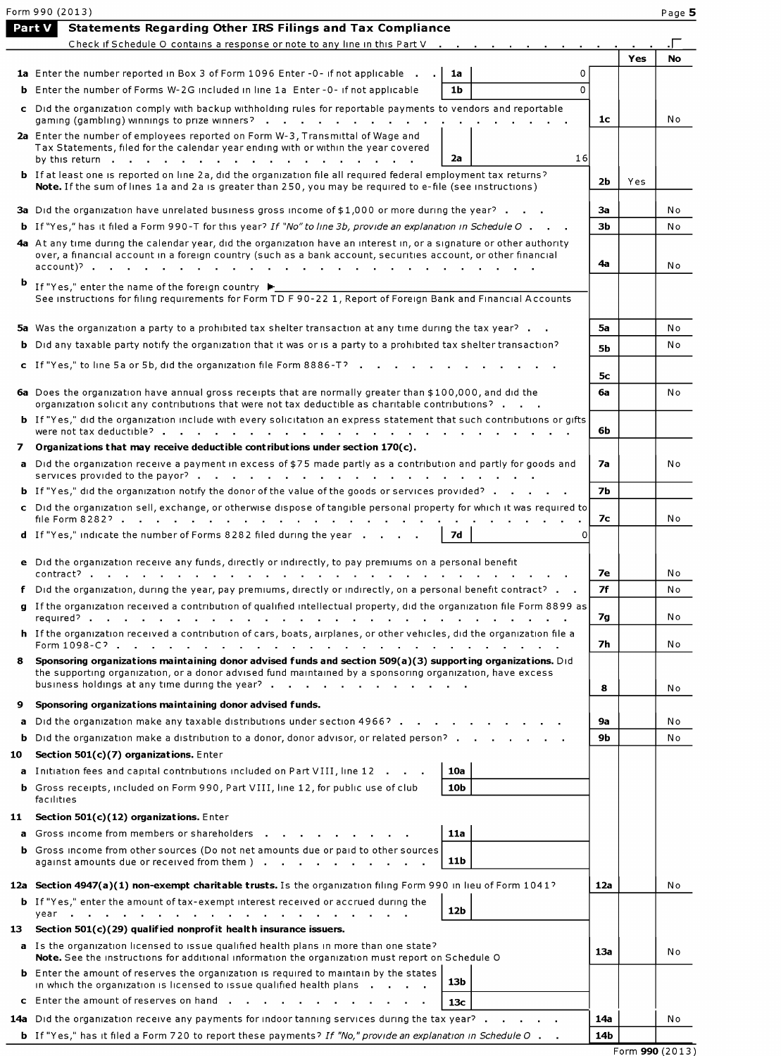|     | Form 990 (2013)                                                                                                                                                                                                                                                                                                                         |                |     | Page 5    |
|-----|-----------------------------------------------------------------------------------------------------------------------------------------------------------------------------------------------------------------------------------------------------------------------------------------------------------------------------------------|----------------|-----|-----------|
|     | <b>Part V</b><br><b>Statements Regarding Other IRS Filings and Tax Compliance</b><br>Check if Schedule O contains a response or note to any line in this Part V                                                                                                                                                                         |                |     |           |
|     |                                                                                                                                                                                                                                                                                                                                         |                | Yes | <b>No</b> |
|     | 1a Enter the number reported in Box 3 of Form 1096 Enter -0- if not applicable .<br>1a<br>0                                                                                                                                                                                                                                             |                |     |           |
|     | $\Omega$<br><b>b</b> Enter the number of Forms W-2G included in line 1a Enter-0- if not applicable<br>1b                                                                                                                                                                                                                                |                |     |           |
|     | c Did the organization comply with backup withholding rules for reportable payments to vendors and reportable<br>gaming (gambling) winnings to prize winners?                                                                                                                                                                           | 1c             |     | No        |
|     | 2a Enter the number of employees reported on Form W-3, Transmittal of Wage and<br>Tax Statements, filed for the calendar year ending with or within the year covered<br>16<br>2a                                                                                                                                                        |                |     |           |
|     | by this return<br><b>b</b> If at least one is reported on line 2a, did the organization file all required federal employment tax returns?                                                                                                                                                                                               |                |     |           |
|     | Note. If the sum of lines 1a and 2a is greater than 250, you may be required to e-file (see instructions)                                                                                                                                                                                                                               | 2b             | Yes |           |
|     | 3a Did the organization have unrelated business gross income of \$1,000 or more during the year?                                                                                                                                                                                                                                        | За             |     | No        |
|     | <b>b</b> If "Yes," has it filed a Form 990-T for this year? If "No" to line 3b, provide an explanation in Schedule O                                                                                                                                                                                                                    | 3b             |     | No        |
|     | 4a At any time during the calendar year, did the organization have an interest in, or a signature or other authority<br>over, a financial account in a foreign country (such as a bank account, securities account, or other financial                                                                                                  | 4a             |     | No        |
| Þ   | If "Yes," enter the name of the foreign country ▶<br>See instructions for filing requirements for Form TD F 90-22 1, Report of Foreign Bank and Financial Accounts                                                                                                                                                                      |                |     |           |
|     | 5a Was the organization a party to a prohibited tax shelter transaction at any time during the tax year?                                                                                                                                                                                                                                | 5a             |     | No        |
|     | <b>b</b> Did any taxable party notify the organization that it was or is a party to a prohibited tax shelter transaction?                                                                                                                                                                                                               | 5 <sub>b</sub> |     | N o       |
|     | c If "Yes," to line 5a or 5b, did the organization file Form 8886-T?                                                                                                                                                                                                                                                                    |                |     |           |
|     |                                                                                                                                                                                                                                                                                                                                         | 5с             |     |           |
|     | 6a Does the organization have annual gross receipts that are normally greater than \$100,000, and did the<br>organization solicit any contributions that were not tax deductible as charitable contributions?<br>b If "Yes," did the organization include with every solicitation an express statement that such contributions or gifts | 6a             |     | No        |
|     |                                                                                                                                                                                                                                                                                                                                         | 6b             |     |           |
| 7   | Organizations that may receive deductible contributions under section $170(c)$ .                                                                                                                                                                                                                                                        |                |     |           |
|     | a Did the organization receive a payment in excess of \$75 made partly as a contribution and partly for goods and                                                                                                                                                                                                                       | 7a             |     | No        |
|     | <b>b</b> If "Yes," did the organization notify the donor of the value of the goods or services provided?                                                                                                                                                                                                                                | <b>7b</b>      |     |           |
|     | c Did the organization sell, exchange, or otherwise dispose of tangible personal property for which it was required to<br>file Form 8282?                                                                                                                                                                                               | 7с             |     | No        |
|     | d If "Yes," indicate the number of Forms 8282 filed during the year<br>7d<br>0                                                                                                                                                                                                                                                          |                |     |           |
|     | e Did the organization receive any funds, directly or indirectly, to pay premiums on a personal benefit                                                                                                                                                                                                                                 |                |     |           |
|     |                                                                                                                                                                                                                                                                                                                                         | 7е             |     | N o       |
|     | f Did the organization, during the year, pay premiums, directly or indirectly, on a personal benefit contract?                                                                                                                                                                                                                          | 7f             |     | No        |
|     | g If the organization received a contribution of qualified intellectual property, did the organization file Form 8899 as                                                                                                                                                                                                                | 7g             |     | N o       |
|     | h If the organization received a contribution of cars, boats, airplanes, or other vehicles, did the organization file a                                                                                                                                                                                                                 | 7h             |     | No        |
| 8.  | Sponsoring organizations maintaining donor advised funds and section 509(a)(3) supporting organizations. Did<br>the supporting organization, or a donor advised fund maintained by a sponsoring organization, have excess                                                                                                               |                |     |           |
|     | business holdings at any time during the year?                                                                                                                                                                                                                                                                                          | 8              |     | No        |
| 9   | Sponsoring organizations maintaining donor advised funds.                                                                                                                                                                                                                                                                               |                |     |           |
|     | a Did the organization make any taxable distributions under section 4966?                                                                                                                                                                                                                                                               | 9а             |     | No        |
| b.  | Did the organization make a distribution to a donor, donor advisor, or related person?                                                                                                                                                                                                                                                  | 9b             |     | No        |
| 10  | Section $501(c)(7)$ organizations. Enter                                                                                                                                                                                                                                                                                                |                |     |           |
|     | a Initiation fees and capital contributions included on Part VIII, line 12<br>10a<br><b>b</b> Gross receipts, included on Form 990, Part VIII, line 12, for public use of club<br>10 <sub>b</sub><br>facilities                                                                                                                         |                |     |           |
| 11  | Section 501(c)(12) organizations. Enter                                                                                                                                                                                                                                                                                                 |                |     |           |
|     | <b>a</b> Gross income from members or shareholders <b>in the contact of the contact of the contact of the contact of the contact of the contact of the contact of the contact of the contact of the contact of the contact of the con</b><br>11a                                                                                        |                |     |           |
|     | <b>b</b> Gross income from other sources (Do not net amounts due or paid to other sources<br>11b<br>against amounts due or received from them )                                                                                                                                                                                         |                |     |           |
|     | 12a Section 4947(a)(1) non-exempt charitable trusts. Is the organization filing Form 990 in lieu of Form 1041?                                                                                                                                                                                                                          | 12a            |     | N o       |
|     | <b>b</b> If "Yes," enter the amount of tax-exempt interest received or accrued during the<br>12 <sub>b</sub>                                                                                                                                                                                                                            |                |     |           |
| 13. | Section $501(c)(29)$ qualified nonprofit health insurance issuers.                                                                                                                                                                                                                                                                      |                |     |           |
|     | a Is the organization licensed to issue qualified health plans in more than one state?<br>Note. See the instructions for additional information the organization must report on Schedule O                                                                                                                                              | 13a            |     | No        |
|     | <b>b</b> Enter the amount of reserves the organization is required to maintain by the states<br>13b<br>in which the organization is licensed to issue qualified health plans                                                                                                                                                            |                |     |           |
|     | c Enter the amount of reserves on hand<br>13с                                                                                                                                                                                                                                                                                           |                |     |           |
|     | 14a Did the organization receive any payments for indoor tanning services during the tax year <sup>2</sup>                                                                                                                                                                                                                              | 14a            |     | No        |
|     | <b>b</b> If "Yes," has it filed a Form 720 to report these payments? If "No," provide an explanation in Schedule O                                                                                                                                                                                                                      | 14b            |     |           |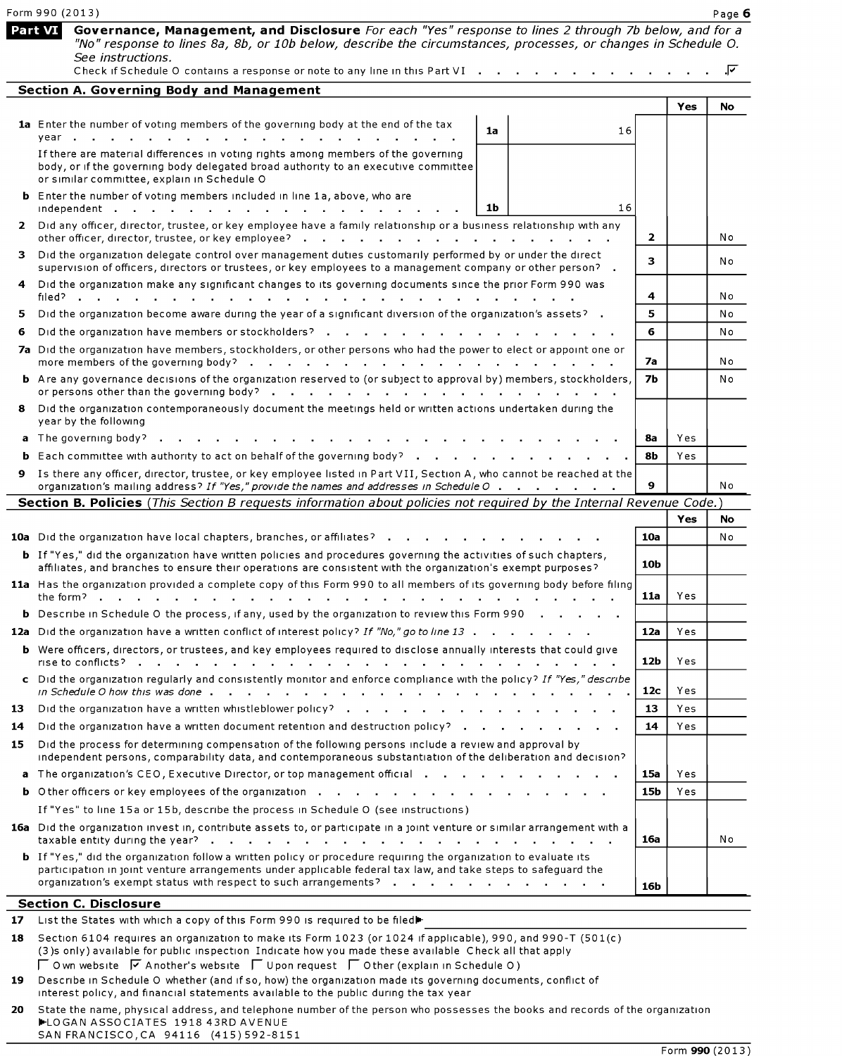|              | Form 990 (2013)                                                                                                                                                                                                                                                                                                                       |              |     | Page 6 |
|--------------|---------------------------------------------------------------------------------------------------------------------------------------------------------------------------------------------------------------------------------------------------------------------------------------------------------------------------------------|--------------|-----|--------|
|              | Governance, Management, and Disclosure For each "Yes" response to lines 2 through 7b below, and for a<br>Part VI<br>"No" response to lines 8a, 8b, or 10b below, describe the circumstances, processes, or changes in Schedule O.<br>See instructions.<br>Check if Schedule O contains a response or note to any line in this Part VI |              |     | .⊽     |
|              | <b>Section A. Governing Body and Management</b>                                                                                                                                                                                                                                                                                       |              |     |        |
|              |                                                                                                                                                                                                                                                                                                                                       |              | Yes | No     |
|              | 1a Enter the number of voting members of the governing body at the end of the tax<br>1a<br>16<br>year                                                                                                                                                                                                                                 |              |     |        |
|              | If there are material differences in voting rights among members of the governing<br>body, or if the governing body delegated broad authority to an executive committee<br>or similar committee, explain in Schedule O                                                                                                                |              |     |        |
|              | <b>b</b> Enter the number of voting members included in line 1a, above, who are<br>1 <sub>b</sub><br>16<br>independent                                                                                                                                                                                                                |              |     |        |
| $\mathbf{2}$ | Did any officer, director, trustee, or key employee have a family relationship or a business relationship with any<br>other officer, director, trustee, or key employee?<br>the contract of the contract of the contract of the contract of the contract of the contract of the contract of                                           | $\mathbf{2}$ |     | Νo     |
| з.           | Did the organization delegate control over management duties customarily performed by or under the direct<br>supervision of officers, directors or trustees, or key employees to a management company or other person? .                                                                                                              | 3.           |     | No     |
|              | Did the organization make any significant changes to its governing documents since the prior Form 990 was<br>filed?                                                                                                                                                                                                                   | 4            |     | No     |
| 5.           | Did the organization become aware during the year of a significant diversion of the organization's assets? .                                                                                                                                                                                                                          | 5.           |     | No     |
| 6            | Did the organization have members or stockholders?                                                                                                                                                                                                                                                                                    | 6            |     | Νo     |
|              | 7a Did the organization have members, stockholders, or other persons who had the power to elect or appoint one or<br>more members of the governing body?                                                                                                                                                                              | 7a           |     | Νo     |
|              | <b>b</b> Are any governance decisions of the organization reserved to (or subject to approval by) members, stockholders,<br>or persons other than the governing body?                                                                                                                                                                 | <b>7b</b>    |     | No     |
| 8            | Did the organization contemporaneously document the meetings held or written actions undertaken during the<br>year by the following                                                                                                                                                                                                   |              |     |        |
|              | a The governing body?                                                                                                                                                                                                                                                                                                                 | 8a           | Yes |        |
|              | <b>b</b> Each committee with authority to act on behalf of the governing body?                                                                                                                                                                                                                                                        | 8b           | Yes |        |
| 9.           | Is there any officer, director, trustee, or key employee listed in Part VII, Section A, who cannot be reached at the                                                                                                                                                                                                                  | 9            |     |        |
|              | organization's mailing address? If "Yes," provide the names and addresses in Schedule O<br>Section B. Policies (This Section B requests information about policies not required by the Internal Revenue Code.)                                                                                                                        |              |     | No     |
|              |                                                                                                                                                                                                                                                                                                                                       |              | Yes | No     |
|              | 10a Did the organization have local chapters, branches, or affiliates?                                                                                                                                                                                                                                                                | 10a          |     | No     |
|              | <b>b</b> If "Yes," did the organization have written policies and procedures governing the activities of such chapters,                                                                                                                                                                                                               |              |     |        |
|              | affiliates, and branches to ensure their operations are consistent with the organization's exempt purposes?<br>11a Has the organization provided a complete copy of this Form 990 to all members of its governing body before filing                                                                                                  | 10b          |     |        |
|              | the form?.                                                                                                                                                                                                                                                                                                                            | 11a          | Yes |        |
|              | <b>b</b> Describe in Schedule O the process, if any, used by the organization to review this Form 990                                                                                                                                                                                                                                 |              |     |        |
|              | 12a Did the organization have a written conflict of interest policy? If "No," go to line 13                                                                                                                                                                                                                                           | 12a          | Yes |        |
|              | <b>b</b> Were officers, directors, or trustees, and key employees required to disclose annually interests that could give                                                                                                                                                                                                             | 12b          | Yes |        |
|              | c Did the organization regularly and consistently monitor and enforce compliance with the policy? If "Yes," describe                                                                                                                                                                                                                  | 12c          | Yes |        |
| 13           | Did the organization have a written whistleblower policy?                                                                                                                                                                                                                                                                             | 13           | Yes |        |
| 14           | Did the organization have a written document retention and destruction policy? $\cdot \cdot \cdot \cdot$                                                                                                                                                                                                                              | 14           | Yes |        |
| 15           | Did the process for determining compensation of the following persons include a review and approval by<br>independent persons, comparability data, and contemporaneous substantiation of the deliberation and decision?                                                                                                               |              |     |        |
|              | a The organization's CEO, Executive Director, or top management official                                                                                                                                                                                                                                                              | 15a          | Yes |        |
|              |                                                                                                                                                                                                                                                                                                                                       | 15b          | Yes |        |
|              | If "Yes" to line 15a or 15b, describe the process in Schedule O (see instructions)                                                                                                                                                                                                                                                    |              |     |        |
|              | 16a Did the organization invest in, contribute assets to, or participate in a joint venture or similar arrangement with a<br>taxable entity during the year?<br>and a straightful control of the state of                                                                                                                             | 16a          |     | No     |
|              | <b>b</b> If "Yes," did the organization follow a written policy or procedure requiring the organization to evaluate its<br>participation in joint venture arrangements under applicable federal tax law, and take steps to safeguard the                                                                                              |              |     |        |
|              | organization's exempt status with respect to such arrangements?                                                                                                                                                                                                                                                                       | 16b          |     |        |
|              | <b>Section C. Disclosure</b>                                                                                                                                                                                                                                                                                                          |              |     |        |
| 17           | List the States with which a copy of this Form 990 is required to be filed                                                                                                                                                                                                                                                            |              |     |        |
| 18           | Section 6104 requires an organization to make its Form 1023 (or 1024 if applicable), 990, and 990-T (501(c)<br>(3) sonly) available for public inspection Indicate how you made these available Check all that apply                                                                                                                  |              |     |        |

| <b>10</b> Jection 0104 requires an organization to make its ronn 1025 (or 1024 if applicable), 990, and 990-T (50 |
|-------------------------------------------------------------------------------------------------------------------|
| (3) sonly) available for public inspection Indicate how you made these available Check all that apply             |
| $\Box$ O wn website $\Box$ A nother's website $\Box$ U pon request $\Box$ O ther (explain in Schedule O)          |
| 19 Describe in Schedule O whether (and if so, how) the organization made its governing documents, conflict of     |

Interest policy, and financial statements available to the public during the tax year

20 State the name, physical address, and telephone number of the person who possesses the books and records of the organization h-LOGAN ASSOCIATES 1918 43RD AVENUE SAN FRANCISCO,CA 94116 (415)592-8151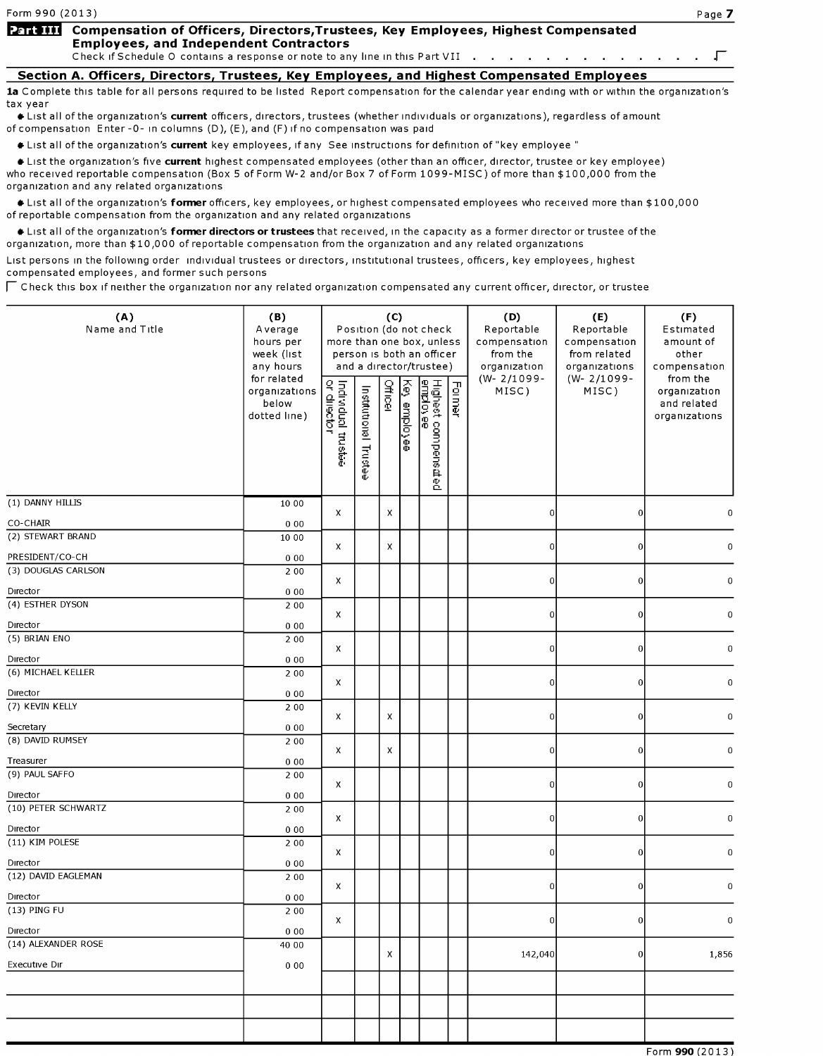# Form 990 (2013)<br>Part III Compensation of Officers, Directors,Trustees, Key Employees, Highest Compensated<br>Employees, and Independent Contractors **Employees, and Independent Contractors**<br>Check if Schedule O contains a response or note to any line in this Part VII . . . . . . Compensation of Officers, Directors,Trustees, Key Employees, Highest Compensated<br>Employees, and Independent Contractors<br>Check if Schedule O contains a response or note to any line in this Part VII . . . . . . . . . . . . .

Section A. Officers, Directors, Trustees, Key Employees, and Highest Compensated Employees 1a Complete this table for all persons required to be listed Report compensation for the calendar year ending with or within the organization's tax year

It List all of the organization's current officers, directors, trustees (whether individuals or organizations), regardless of amount of compensation Enter-0- in columns (D), (E), and (F) if no compensation was paid

Ist all of the organization's current key employees, if any See instructions for definition of "key employee"

Ist the organization's five current highest compensated employees (other than an officer, director, trustee or key employee) who received reportable compensation (Box 5 of Form W-2 and/or Box 7 of Form 1099-MISC) of more than \$100,000 from the organization and any related organizations

I List all of the organization's former officers, key employees, or highest compensated employees who received more than \$100,000 of reportable compensation from the organization and any related organizations

Itst all of the organization's former directors or trustees that received, in the capacity as a former director or trustee of the organization, more than \$10,000 of reportable compensation from the organization and any related organizations

List persons in the following order individual trustees or directors, institutional trustees, officers, key employees, highest compensated employees, and former such persons

 $\Gamma$  Check this box if neither the organization nor any related organization compensated any current officer, director, or trustee

| (A)<br>Name and Title                | (B)<br>Average<br>hours per<br>week (list<br>any hours | more than one box, unless         |                          | (C)            |              | Position (do not check<br>person is both an officer<br>and a director/trustee) |        | (D)<br>Reportable<br>compensation<br>from the<br>organization | (E)<br>Reportable<br>compensation<br>from related<br>organizations | (F)<br>Estimated<br>amount of<br>other<br>compensation   |
|--------------------------------------|--------------------------------------------------------|-----------------------------------|--------------------------|----------------|--------------|--------------------------------------------------------------------------------|--------|---------------------------------------------------------------|--------------------------------------------------------------------|----------------------------------------------------------|
|                                      | for related<br>organizations<br>below<br>dotted line)  | Individual trustee<br>or director | Institutional<br>Frustee | <b>Officer</b> | Key employee | Highest compens <i>a</i> ted<br>employee                                       | Former | $(W - 2/1099 -$<br>MISC)                                      | (W-2/1099-<br>MISC)                                                | from the<br>organization<br>and related<br>organizations |
| (1) DANNY HILLIS                     | 10 00                                                  | X                                 |                          | X              |              |                                                                                |        | $\overline{0}$                                                | $\Omega$                                                           |                                                          |
| CO-CHAIR                             | 000                                                    |                                   |                          |                |              |                                                                                |        |                                                               |                                                                    |                                                          |
| (2) STEWART BRAND<br>PRESIDENT/CO-CH | 10 00                                                  | X                                 |                          | x              |              |                                                                                |        | $\overline{0}$                                                | 0                                                                  | 0                                                        |
| (3) DOUGLAS CARLSON                  | 000<br>2 0 0                                           |                                   |                          |                |              |                                                                                |        |                                                               |                                                                    |                                                          |
| Director                             | 000                                                    | $\pmb{\times}$                    |                          |                |              |                                                                                |        | $\overline{0}$                                                | $\Omega$                                                           | 0                                                        |
| (4) ESTHER DYSON                     | 2 0 0                                                  | X                                 |                          |                |              |                                                                                |        | $\overline{0}$                                                | 0                                                                  | 0                                                        |
| Director                             | 000                                                    |                                   |                          |                |              |                                                                                |        |                                                               |                                                                    |                                                          |
| (5) BRIAN ENO                        | 2 0 0                                                  | x                                 |                          |                |              |                                                                                |        | $\overline{0}$                                                | $\pmb{0}$                                                          | $\boldsymbol{0}$                                         |
| Director                             | 000                                                    |                                   |                          |                |              |                                                                                |        |                                                               |                                                                    |                                                          |
| (6) MICHAEL KELLER                   | 2 0 0                                                  | X                                 |                          |                |              |                                                                                |        | $\overline{0}$                                                | 0                                                                  | 0                                                        |
| Director                             | 000                                                    |                                   |                          |                |              |                                                                                |        |                                                               |                                                                    |                                                          |
| (7) KEVIN KELLY                      | 2 0 0                                                  | X                                 |                          | X              |              |                                                                                |        | $\overline{0}$                                                | 0                                                                  | 0                                                        |
| Secretary                            | 000                                                    |                                   |                          |                |              |                                                                                |        |                                                               |                                                                    |                                                          |
| (8) DAVID RUMSEY                     | 2 0 0                                                  | X                                 |                          | X              |              |                                                                                |        | $\overline{0}$                                                | 0                                                                  | 0                                                        |
| Treasurer                            | 000                                                    |                                   |                          |                |              |                                                                                |        |                                                               |                                                                    |                                                          |
| (9) PAUL SAFFO                       | 2 0 0                                                  | x                                 |                          |                |              |                                                                                |        | $\overline{0}$                                                | $\Omega$                                                           | $\mathbf 0$                                              |
| Director<br>(10) PETER SCHWARTZ      | 000                                                    |                                   |                          |                |              |                                                                                |        |                                                               |                                                                    |                                                          |
| Director                             | 2 0 0<br>000                                           | X                                 |                          |                |              |                                                                                |        | $\overline{0}$                                                | 0                                                                  | 0                                                        |
| (11) KIM POLESE                      | 2 0 0                                                  |                                   |                          |                |              |                                                                                |        |                                                               |                                                                    |                                                          |
| Director                             | 000                                                    | X                                 |                          |                |              |                                                                                |        | $\overline{0}$                                                | $\circ$                                                            | 0                                                        |
| (12) DAVID EAGLEMAN                  | 2 0 0                                                  | $\pmb{\chi}$                      |                          |                |              |                                                                                |        | $\overline{0}$                                                | οI                                                                 | $\boldsymbol{0}$                                         |
| Director                             | 000                                                    |                                   |                          |                |              |                                                                                |        |                                                               |                                                                    |                                                          |
| (13) PING FU                         | 2 0 0                                                  | x                                 |                          |                |              |                                                                                |        | $\overline{0}$                                                | $\Omega$                                                           | 0                                                        |
| Director                             | 000                                                    |                                   |                          |                |              |                                                                                |        |                                                               |                                                                    |                                                          |
| (14) ALEXANDER ROSE                  | 40 00                                                  |                                   |                          | X              |              |                                                                                |        | 142,040                                                       | $\Omega$                                                           | 1,856                                                    |
| Executive Dir                        | 000                                                    |                                   |                          |                |              |                                                                                |        |                                                               |                                                                    |                                                          |
|                                      |                                                        |                                   |                          |                |              |                                                                                |        |                                                               |                                                                    |                                                          |
|                                      |                                                        |                                   |                          |                |              |                                                                                |        |                                                               |                                                                    |                                                          |
|                                      |                                                        |                                   |                          |                |              |                                                                                |        |                                                               |                                                                    |                                                          |
|                                      |                                                        |                                   |                          |                |              |                                                                                |        |                                                               |                                                                    | Form 990 (2013)                                          |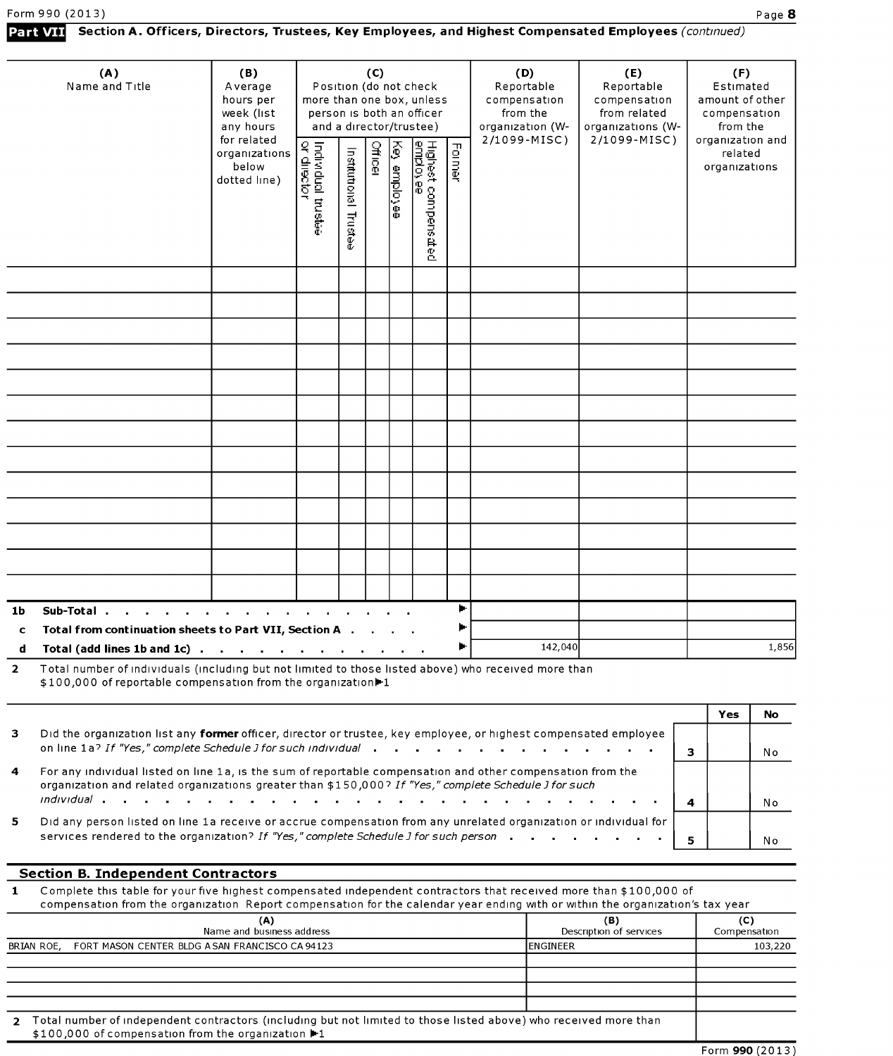## Section A. Officers, Directors, Trustees, Key Employees, and Highest Compensated Employees (continued)

|                | (A)<br>Name and Title                                                                                                                                                                                                | (B)<br>Average<br>hours per<br>week (list<br>any hours | more than one box, unless         |                                      | (C)            |               | Position (do not check<br>person is both an officer<br>and a director/trustee) |        | (D)<br>Reportable<br>compensation<br>from the<br>organization (W- | (E)<br>Reportable<br>compensation<br>from related<br>organizations (W- |   | (F)<br>Estimated<br>amount of other<br>compensation<br>from the |       |
|----------------|----------------------------------------------------------------------------------------------------------------------------------------------------------------------------------------------------------------------|--------------------------------------------------------|-----------------------------------|--------------------------------------|----------------|---------------|--------------------------------------------------------------------------------|--------|-------------------------------------------------------------------|------------------------------------------------------------------------|---|-----------------------------------------------------------------|-------|
|                |                                                                                                                                                                                                                      | for related<br>organizations<br>below<br>dotted line)  | Individual trustee<br>or director | Institutional<br><b>Truste</b><br>Ф. | <b>Officer</b> | Š<br>employee | Highest compensated<br><u>employee</u>                                         | Former | 2/1099-MISC)                                                      | 2/1099-MISC)                                                           |   | organization and<br>related<br>organizations                    |       |
|                |                                                                                                                                                                                                                      |                                                        |                                   |                                      |                |               |                                                                                |        |                                                                   |                                                                        |   |                                                                 |       |
|                |                                                                                                                                                                                                                      |                                                        |                                   |                                      |                |               |                                                                                |        |                                                                   |                                                                        |   |                                                                 |       |
|                |                                                                                                                                                                                                                      |                                                        |                                   |                                      |                |               |                                                                                |        |                                                                   |                                                                        |   |                                                                 |       |
|                |                                                                                                                                                                                                                      |                                                        |                                   |                                      |                |               |                                                                                |        |                                                                   |                                                                        |   |                                                                 |       |
|                |                                                                                                                                                                                                                      |                                                        |                                   |                                      |                |               |                                                                                |        |                                                                   |                                                                        |   |                                                                 |       |
|                |                                                                                                                                                                                                                      |                                                        |                                   |                                      |                |               |                                                                                |        |                                                                   |                                                                        |   |                                                                 |       |
|                |                                                                                                                                                                                                                      |                                                        |                                   |                                      |                |               |                                                                                |        |                                                                   |                                                                        |   |                                                                 |       |
|                |                                                                                                                                                                                                                      |                                                        |                                   |                                      |                |               |                                                                                |        |                                                                   |                                                                        |   |                                                                 |       |
|                |                                                                                                                                                                                                                      |                                                        |                                   |                                      |                |               |                                                                                |        |                                                                   |                                                                        |   |                                                                 |       |
|                |                                                                                                                                                                                                                      |                                                        |                                   |                                      |                |               |                                                                                |        |                                                                   |                                                                        |   |                                                                 |       |
|                |                                                                                                                                                                                                                      |                                                        |                                   |                                      |                |               |                                                                                |        |                                                                   |                                                                        |   |                                                                 |       |
|                |                                                                                                                                                                                                                      |                                                        |                                   |                                      |                |               |                                                                                |        |                                                                   |                                                                        |   |                                                                 |       |
|                |                                                                                                                                                                                                                      |                                                        |                                   |                                      |                |               |                                                                                |        |                                                                   |                                                                        |   |                                                                 |       |
| 1b             | Sub-Total                                                                                                                                                                                                            |                                                        |                                   |                                      |                |               |                                                                                | ►      |                                                                   |                                                                        |   |                                                                 |       |
| c              | Total from continuation sheets to Part VII, Section A .                                                                                                                                                              |                                                        |                                   |                                      |                |               |                                                                                |        |                                                                   |                                                                        |   |                                                                 |       |
|                | Total (add lines 1b and 1c) $\ldots$ $\ldots$ $\ldots$ $\ldots$ $\ldots$ $\ldots$                                                                                                                                    |                                                        |                                   |                                      |                |               |                                                                                |        | 142,040                                                           |                                                                        |   |                                                                 | 1,856 |
| $\overline{2}$ | Total number of individuals (including but not limited to those listed above) who received more than<br>\$100,000 of reportable compensation from the organization <sup>1</sup> 1                                    |                                                        |                                   |                                      |                |               |                                                                                |        |                                                                   |                                                                        |   |                                                                 |       |
|                |                                                                                                                                                                                                                      |                                                        |                                   |                                      |                |               |                                                                                |        |                                                                   |                                                                        |   | Yes                                                             | No    |
| з              | Did the organization list any former officer, director or trustee, key employee, or highest compensated employee<br>on line 1a? If "Yes," complete Schedule J for such individual                                    |                                                        |                                   |                                      |                |               |                                                                                |        |                                                                   |                                                                        | 3 |                                                                 | No    |
| 4              | For any individual listed on line 1a, is the sum of reportable compensation and other compensation from the<br>organization and related organizations greater than \$150,000? If "Yes," complete Schedule J for such |                                                        |                                   |                                      |                |               |                                                                                |        |                                                                   |                                                                        |   |                                                                 |       |

|                                                                                                                                                       |  | N <sub>0</sub> |
|-------------------------------------------------------------------------------------------------------------------------------------------------------|--|----------------|
| 5 Did any person listed on line 1a receive or accrue compensation from any unrelated organization or individual for $ \hspace{.1cm}  \hspace{.1cm}  $ |  |                |
| services rendered to the organization? If "Yes," complete Schedule J for such person $\vert$ 5                                                        |  | No             |

## Section B. Independent Contractors

1 Complete this table for your five highest compensated independent contractors that received more than \$100,000 of compensation from the organization Report compensation for the calendar year ending with or within the organization's tax year

| (A)<br>Name and business address                                                                                                                                       | (B)<br>Description of services | (C)<br>Compensation |
|------------------------------------------------------------------------------------------------------------------------------------------------------------------------|--------------------------------|---------------------|
| BRIAN ROE, FORT MASON CENTER BLDG A SAN FRANCISCO CA 94123                                                                                                             | <b>IENGINEER</b>               | 103,220             |
|                                                                                                                                                                        |                                |                     |
|                                                                                                                                                                        |                                |                     |
|                                                                                                                                                                        |                                |                     |
|                                                                                                                                                                        |                                |                     |
| Total number of independent contractors (including but not limited to those listed above) who received more than<br>\$100,000 of compensation from the organization ▶1 |                                |                     |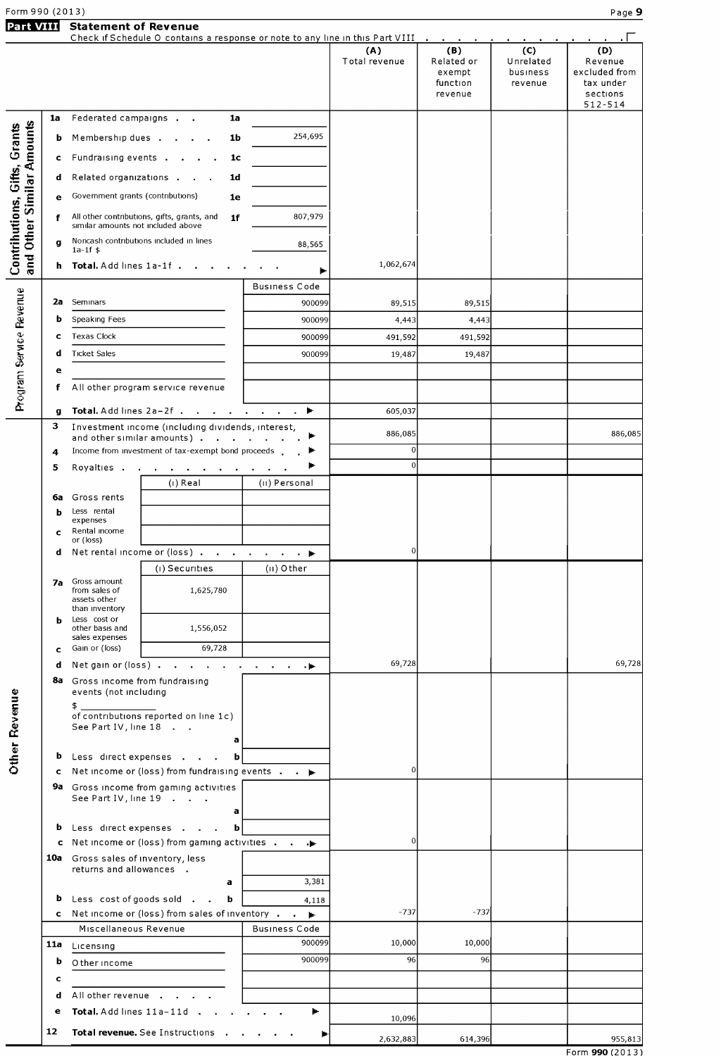| Form 990 (2013)                     |         |                                                                 |                                                                               |                             |                      |                                                                                |                                         | Page 9                                                   |
|-------------------------------------|---------|-----------------------------------------------------------------|-------------------------------------------------------------------------------|-----------------------------|----------------------|--------------------------------------------------------------------------------|-----------------------------------------|----------------------------------------------------------|
| <b>Part VIII</b>                    |         | <b>Statement of Revenue</b>                                     | Check if Schedule O contains a response or note to any line in this Part VIII |                             | (A)<br>Total revenue | <b>Contract Contract</b><br>(B)<br>Related or<br>exempt<br>function<br>revenue | (C)<br>Unrelated<br>business<br>revenue | (D)<br>Revenue<br>excluded from<br>tax under<br>sections |
|                                     | 1a      |                                                                 | 1a                                                                            |                             |                      |                                                                                |                                         | 512-514                                                  |
|                                     |         | Federated campaigns                                             |                                                                               | 254,695                     |                      |                                                                                |                                         |                                                          |
|                                     | ь       |                                                                 | Membership dues<br>1b                                                         |                             |                      |                                                                                |                                         |                                                          |
|                                     | c       |                                                                 | Fundraising events<br>1 <sub>c</sub>                                          |                             |                      |                                                                                |                                         |                                                          |
|                                     | d       |                                                                 | Related organizations<br>1 <sub>d</sub>                                       |                             |                      |                                                                                |                                         |                                                          |
|                                     | e       | Government grants (contributions)                               | 1e                                                                            |                             |                      |                                                                                |                                         |                                                          |
| Other Similar Amounts               | f       | similar amounts not included above                              | All other contributions, gifts, grants, and<br>1f                             | 807,979                     |                      |                                                                                |                                         |                                                          |
|                                     | g       |                                                                 | Noncash contributions included in lines                                       | 88,565                      |                      |                                                                                |                                         |                                                          |
| Contrihutions, Gifts, Grants<br>and |         | $1a-1f$ \$                                                      | h Total. Add lines 1a-1f.                                                     |                             | 1,062,674            |                                                                                |                                         |                                                          |
|                                     |         |                                                                 |                                                                               |                             |                      |                                                                                |                                         |                                                          |
|                                     | 2a      | Seminars                                                        |                                                                               | <b>Business Code</b>        |                      |                                                                                |                                         |                                                          |
|                                     | b       | Speaking Fees                                                   |                                                                               | 900099<br>900099            | 89,515<br>4,443      | 89,515<br>4,443                                                                |                                         |                                                          |
|                                     | c       | Texas Clock                                                     |                                                                               | 900099                      | 491,592              | 491,592                                                                        |                                         |                                                          |
| Program Service Revenue             | d       | <b>Ticket Sales</b>                                             |                                                                               | 900099                      | 19,487               | 19,487                                                                         |                                         |                                                          |
|                                     | е       |                                                                 |                                                                               |                             |                      |                                                                                |                                         |                                                          |
|                                     | f       |                                                                 | All other program service revenue                                             |                             |                      |                                                                                |                                         |                                                          |
|                                     |         | Total. Add lines 2a-2f.                                         |                                                                               |                             | 605,037              |                                                                                |                                         |                                                          |
|                                     | g<br>3  |                                                                 | Investment income (including dividends, interest,                             | and a strong control to the |                      |                                                                                |                                         |                                                          |
|                                     |         |                                                                 | and other similar amounts)                                                    |                             | 886,085              |                                                                                |                                         | 886,085                                                  |
|                                     | 4       |                                                                 | Income from investment of tax-exempt bond proceeds                            |                             | $\overline{0}$<br>0l |                                                                                |                                         |                                                          |
|                                     | 5       | Royalties                                                       | the company of the company of the company of the<br>(i) Real                  | (II) Personal               |                      |                                                                                |                                         |                                                          |
|                                     | 6a      | Gross rents                                                     |                                                                               |                             |                      |                                                                                |                                         |                                                          |
|                                     | ь       | Less rental                                                     |                                                                               |                             |                      |                                                                                |                                         |                                                          |
|                                     | c       | expenses<br>Rental income                                       |                                                                               |                             |                      |                                                                                |                                         |                                                          |
|                                     | d       | or (loss)                                                       | Net rental income or (loss)                                                   |                             | 0                    |                                                                                |                                         |                                                          |
|                                     |         |                                                                 | (i) Securities                                                                | $(II)$ Other                |                      |                                                                                |                                         |                                                          |
|                                     | 7a      | Gross amount<br>from sales of<br>assets other<br>than inventory | 1,625,780                                                                     |                             |                      |                                                                                |                                         |                                                          |
|                                     | h       | Less cost or                                                    |                                                                               |                             |                      |                                                                                |                                         |                                                          |
|                                     |         | other basis and<br>sales expenses                               | 1,556,052                                                                     |                             |                      |                                                                                |                                         |                                                          |
|                                     | c       | Gain or (loss)                                                  | 69,728                                                                        |                             | 69,728               |                                                                                |                                         | 69,728                                                   |
|                                     | d<br>8a | Net gain or (loss).<br>Gross income from fundraising            | the contract of the contract of the con-                                      | - 10                        |                      |                                                                                |                                         |                                                          |
|                                     |         | events (not including<br>$\frac{1}{2}$                          | of contributions reported on line 1c)                                         |                             |                      |                                                                                |                                         |                                                          |
| <b>Other Revenue</b>                |         | See Part IV, line 18                                            | a                                                                             |                             |                      |                                                                                |                                         |                                                          |
|                                     |         |                                                                 | <b>b</b> Less direct expenses<br>b                                            |                             | $\Omega$             |                                                                                |                                         |                                                          |
|                                     | c.      |                                                                 | Net income or (loss) from fundraising events $\cdot$ $\cdot$                  |                             |                      |                                                                                |                                         |                                                          |
|                                     |         | See Part IV, line 19                                            | 9a Gross income from gaming activities<br>a                                   |                             |                      |                                                                                |                                         |                                                          |
|                                     | b       |                                                                 | Less direct expenses<br>b                                                     |                             |                      |                                                                                |                                         |                                                          |
|                                     |         | 10a Gross sales of inventory, less                              | c Net income or (loss) from gaming activities                                 |                             |                      |                                                                                |                                         |                                                          |
|                                     |         | returns and allowances .                                        |                                                                               |                             |                      |                                                                                |                                         |                                                          |
|                                     |         |                                                                 | a                                                                             | 3,381                       |                      |                                                                                |                                         |                                                          |
|                                     | b       | Less cost of goods sold.                                        | b<br>$\sim 100$                                                               | 4,118                       |                      |                                                                                |                                         |                                                          |
|                                     |         | Miscellaneous Revenue                                           | c Net income or (loss) from sales of inventory ►                              | Business Code               | $-737$               | $-737$                                                                         |                                         |                                                          |
|                                     |         | 11a Licensing                                                   |                                                                               | 900099                      | 10,000               | 10,000                                                                         |                                         |                                                          |
|                                     | b       | O ther income                                                   |                                                                               | 900099                      | 96                   | 96                                                                             |                                         |                                                          |
|                                     | c       |                                                                 |                                                                               |                             |                      |                                                                                |                                         |                                                          |
|                                     | d       | All other revenue                                               |                                                                               |                             |                      |                                                                                |                                         |                                                          |
|                                     | e       |                                                                 | Total. Add lines 11a-11d<br>$\mathbf{r}$                                      | Þ.                          | 10,096               |                                                                                |                                         |                                                          |
|                                     | 12      |                                                                 | Total revenue. See Instructions .                                             | ▶                           | 2,632,883            | 614,396                                                                        |                                         | 955,813                                                  |
|                                     |         |                                                                 |                                                                               |                             |                      |                                                                                |                                         |                                                          |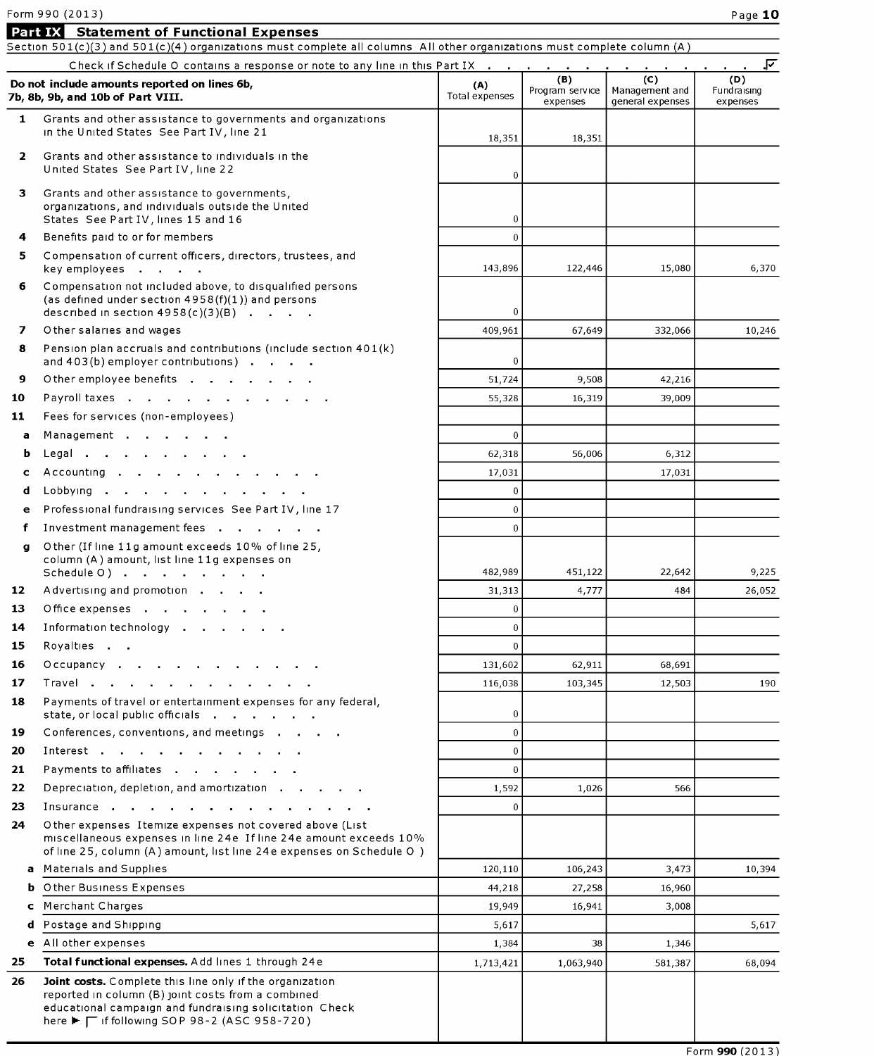# Form 990  $(2013)$  Page  $10$

|              | Form 990 (2013)                                                                                                                                                                                                                  |                       |                             |                                    | Page 10                 |
|--------------|----------------------------------------------------------------------------------------------------------------------------------------------------------------------------------------------------------------------------------|-----------------------|-----------------------------|------------------------------------|-------------------------|
|              | <b>Part IX</b> Statement of Functional Expenses                                                                                                                                                                                  |                       |                             |                                    |                         |
|              | Section 501(c)(3) and 501(c)(4) organizations must complete all columns All other organizations must complete column (A)                                                                                                         |                       |                             |                                    |                         |
|              | Check if Schedule O contains a response or note to any line in this Part IX                                                                                                                                                      |                       | (B)                         | (C)                                | ⊽.<br>(D)               |
|              | Do not include amounts reported on lines 6b,<br>7b, 8b, 9b, and 10b of Part VIII.                                                                                                                                                | (A)<br>Total expenses | Program service<br>expenses | Management and<br>general expenses | Fundraising<br>expenses |
| $\mathbf{1}$ | Grants and other assistance to governments and organizations<br>in the United States See Part IV, line 21                                                                                                                        | 18,351                | 18,351                      |                                    |                         |
| $\mathbf{2}$ | Grants and other assistance to individuals in the<br>United States See Part IV, line 22                                                                                                                                          | $\mathbf 0$           |                             |                                    |                         |
| 3            | Grants and other assistance to governments,<br>organizations, and individuals outside the United<br>States See Part IV, lines 15 and 16                                                                                          | $\mathbf 0$           |                             |                                    |                         |
| 4            | Benefits paid to or for members                                                                                                                                                                                                  | $\overline{0}$        |                             |                                    |                         |
| 5            | Compensation of current officers, directors, trustees, and<br>key employees                                                                                                                                                      | 143,896               | 122,446                     | 15,080                             | 6,370                   |
| 6            | Compensation not included above, to disqualified persons<br>(as defined under section $4958(f)(1)$ ) and persons<br>described in section $4958(c)(3)(B)$                                                                         | $\mathbf{0}$          |                             |                                    |                         |
| 7            | Other salaries and wages                                                                                                                                                                                                         | 409,961               | 67,649                      | 332,066                            | 10.246                  |
| 8            | Pension plan accruals and contributions (include section $401(k)$ )<br>and 403(b) employer contributions)                                                                                                                        | $\mathbf 0$           |                             |                                    |                         |
| 9            | Other employee benefits                                                                                                                                                                                                          | 51,724                | 9,508                       | 42,216                             |                         |
| 10           | Payroll taxes                                                                                                                                                                                                                    | 55,328                | 16,319                      | 39,009                             |                         |
| 11           | Fees for services (non-employees)                                                                                                                                                                                                |                       |                             |                                    |                         |
| а            | Management                                                                                                                                                                                                                       | $\Omega$              |                             |                                    |                         |
| b            | Legal                                                                                                                                                                                                                            | 62,318                | 56,006                      | 6,312                              |                         |
| c            | Accounting                                                                                                                                                                                                                       | 17,031                |                             | 17,031                             |                         |
| d            | Lobbying<br>$\sim 100$                                                                                                                                                                                                           | $\mathbf 0$           |                             |                                    |                         |
| е            | Professional fundraising services See Part IV, line 17                                                                                                                                                                           | $\mathbf 0$           |                             |                                    |                         |
| f            | Investment management fees                                                                                                                                                                                                       | $\Omega$              |                             |                                    |                         |
| g            | Other (If line 11g amount exceeds 10% of line 25,<br>column (A) amount, list line 11g expenses on<br>Schedule O )                                                                                                                | 482,989               | 451,122                     | 22,642                             | 9,225                   |
| 12           | Advertising and promotion                                                                                                                                                                                                        | 31,313                | 4,777                       | 484                                | 26,052                  |
| 13           | Office expenses                                                                                                                                                                                                                  | $\mathbf{0}$          |                             |                                    |                         |
| 14           | Information technology                                                                                                                                                                                                           | $\mathbf{0}$          |                             |                                    |                         |
| 15           | Royalties                                                                                                                                                                                                                        | $\Omega$              |                             |                                    |                         |
| 16           | Occupancy                                                                                                                                                                                                                        | 131,602               | 62,911                      | 68,691                             |                         |
| 17           | Travel                                                                                                                                                                                                                           | 116,038               | 103,345                     | 12,503                             | 190                     |
| 18           | Payments of travel or entertainment expenses for any federal,<br>state, or local public officials                                                                                                                                | $\mathbf 0$           |                             |                                    |                         |
| 19           | Conferences, conventions, and meetings                                                                                                                                                                                           | $\overline{0}$        |                             |                                    |                         |
| 20           |                                                                                                                                                                                                                                  | $\mathbf{0}$          |                             |                                    |                         |
| 21           | Payments to affiliates                                                                                                                                                                                                           | $\Omega$              |                             |                                    |                         |
| 22           | Depreciation, depletion, and amortization                                                                                                                                                                                        | 1,592                 | 1,026                       | 566                                |                         |
| 23           | Insurance in the set of the set of the set of the set of the set of the set of the set of the set of the set o                                                                                                                   | $\Omega$              |                             |                                    |                         |
| 24           | Other expenses Itemize expenses not covered above (List<br>miscellaneous expenses in line 24e If line 24e amount exceeds 10%<br>of line 25, column (A) amount, list line 24e expenses on Schedule O)                             |                       |                             |                                    |                         |
| a            | <b>Materials and Supplies</b>                                                                                                                                                                                                    | 120,110               | 106,243                     | 3,473                              | 10,394                  |
| ь            | Other Business Expenses                                                                                                                                                                                                          | 44,218                | 27,258                      | 16,960                             |                         |
| c            | <b>Merchant Charges</b>                                                                                                                                                                                                          | 19,949                | 16,941                      | 3,008                              |                         |
| d            | Postage and Shipping                                                                                                                                                                                                             | 5,617                 |                             |                                    | 5,617                   |
| e            | All other expenses                                                                                                                                                                                                               | 1,384                 | 38                          | 1,346                              |                         |
| 25           | Total functional expenses. Add lines 1 through 24e                                                                                                                                                                               | 1,713,421             | 1,063,940                   | 581,387                            | 68,094                  |
| 26           | Joint costs. Complete this line only if the organization<br>reported in column (B) joint costs from a combined<br>educational campaign and fundraising solicitation Check<br>here ► $\Gamma$ if following SOP 98-2 (ASC 958-720) |                       |                             |                                    |                         |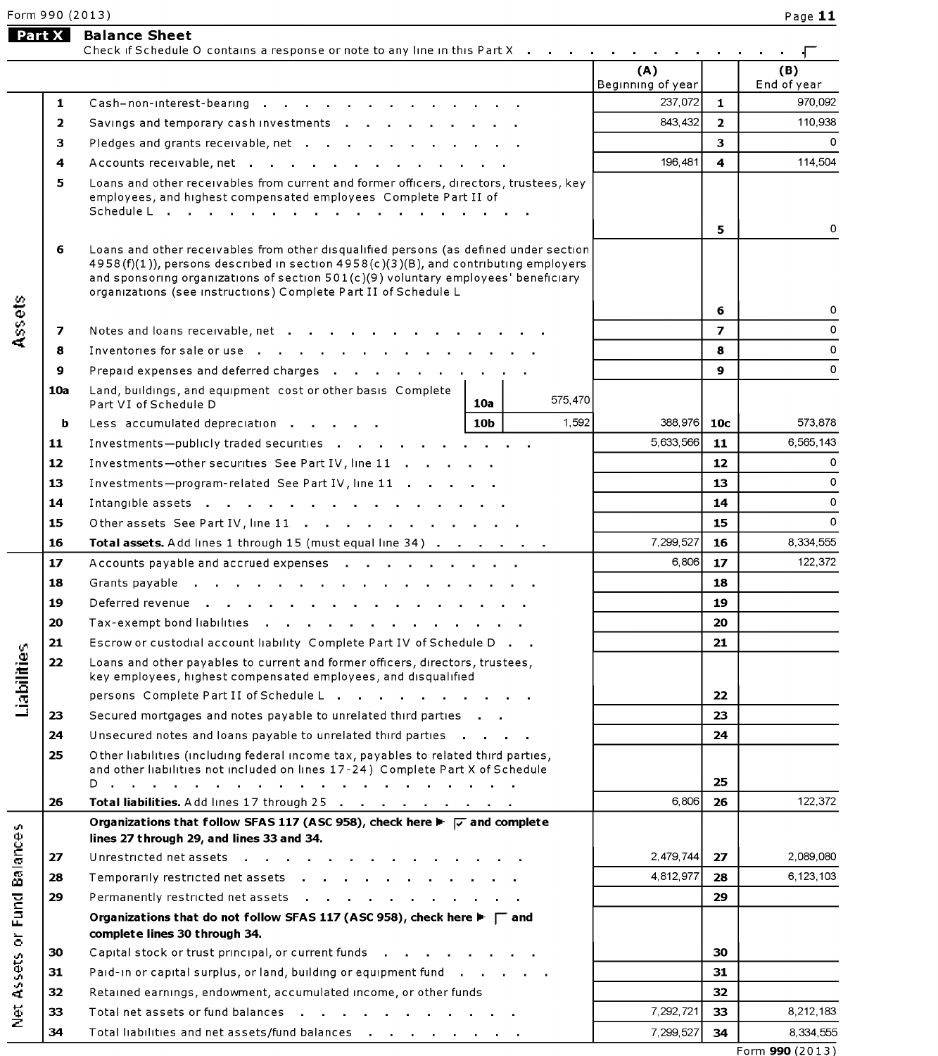Form 990 (2013)<br>Page Part X Balance Sheet<br>Check if Schedule O contains a response or note to any line in this Part X . . . . . . . . . . . . . . . . . (A) (B) Beginning of year Fund of year **1** Cash-non-interest-bearing 2. 237,072 1 970,092 2 SaVIngs and temporary cash Investments 843,432 2 110,938 3 Pledges and grants receivable, net 3 0 4 Accounts receivable, net . . . . . . . . . . . . . . . . 114,504 5 Loans and other receivables from current and former officers, directors, trustees, key employees, and highest compensated employees Complete Part II of Schedule L 5 0 6 Loans and other receivables from other disqualified persons (as defined under section 4958(f)(1)), persons described in section 4958(c)(3)(B), and contributing employers and sponsoring organizations of section  $501(c)(9)$  voluntary employees' beneficiary organizations (see instructions) Complete Part II of Schedule L<br>
Complete Part II of Schedule L<br>
Complete Part II of Schedule L<br>
Complete Part II of Schedule L<br>
Complete Part II of Schedule L<br>
Complete Part II of Schedule '5 6 <sup>0</sup> 7 Notes and loans receivable, net 7 0 d <sup>8</sup> Inventories forsale or use <sup>8</sup> <sup>0</sup> 9 Prepaid expenses and deferred charges  $\cdot$  ,  $\cdot$  ,  $\cdot$  ,  $\cdot$  ,  $\cdot$  ,  $\cdot$  ,  $\cdot$  ,  $\cdot$  ,  $\cdot$  ,  $\cdot$  ,  $\cdot$  ,  $\cdot$  ,  $\cdot$  ,  $\cdot$  ,  $\cdot$  ,  $\cdot$  ,  $\cdot$  ,  $\cdot$  ,  $\cdot$  ,  $\cdot$  ,  $\cdot$  ,  $\cdot$  ,  $\cdot$  ,  $\cdot$  ,  $\cdot$  ,  $\cdot$  , 10a Land, buildings, and equipment cost or other basis Complete Part VI of Schedule D **10a** 575,470 b Less accumulated depreCIation 10b 1,592 388,976 10c 573,878 11 Investmentspublicly traded securities 5,633,555 11 5,565,143 12 Investments—other securities See Part IV, line 11 1 2 12 12 0 13 Investmentsprogram-related See Part IV, line 11 13 <sup>0</sup> **14** Intangible assets  $\cdot$  ,  $\cdot$  ,  $\cdot$  ,  $\cdot$  ,  $\cdot$  ,  $\cdot$  ,  $\cdot$  ,  $\cdot$  ,  $\cdot$  ,  $\cdot$  ,  $\cdot$  ,  $\cdot$  ,  $\cdot$  ,  $\cdot$  ,  $\cdot$  ,  $\cdot$  ,  $\cdot$  ,  $\cdot$  ,  $\cdot$  ,  $\cdot$  ,  $\cdot$  ,  $\cdot$  ,  $\cdot$  ,  $\cdot$  ,  $\cdot$  ,  $\cdot$  ,  $\cdot$  ,  $\cdot$  ,  $\$ 15 Other assets See Part IV, line 11  $\ldots$ ,  $\ldots$ ,  $\ldots$ ,  $\ldots$ ,  $\qquad$   $\qquad$  15 **16 Total assets.** Add lines 1 through 15 (must equal line  $34$ )  $\ldots$   $\ldots$   $\ldots$   $\ldots$  7,299,527 **16** 8,334,555 17 Accounts payable and accrued expenses 6,806 17 122,372 18 Grants payable 18 19 Deferred revenue et al., and a series are a series and series are series and series are series and series and series are series and series are series and series are series and series are series and series are series and 20 Tax-exempt bond liabilities entity and the control of the control of the control of the control of the control of the control of the control of the control of the control of the control of the control of the control of 21 Escrow or custodial account liability Complete Part IV of Schedule D . .<br>
22 Loans and other payables to current and former officers, directors, trustees,<br>
22 Loans and other payables to current and former officers, di 22 Loans and other payables to current and former officers, directors, trustees, key employees, highest compensated employees, and disqualified persons Complete Part II of Schedule L . . . . . . . . . . . . | | | | 22 23 Secured mortgages and notes payable to unrelated third parties 20 10 23 23 24 Unsecured notes and loans payable to unrelated third parties 20 and 20 and 24 and 24 and 24 25 Other liabilities (including federal income tax, payables to related third parties, and other liabilities not included on lines 17-24) Complete Part X of Schedule D . . . . . . . . . . . . . . 25 26 Total liabilities. Add lines 17 through 25 5,805 26 122372 Organizations that follow SFAS 117 (ASC 958), check here  $\triangleright \boxed{\triangleright}$  and complete<br>  $\frac{1}{12}$ <br>  $\frac{1}{12}$ <br>  $\frac{1}{12}$ <br>  $\frac{1}{12}$ <br>  $\frac{1}{12}$ <br>  $\frac{1}{12}$ <br>  $\frac{1}{12}$ <br>
Organizations that do not follow SFAS 117 (ASC 958), lines 27 through 29, and lines 33 and 34. E 27 Unrestricted net assets 2,479,744 27 2,089,080 E <sup>28</sup> Temporarily restricted net assets 4,812,977 <sup>28</sup> 6,123,103 E <sup>29</sup> Permanently restricted net assets <sup>29</sup>  $\vec{r}$  Organizations that do not follow SFAS 117 (ASC 958), check here  $\blacktriangleright \begin{array}{|c|} \hline \text{...} & \text{...} \\ \hline \text{...} & \text{...} \end{array}$ complete lines 30 through 34.  $\begin{array}{|c|c|c|c|}\hline \textbf{30} & \textbf{Capital stock or trust principal, or current funds} \ \hline \textbf{31} & \textbf{Pauli}-\textbf{30} \ \hline \textbf{32} & \textbf{31} \ \hline \textbf{33} & \textbf{14} & \textbf{15} & \textbf{16} & \textbf{17} & \textbf{18} \ \hline \textbf{35} & \textbf{16} & \textbf{17} & \textbf{18} & \textbf{18} & \textbf{18} \ \hline \textbf{36} & \textbf{17} & \textbf{18} & \textbf{18$ **31** Paid-in or capital surplus, or land, building or equipment fund  $\begin{array}{ccc} 3 & 3 & 3 \end{array}$  31 E <sup>32</sup> Retained earnings, endowment, accumulated income, or otherfunds <sup>32</sup> **33** Total net assets or fund balances **7.292, and 1.33** 8,212,183 8,212,183 8,212,183 8,212,183 8,212,183 8,212,183 8,212,183 8,212,183 8,212,183 8,212,183 8,212,183 8,212,183 8,212,183 8,212,183 8,212,183 8,212,183 8,21 34 Total liabilities and net assets/fund balances  $\cdots$   $\cdots$   $\cdots$   $\cdots$   $\cdots$   $\cdots$  7,299,527 34  $\cdots$  8,334,555 Form 990 (2013)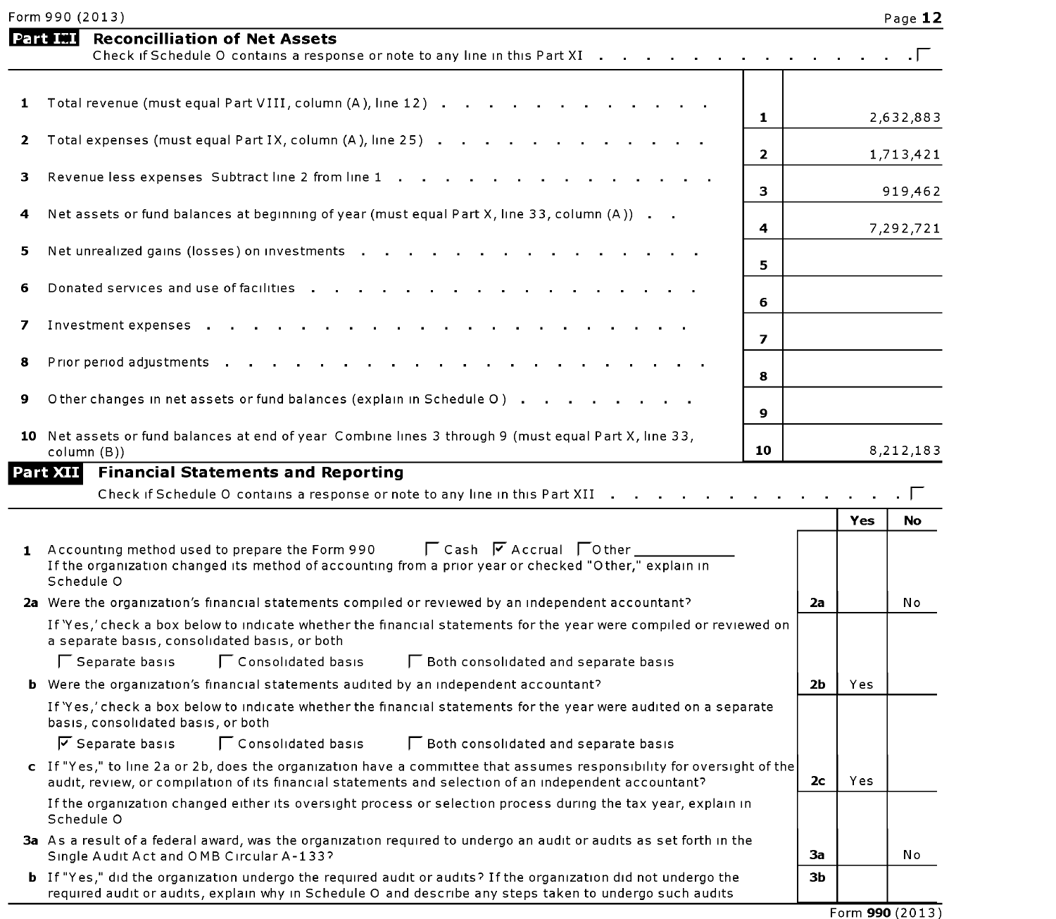| Form 990 (2013) | Page 1. |
|-----------------|---------|
|-----------------|---------|

|              | Form 990 (2013)                                                                                                                                                                                                                |                         |                |     | Page 12   |
|--------------|--------------------------------------------------------------------------------------------------------------------------------------------------------------------------------------------------------------------------------|-------------------------|----------------|-----|-----------|
|              | <b>Part III</b><br><b>Reconcilliation of Net Assets</b><br>Check if Schedule O contains a response or note to any line in this Part XI                                                                                         |                         |                |     |           |
| 1            | Total revenue (must equal Part VIII, column (A), line 12)                                                                                                                                                                      | 1.                      |                |     | 2,632,883 |
| $\mathbf{2}$ | Total expenses (must equal Part IX, column (A), line 25)                                                                                                                                                                       |                         |                |     |           |
| з.           | Revenue less expenses Subtract line 2 from line 1                                                                                                                                                                              | $\mathbf{2}$            |                |     | 1,713,421 |
| 4            | Net assets or fund balances at beginning of year (must equal Part X, line 33, column (A))                                                                                                                                      | 3                       |                |     | 919,462   |
|              |                                                                                                                                                                                                                                | 4                       |                |     | 7,292,721 |
| 5            | Net unrealized gains (losses) on investments                                                                                                                                                                                   | 5.                      |                |     |           |
| 6            | Donated services and use of facilities                                                                                                                                                                                         | 6                       |                |     |           |
| 7            | Investment expenses                                                                                                                                                                                                            | $\overline{\mathbf{z}}$ |                |     |           |
| 8            | Prior period adjustments                                                                                                                                                                                                       |                         |                |     |           |
| 9            | Other changes in net assets or fund balances (explain in Schedule O)                                                                                                                                                           | 8                       |                |     |           |
|              | 10 Net assets or fund balances at end of year Combine lines 3 through 9 (must equal Part X, line 33,                                                                                                                           | 9                       |                |     |           |
|              | column (B))                                                                                                                                                                                                                    | 10                      |                |     | 8,212,183 |
|              | <b>Financial Statements and Reporting</b><br>Part XII<br>Check if Schedule O contains a response or note to any line in this Part XII                                                                                          |                         |                | Yes | No        |
|              | <b>「Cash 区 Accrual 「Other」</b><br>1 Accounting method used to prepare the Form 990<br>If the organization changed its method of accounting from a prior year or checked "Other," explain in<br>Schedule O                      |                         |                |     |           |
|              | 2a Were the organization's financial statements compiled or reviewed by an independent accountant?                                                                                                                             |                         | 2a             |     | No        |
|              | If 'Yes,' check a box below to indicate whether the financial statements for the year were compiled or reviewed on<br>a separate basis, consolidated basis, or both                                                            |                         |                |     |           |
|              | Separate basis<br>Consolidated basis<br>□ Both consolidated and separate basis                                                                                                                                                 |                         |                |     |           |
|              | <b>b</b> Were the organization's financial statements audited by an independent accountant?                                                                                                                                    |                         | 2b             | Yes |           |
|              | If 'Yes,' check a box below to indicate whether the financial statements for the year were audited on a separate<br>basis, consolidated basis, or both                                                                         |                         |                |     |           |
|              | $\overline{V}$ Separate basis<br>Consolidated basis<br>□ Both consolidated and separate basis                                                                                                                                  |                         |                |     |           |
|              | c If "Yes," to line 2a or 2b, does the organization have a committee that assumes responsibility for oversight of the<br>audit, review, or compilation of its financial statements and selection of an independent accountant? |                         | 2 <sub>c</sub> | Yes |           |
|              | If the organization changed either its oversight process or selection process during the tax year, explain in<br>Schedule O                                                                                                    |                         |                |     |           |
|              | 3a As a result of a federal award, was the organization required to undergo an audit or audits as set forth in the<br>Single Audit Act and OMB Circular A-133?                                                                 |                         | 3a             |     | No        |
|              | b If "Yes," did the organization undergo the required audit or audits? If the organization did not undergo the<br>required audit or audits, explain why in Schedule O and describe any steps taken to undergo such audits      |                         | ЗЬ             |     |           |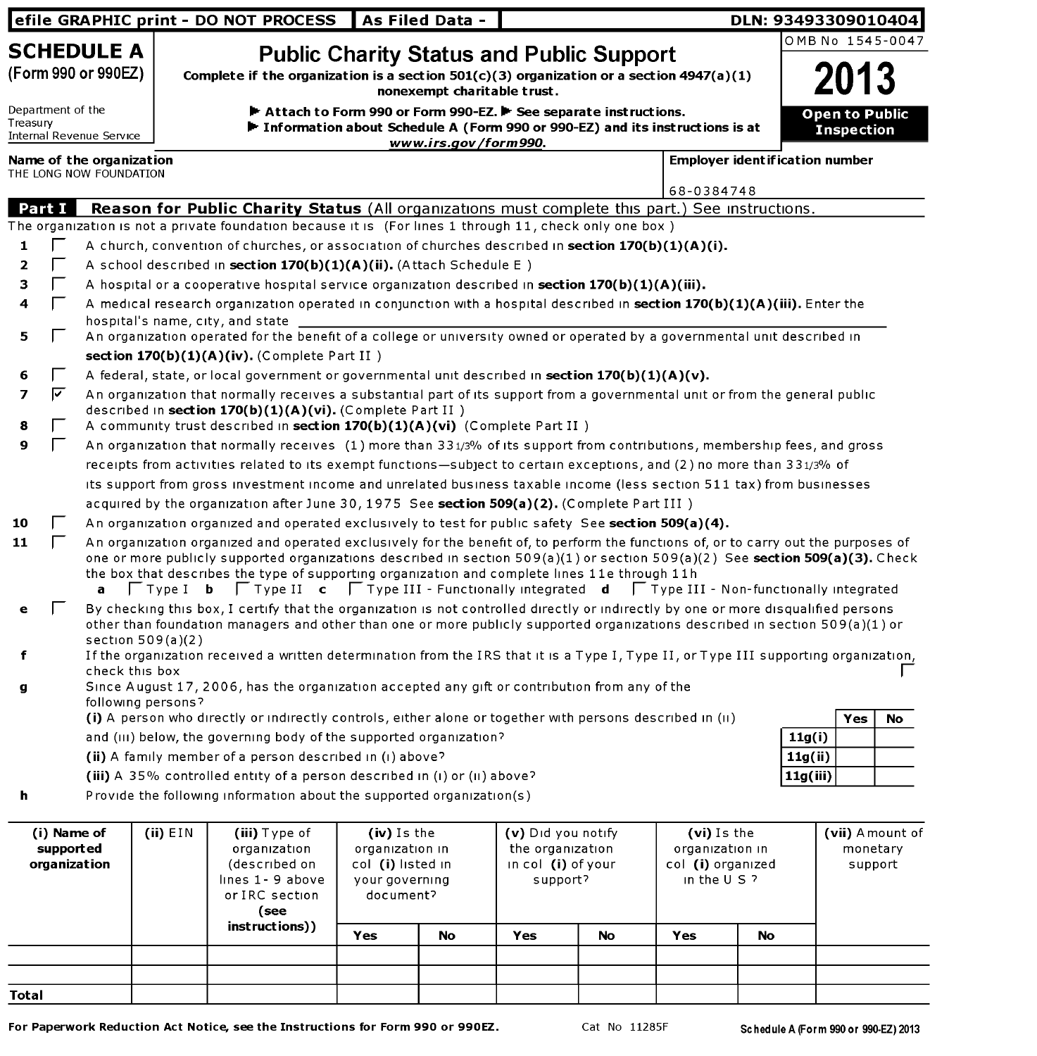|             |                                          |                                                     |                     | efile GRAPHIC print - DO NOT PROCESS                                                                                                                                                                                                                                                                                                                                                                                                                                                                                     |                                                                                    | As Filed Data -             |                                                                          |    |                                                                       | DLN: 93493309010404 |                   |                                        |
|-------------|------------------------------------------|-----------------------------------------------------|---------------------|--------------------------------------------------------------------------------------------------------------------------------------------------------------------------------------------------------------------------------------------------------------------------------------------------------------------------------------------------------------------------------------------------------------------------------------------------------------------------------------------------------------------------|------------------------------------------------------------------------------------|-----------------------------|--------------------------------------------------------------------------|----|-----------------------------------------------------------------------|---------------------|-------------------|----------------------------------------|
|             |                                          | <b>SCHEDULE A</b>                                   |                     |                                                                                                                                                                                                                                                                                                                                                                                                                                                                                                                          |                                                                                    |                             |                                                                          |    |                                                                       |                     |                   | OMB No 1545-0047                       |
|             |                                          | (Form 990 or 990EZ)                                 |                     | Complete if the organization is a section $501(c)(3)$ organization or a section 4947(a)(1)                                                                                                                                                                                                                                                                                                                                                                                                                               |                                                                                    | nonexempt charitable trust. | <b>Public Charity Status and Public Support</b>                          |    |                                                                       |                     |                   |                                        |
|             | Department of the                        |                                                     |                     | Attach to Form 990 or Form 990-EZ. The See separate instructions.                                                                                                                                                                                                                                                                                                                                                                                                                                                        |                                                                                    |                             |                                                                          |    |                                                                       |                     |                   | Open to Public                         |
| Treasury    |                                          | Internal Revenue Service                            |                     | Information about Schedule A (Form 990 or 990-EZ) and its instructions is at                                                                                                                                                                                                                                                                                                                                                                                                                                             |                                                                                    | www.irs.gov/form990.        |                                                                          |    |                                                                       |                     | <b>Inspection</b> |                                        |
|             |                                          | Name of the organization<br>THE LONG NOW FOUNDATION |                     |                                                                                                                                                                                                                                                                                                                                                                                                                                                                                                                          |                                                                                    |                             |                                                                          |    | <b>Employer ident if ication number</b>                               |                     |                   |                                        |
|             |                                          |                                                     |                     |                                                                                                                                                                                                                                                                                                                                                                                                                                                                                                                          |                                                                                    |                             |                                                                          |    | 68-0384748                                                            |                     |                   |                                        |
|             | Part I                                   |                                                     |                     | Reason for Public Charity Status (All organizations must complete this part.) See instructions.                                                                                                                                                                                                                                                                                                                                                                                                                          |                                                                                    |                             |                                                                          |    |                                                                       |                     |                   |                                        |
|             |                                          |                                                     |                     | The organization is not a private foundation because it is (For lines 1 through 11, check only one box)                                                                                                                                                                                                                                                                                                                                                                                                                  |                                                                                    |                             |                                                                          |    |                                                                       |                     |                   |                                        |
| 1           |                                          |                                                     |                     | A church, convention of churches, or association of churches described in section 170(b)(1)(A)(i).                                                                                                                                                                                                                                                                                                                                                                                                                       |                                                                                    |                             |                                                                          |    |                                                                       |                     |                   |                                        |
| 2           |                                          |                                                     |                     | A school described in section 170(b)(1)(A)(ii). (Attach Schedule E)                                                                                                                                                                                                                                                                                                                                                                                                                                                      |                                                                                    |                             |                                                                          |    |                                                                       |                     |                   |                                        |
| з           | Е                                        |                                                     |                     | A hospital or a cooperative hospital service organization described in section $170(b)(1)(A)(iii)$ .                                                                                                                                                                                                                                                                                                                                                                                                                     |                                                                                    |                             |                                                                          |    |                                                                       |                     |                   |                                        |
| 4           | Г                                        |                                                     |                     | A medical research organization operated in conjunction with a hospital described in section 170(b)(1)(A)(iii). Enter the                                                                                                                                                                                                                                                                                                                                                                                                |                                                                                    |                             |                                                                          |    |                                                                       |                     |                   |                                        |
|             |                                          |                                                     |                     | hospital's name, city, and state                                                                                                                                                                                                                                                                                                                                                                                                                                                                                         |                                                                                    |                             |                                                                          |    |                                                                       |                     |                   |                                        |
| 5           | I.                                       |                                                     |                     | An organization operated for the benefit of a college or university owned or operated by a governmental unit described in                                                                                                                                                                                                                                                                                                                                                                                                |                                                                                    |                             |                                                                          |    |                                                                       |                     |                   |                                        |
|             |                                          |                                                     |                     | section $170(b)(1)(A)(iv)$ . (Complete Part II)                                                                                                                                                                                                                                                                                                                                                                                                                                                                          |                                                                                    |                             |                                                                          |    |                                                                       |                     |                   |                                        |
| 6           | I.                                       |                                                     |                     | A federal, state, or local government or governmental unit described in section $170(b)(1)(A)(v)$ .                                                                                                                                                                                                                                                                                                                                                                                                                      |                                                                                    |                             |                                                                          |    |                                                                       |                     |                   |                                        |
| 7<br>8      | ⊽                                        |                                                     |                     | An organization that normally receives a substantial part of its support from a governmental unit or from the general public<br>described in section 170(b)(1)(A)(vi). (Complete Part II)<br>A community trust described in section 170(b)(1)(A)(vi) (Complete Part II)                                                                                                                                                                                                                                                  |                                                                                    |                             |                                                                          |    |                                                                       |                     |                   |                                        |
| 9           | $\mathbf{L}$                             |                                                     |                     | An organization that normally receives (1) more than 331/3% of its support from contributions, membership fees, and gross                                                                                                                                                                                                                                                                                                                                                                                                |                                                                                    |                             |                                                                          |    |                                                                       |                     |                   |                                        |
|             |                                          |                                                     |                     | receipts from activities related to its exempt functions-subject to certain exceptions, and (2) no more than 331/3% of                                                                                                                                                                                                                                                                                                                                                                                                   |                                                                                    |                             |                                                                          |    |                                                                       |                     |                   |                                        |
|             |                                          |                                                     |                     | its support from gross investment income and unrelated business taxable income (less section 511 tax) from businesses                                                                                                                                                                                                                                                                                                                                                                                                    |                                                                                    |                             |                                                                          |    |                                                                       |                     |                   |                                        |
|             |                                          |                                                     |                     | acquired by the organization after June 30, 1975 See section 509(a)(2). (Complete Part III)                                                                                                                                                                                                                                                                                                                                                                                                                              |                                                                                    |                             |                                                                          |    |                                                                       |                     |                   |                                        |
| 10          |                                          |                                                     |                     | An organization organized and operated exclusively to test for public safety See section 509(a)(4).                                                                                                                                                                                                                                                                                                                                                                                                                      |                                                                                    |                             |                                                                          |    |                                                                       |                     |                   |                                        |
| 11          | $\mathbf{L}$                             | a                                                   |                     | An organization organized and operated exclusively for the benefit of, to perform the functions of, or to carry out the purposes of<br>one or more publicly supported organizations described in section 509(a)(1) or section 509(a)(2) See section 509(a)(3). Check<br>the box that describes the type of supporting organization and complete lines 11e through 11h<br>$\Box$ Type I <b>b</b> $\Box$ Type II <b>c</b> $\Box$ Type III - Functionally integrated <b>d</b> $\Box$ Type III - Non-functionally integrated |                                                                                    |                             |                                                                          |    |                                                                       |                     |                   |                                        |
| е<br>f<br>g |                                          | check this box                                      | section $509(a)(2)$ | By checking this box, I certify that the organization is not controlled directly or indirectly by one or more disqualified persons<br>other than foundation managers and other than one or more publicly supported organizations described in section 509(a)(1) or<br>If the organization received a written determination from the IRS that it is a Type I, Type II, or Type III supporting organization,<br>Since August 17, 2006, has the organization accepted any gift or contribution from any of the              |                                                                                    |                             |                                                                          |    |                                                                       |                     |                   |                                        |
|             |                                          |                                                     | following persons?  |                                                                                                                                                                                                                                                                                                                                                                                                                                                                                                                          |                                                                                    |                             |                                                                          |    |                                                                       |                     |                   |                                        |
|             |                                          |                                                     |                     | (i) A person who directly or indirectly controls, either alone or together with persons described in (ii)                                                                                                                                                                                                                                                                                                                                                                                                                |                                                                                    |                             |                                                                          |    |                                                                       |                     | Yes               | No                                     |
|             |                                          |                                                     |                     | and (III) below, the governing body of the supported organization?                                                                                                                                                                                                                                                                                                                                                                                                                                                       |                                                                                    |                             |                                                                          |    |                                                                       |                     | 11g(i)            |                                        |
|             |                                          |                                                     |                     | (ii) A family member of a person described in (i) above?                                                                                                                                                                                                                                                                                                                                                                                                                                                                 |                                                                                    |                             |                                                                          |    |                                                                       |                     | 11g(ii)           |                                        |
|             |                                          |                                                     |                     | (iii) A 35% controlled entity of a person described in (i) or (ii) above?                                                                                                                                                                                                                                                                                                                                                                                                                                                |                                                                                    |                             |                                                                          |    |                                                                       |                     | 11g(iii)          |                                        |
| h           |                                          |                                                     |                     | Provide the following information about the supported organization(s)                                                                                                                                                                                                                                                                                                                                                                                                                                                    |                                                                                    |                             |                                                                          |    |                                                                       |                     |                   |                                        |
|             | (i) Name of<br>supported<br>organization |                                                     | (ii) $EIN$          | (iii) Type of<br>organization<br>(described on<br>lines 1 - 9 above<br>or IRC section<br>(see                                                                                                                                                                                                                                                                                                                                                                                                                            | (iv) Is the<br>organization in<br>col (i) listed in<br>your governing<br>document? |                             | (v) Did you notify<br>the organization<br>in col (i) of your<br>support? |    | (vi) Is the<br>organization in<br>col (i) organized<br>in the $U S$ ? |                     |                   | (vii) Amount of<br>monetary<br>support |
|             |                                          |                                                     |                     | instructions))                                                                                                                                                                                                                                                                                                                                                                                                                                                                                                           | Yes                                                                                | <b>No</b>                   | Yes                                                                      | No | Yes                                                                   | <b>No</b>           |                   |                                        |
|             |                                          |                                                     |                     |                                                                                                                                                                                                                                                                                                                                                                                                                                                                                                                          |                                                                                    |                             |                                                                          |    |                                                                       |                     |                   |                                        |
|             |                                          |                                                     |                     |                                                                                                                                                                                                                                                                                                                                                                                                                                                                                                                          |                                                                                    |                             |                                                                          |    |                                                                       |                     |                   |                                        |
| Total       |                                          |                                                     |                     |                                                                                                                                                                                                                                                                                                                                                                                                                                                                                                                          |                                                                                    |                             |                                                                          |    |                                                                       |                     |                   |                                        |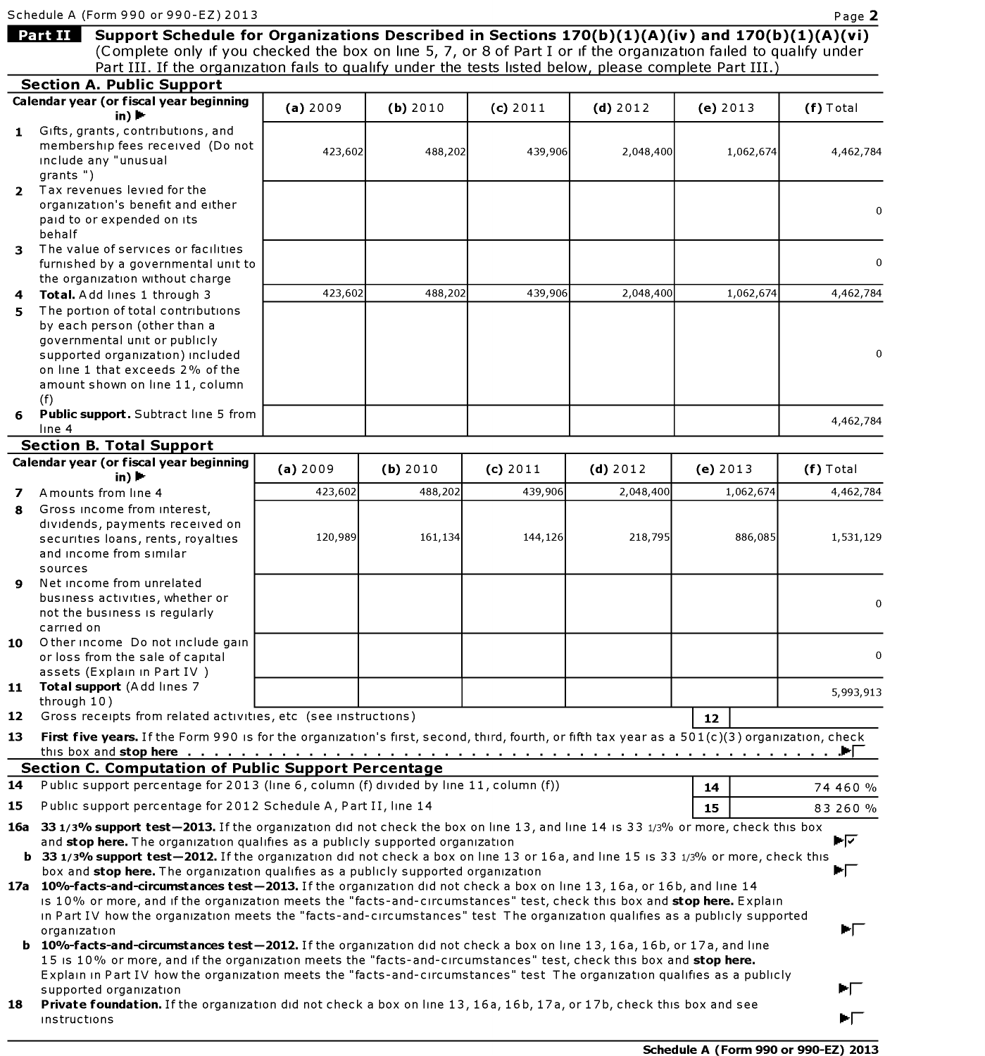Schedule A<br>**Part II** Schedule A (Form 990 or 990-EZ) 2013 Page 2 Support Schedule for Organizations Described in Sections 170(b)(1)(A)(iv) and 170(b)(1)(A)(vi) (Complete only if you checked the box on line 5, 7, or 8 of PartI or if the organization failed to qualify under Part III. If the organization fails to qualify under the tests listed below, please complete Part III.) Section A. Public Support Calendar year (or fiscal year beginning (a)2009 (b)2010 (c)2011 (d)2012 (e)2013 (f) Total in) $\blacktriangleright$ 1 Gifts, grants, contributions, and membership fees received (Do not 423,602 488,202 439,906 2,048,400 1,062,674 4,462,784 include any "unusual grants ") 2 Tax revenues levied for the organization's benefit and either  $\Omega$ paid to or expended on its behalf 3 The value of services or facilities furnished by a governmental unit to  $\Omega$ the organization Without charge Total. Add lines 1 through 3 4 423,602 488,202 439,906 2,048,400 1,062,674 4,462,784  $5<sup>1</sup>$ The portion of total contributions by each person (other than a governmental unit or publicly supported organization) included  $\boldsymbol{0}$ on line <sup>1</sup> that exceeds 2% of the amount shown on line 11, column (f) Public support. Subtract line 5 from 6 4,462,784 line 4 Section B. Total Support Calendar year (or fiscal year beginning r fiscal year beginning (a) 2009 (b) 2010 (c) 2011 (d) 2012 (e) 2013 (f) Total<br>in) ▶ Amounts from line 4 423,602 488,202 439,906 468,202 439,906 4,062,674 4,462,784 7 Gross income from interest, 8 diVidends, payments received on securities loans, rents, royalties 120,989 161,134 144,126 218,795 886,085 1,531,129 and income from Similar sources Net income from unrelated busmess actiVities, whether or  $\Omega$ not the business is regularly carried on  ${\bf 10}$   $\,$   $\,$  Other income  $\,$  Do not include gain or loss from the sale ofcapital  $\Omega$ assets (Explain in Part IV) 11 Total support (Add lines 7 5,993,913 through 10) Gross receipts from related activities, etc (see instructions)  $12$ 12 First five years. If the Form 990 is for the organization's first, second, third, fourth, or fifth tax year as a 501(c)(3) organization, check 13 this box and stop here .iri Section C. Computation of Public Support Percentage Public support percentage for 2013 (line 6, column (f) divided by line 11, column (f)) 14 14 74 460 % 15 Public support percentage for 2012 Schedule A, Part II, line <sup>14</sup> **15** 83 260 % 16a 33 1/3<mark>% support test—2013.</mark> If the organization did not check the box on line 13, and line 14 is 33 1/3% or more, check this box া≁ and stop here. The organization qualifies as a publicly supported organization **b** 33 1/3% support test-2012. If the organization did not check a box on line 13 or 16a, and line 15 is 33 1/3% or more, check this ri box and stop here. The organization qualifies as a publicly supported organization <mark>17a 10%-facts-and-circumstances test—2013.</mark> If the organization did not check a box on line 13, 16a, or 16b, and line 14 is 10% or more, and if the organization meets the "facts-and-circumstances" test, check this box and stop here. Explain in Part IV how the organization meets the "facts-and-CIrcumstances" test The organization qualifies as <sup>a</sup> publicly supported organization iri **b** 10%-facts-and-circumstances test-2012. If the organization did not check a box on line 13, 16a, 16b, or 17a, and line 15 is 10% or more, and if the organization meets the "facts-and-circumstances" test, check this box and stop here. Explain in Part IV how the organization meets the "facts-and-CIrcumstances" test The organization qualifies as <sup>a</sup> publicly  $\blacksquare$ supported organization Private foundation. If the organization did not check a box on line 13, 16a, 16b, 17a, or 17b, check this box and see 18 PI

instructions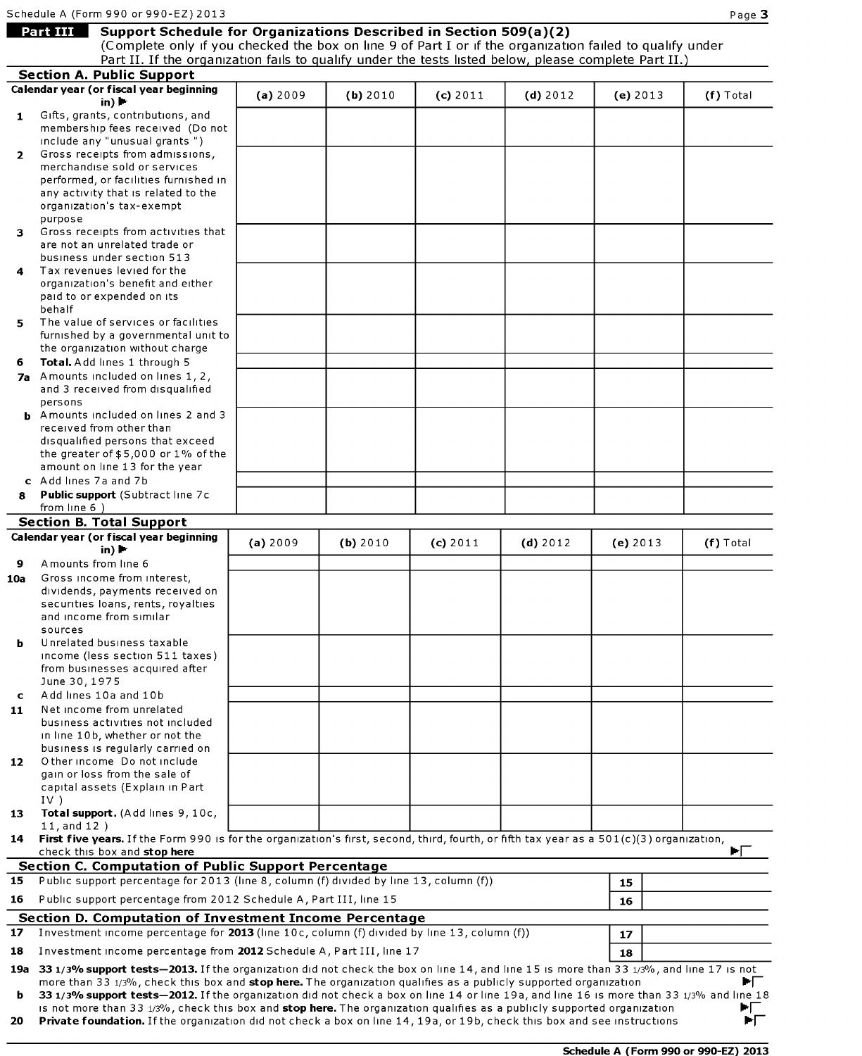# Schedule A (Fo<br>**Part III** Support Schedule for Organizations Described in Section 509(a)(2)

(Complete only if you checked the box on line 9 of Part I or if the organization failed to qualify under

|                | Part II. If the organization fails to qualify under the tests listed below, please complete Part II.)                                                                                                                                                          |          |          |          |            |          |           |
|----------------|----------------------------------------------------------------------------------------------------------------------------------------------------------------------------------------------------------------------------------------------------------------|----------|----------|----------|------------|----------|-----------|
|                | <b>Section A. Public Support</b>                                                                                                                                                                                                                               |          |          |          |            |          |           |
|                | Calendar year (or fiscal year beginning<br>in) $\blacktriangleright$                                                                                                                                                                                           | (a) 2009 | (b) 2010 | (c) 2011 | $(d)$ 2012 | (e) 2013 | (f) Total |
| 1              | Gifts, grants, contributions, and                                                                                                                                                                                                                              |          |          |          |            |          |           |
|                | membership fees received (Do not                                                                                                                                                                                                                               |          |          |          |            |          |           |
|                | include any "unusual grants")                                                                                                                                                                                                                                  |          |          |          |            |          |           |
| $\overline{2}$ | Gross receipts from admissions,                                                                                                                                                                                                                                |          |          |          |            |          |           |
|                | merchandise sold or services<br>performed, or facilities furnished in                                                                                                                                                                                          |          |          |          |            |          |           |
|                | any activity that is related to the                                                                                                                                                                                                                            |          |          |          |            |          |           |
|                | organization's tax-exempt                                                                                                                                                                                                                                      |          |          |          |            |          |           |
|                | purpose                                                                                                                                                                                                                                                        |          |          |          |            |          |           |
| 3              | Gross receipts from activities that                                                                                                                                                                                                                            |          |          |          |            |          |           |
|                | are not an unrelated trade or                                                                                                                                                                                                                                  |          |          |          |            |          |           |
|                | business under section 513<br>Tax revenues levied for the                                                                                                                                                                                                      |          |          |          |            |          |           |
| 4              | organization's benefit and either                                                                                                                                                                                                                              |          |          |          |            |          |           |
|                | paid to or expended on its                                                                                                                                                                                                                                     |          |          |          |            |          |           |
|                | behalf                                                                                                                                                                                                                                                         |          |          |          |            |          |           |
| 5.             | The value of services or facilities                                                                                                                                                                                                                            |          |          |          |            |          |           |
|                | furnished by a governmental unit to                                                                                                                                                                                                                            |          |          |          |            |          |           |
|                | the organization without charge                                                                                                                                                                                                                                |          |          |          |            |          |           |
| 6              | Total. Add lines 1 through 5<br>7a Amounts included on lines 1, 2,                                                                                                                                                                                             |          |          |          |            |          |           |
|                | and 3 received from disqualified                                                                                                                                                                                                                               |          |          |          |            |          |           |
|                | persons                                                                                                                                                                                                                                                        |          |          |          |            |          |           |
|                | <b>b</b> Amounts included on lines 2 and 3                                                                                                                                                                                                                     |          |          |          |            |          |           |
|                | received from other than                                                                                                                                                                                                                                       |          |          |          |            |          |           |
|                | disqualified persons that exceed                                                                                                                                                                                                                               |          |          |          |            |          |           |
|                | the greater of $$5,000$ or $1\%$ of the<br>amount on line 13 for the year                                                                                                                                                                                      |          |          |          |            |          |           |
|                | c Add lines 7a and 7b                                                                                                                                                                                                                                          |          |          |          |            |          |           |
| 8              | Public support (Subtract line 7c                                                                                                                                                                                                                               |          |          |          |            |          |           |
|                | from line $6$ )                                                                                                                                                                                                                                                |          |          |          |            |          |           |
|                | <b>Section B. Total Support</b>                                                                                                                                                                                                                                |          |          |          |            |          |           |
|                | Calendar year (or fiscal year beginning                                                                                                                                                                                                                        | (a) 2009 | (b) 2010 | (c) 2011 | $(d)$ 2012 | (e) 2013 | (f) Total |
|                | in) $\blacktriangleright$                                                                                                                                                                                                                                      |          |          |          |            |          |           |
| 9              | Amounts from line 6<br>Gross income from interest,                                                                                                                                                                                                             |          |          |          |            |          |           |
| 10a            | dividends, payments received on                                                                                                                                                                                                                                |          |          |          |            |          |           |
|                | securities loans, rents, royalties                                                                                                                                                                                                                             |          |          |          |            |          |           |
|                | and income from similar                                                                                                                                                                                                                                        |          |          |          |            |          |           |
|                | sources                                                                                                                                                                                                                                                        |          |          |          |            |          |           |
| b              | Unrelated business taxable<br>income (less section 511 taxes)                                                                                                                                                                                                  |          |          |          |            |          |           |
|                | from businesses acquired after                                                                                                                                                                                                                                 |          |          |          |            |          |           |
|                | June 30, 1975                                                                                                                                                                                                                                                  |          |          |          |            |          |           |
| C.             | Add lines 10a and 10b                                                                                                                                                                                                                                          |          |          |          |            |          |           |
| 11             | Net income from unrelated                                                                                                                                                                                                                                      |          |          |          |            |          |           |
|                | business activities not included                                                                                                                                                                                                                               |          |          |          |            |          |           |
|                | in line 10b, whether or not the                                                                                                                                                                                                                                |          |          |          |            |          |           |
| 12             | business is regularly carried on<br>O ther income Do not include                                                                                                                                                                                               |          |          |          |            |          |           |
|                | gain or loss from the sale of                                                                                                                                                                                                                                  |          |          |          |            |          |           |
|                | capital assets (Explain in Part                                                                                                                                                                                                                                |          |          |          |            |          |           |
|                | $IV$ )                                                                                                                                                                                                                                                         |          |          |          |            |          |           |
| 13             | Total support. (Add lines 9, 10c,<br>11, and 12)                                                                                                                                                                                                               |          |          |          |            |          |           |
| 14             | First five years. If the Form 990 is for the organization's first, second, third, fourth, or fifth tax year as a 501(c)(3) organization,                                                                                                                       |          |          |          |            |          |           |
|                | check this box and stop here                                                                                                                                                                                                                                   |          |          |          |            |          | ÞГ        |
|                | <b>Section C. Computation of Public Support Percentage</b>                                                                                                                                                                                                     |          |          |          |            |          |           |
| 15             | Public support percentage for 2013 (line 8, column (f) divided by line 13, column (f))                                                                                                                                                                         |          |          |          |            | 15       |           |
| 16             | Public support percentage from 2012 Schedule A, Part III, line 15                                                                                                                                                                                              |          |          |          |            | 16       |           |
|                | <b>Section D. Computation of Investment Income Percentage</b>                                                                                                                                                                                                  |          |          |          |            |          |           |
| 17             | Investment income percentage for 2013 (line 10c, column (f) divided by line 13, column (f))                                                                                                                                                                    |          |          |          |            | 17       |           |
| 18             | Investment income percentage from 2012 Schedule A, Part III, line 17                                                                                                                                                                                           |          |          |          |            |          |           |
|                |                                                                                                                                                                                                                                                                |          |          |          |            | 18       |           |
|                | 19a 33 1/3% support tests-2013. If the organization did not check the box on line 14, and line 15 is more than 33 1/3%, and line 17 is not<br>more than 33 1/3%, check this box and stop here. The organization qualifies as a publicly supported organization |          |          |          |            |          | ▶Г        |
| b              | 33 1/3% support tests-2012. If the organization did not check a box on line 14 or line 19a, and line 16 is more than 33 1/3% and line 18                                                                                                                       |          |          |          |            |          |           |
|                | is not more than 33 1/3%, check this box and stop here. The organization qualifies as a publicly supported organization                                                                                                                                        |          |          |          |            |          | ►୮        |
| 20             | Private foundation. If the organization did not check a box on line 14, 19a, or 19b, check this box and see instructions                                                                                                                                       |          |          |          |            |          | ÞГ        |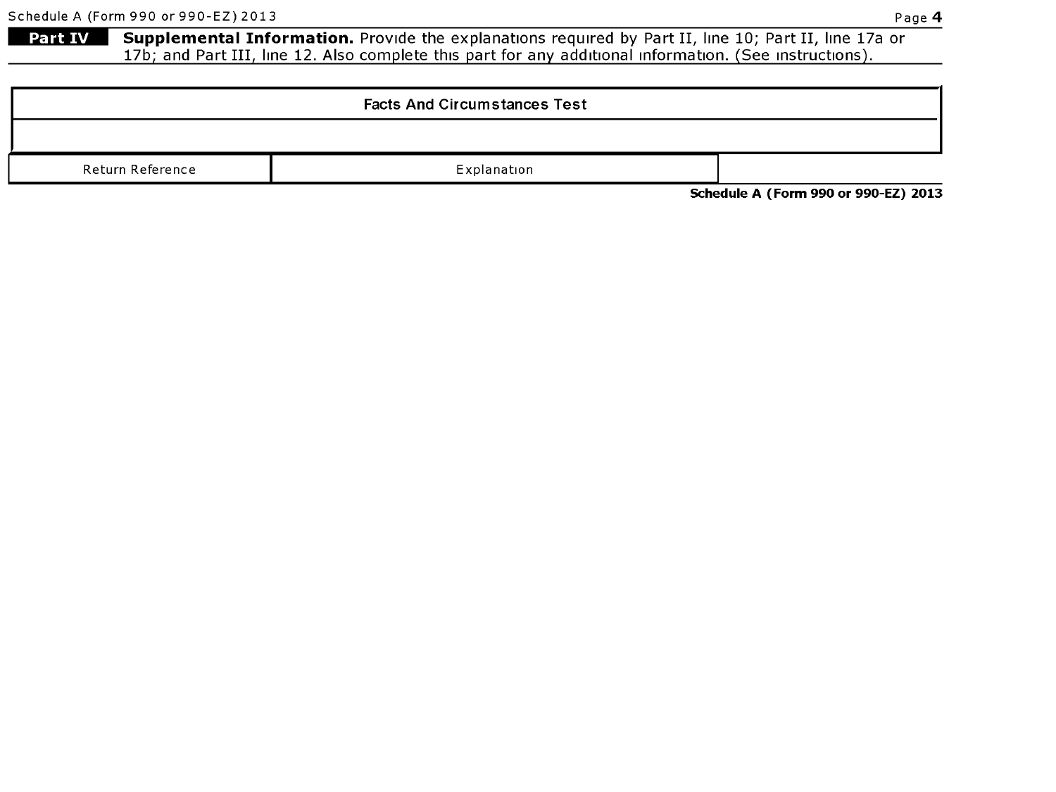Page 4 (Form 990 or 990-EZ) 2013<br>**Part IV Supplemental Information.** Provide the explanations required by Part II, line 10; Part II, line 17a or Supplemental Information. Provide the explanations required by Part II, line 10; Part II, line 17a or 17b; and Part III, line 12. Also complete this part for any additional information. (See instructions).

|                  | <b>Facts And Circumstances Test</b> |  |  |  |  |  |  |  |  |
|------------------|-------------------------------------|--|--|--|--|--|--|--|--|
|                  |                                     |  |  |  |  |  |  |  |  |
| Return Reference | Explanation                         |  |  |  |  |  |  |  |  |

Schedule A (Form 990 or 990-EZ) 2013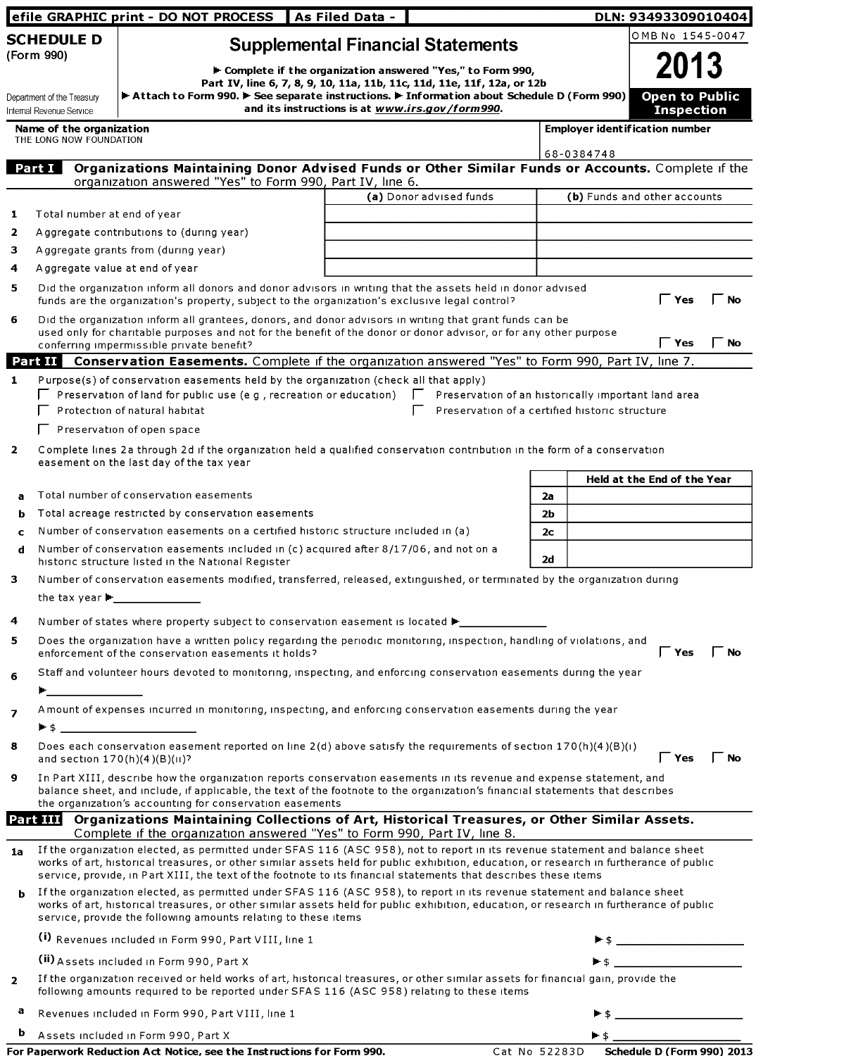|                |                                                        | efile GRAPHIC print - DO NOT PROCESS                                                                                                                                                                                                                                                                                                  | As Filed Data - |                                                                                                                                        |                      |            | DLN: 93493309010404                        |           |
|----------------|--------------------------------------------------------|---------------------------------------------------------------------------------------------------------------------------------------------------------------------------------------------------------------------------------------------------------------------------------------------------------------------------------------|-----------------|----------------------------------------------------------------------------------------------------------------------------------------|----------------------|------------|--------------------------------------------|-----------|
|                | <b>SCHEDULE D</b><br>(Form 990)                        |                                                                                                                                                                                                                                                                                                                                       |                 | <b>Supplemental Financial Statements</b>                                                                                               |                      |            | OMB No 1545-0047<br>2013                   |           |
|                |                                                        |                                                                                                                                                                                                                                                                                                                                       |                 | ► Complete if the organization answered "Yes," to Form 990,<br>Part IV, line 6, 7, 8, 9, 10, 11a, 11b, 11c, 11d, 11e, 11f, 12a, or 12b |                      |            |                                            |           |
|                | Department of the Treasury<br>Internal Revenue Service | Attach to Form 990. F See separate instructions. F Information about Schedule D (Form 990)                                                                                                                                                                                                                                            |                 | and its instructions is at www.irs.gov/form990.                                                                                        |                      |            | <b>Open to Public</b><br><b>Inspection</b> |           |
|                | Name of the organization<br>THE LONG NOW FOUNDATION    |                                                                                                                                                                                                                                                                                                                                       |                 |                                                                                                                                        |                      |            | <b>Employer ident if ication number</b>    |           |
|                | Part I                                                 | Organizations Maintaining Donor Advised Funds or Other Similar Funds or Accounts. Complete if the                                                                                                                                                                                                                                     |                 |                                                                                                                                        |                      | 68-0384748 |                                            |           |
|                |                                                        | organization answered "Yes" to Form 990, Part IV, line 6.                                                                                                                                                                                                                                                                             |                 |                                                                                                                                        |                      |            |                                            |           |
|                |                                                        |                                                                                                                                                                                                                                                                                                                                       |                 | (a) Donor advised funds                                                                                                                |                      |            | (b) Funds and other accounts               |           |
| 1              | Total number at end of year                            |                                                                                                                                                                                                                                                                                                                                       |                 |                                                                                                                                        |                      |            |                                            |           |
| 2              |                                                        | Aggregate contributions to (during year)                                                                                                                                                                                                                                                                                              |                 |                                                                                                                                        |                      |            |                                            |           |
| 3.             |                                                        | Aggregate grants from (during year)                                                                                                                                                                                                                                                                                                   |                 |                                                                                                                                        |                      |            |                                            |           |
| 4              |                                                        | Aggregate value at end of year                                                                                                                                                                                                                                                                                                        |                 |                                                                                                                                        |                      |            |                                            |           |
| 5.             |                                                        | Did the organization inform all donors and donor advisors in writing that the assets held in donor advised<br>funds are the organization's property, subject to the organization's exclusive legal control?                                                                                                                           |                 |                                                                                                                                        |                      |            | Yes                                        | No        |
| 6              |                                                        | Did the organization inform all grantees, donors, and donor advisors in writing that grant funds can be<br>used only for charitable purposes and not for the benefit of the donor or donor advisor, or for any other purpose<br>conferring impermissible private benefit?                                                             |                 |                                                                                                                                        |                      |            | $\Gamma$ Yes                               | $\Box$ No |
|                |                                                        | <b>Part II</b> Conservation Easements. Complete if the organization answered "Yes" to Form 990, Part IV, line 7.                                                                                                                                                                                                                      |                 |                                                                                                                                        |                      |            |                                            |           |
| $\mathbf{1}$   |                                                        | Purpose(s) of conservation easements held by the organization (check all that apply)<br>$\Box$ Preservation of land for public use (e g, recreation or education) $\Box$<br>Protection of natural habitat                                                                                                                             |                 | Preservation of an historically important land area<br>Preservation of a certified historic structure                                  |                      |            |                                            |           |
|                |                                                        | $\Gamma$ Preservation of open space                                                                                                                                                                                                                                                                                                   |                 |                                                                                                                                        |                      |            |                                            |           |
| $\mathbf{2}$   |                                                        | Complete lines 2a through 2d if the organization held a qualified conservation contribution in the form of a conservation<br>easement on the last day of the tax year                                                                                                                                                                 |                 |                                                                                                                                        |                      |            |                                            |           |
|                |                                                        |                                                                                                                                                                                                                                                                                                                                       |                 |                                                                                                                                        |                      |            | Held at the End of the Year                |           |
| a              |                                                        | Total number of conservation easements                                                                                                                                                                                                                                                                                                |                 |                                                                                                                                        | 2a                   |            |                                            |           |
| b              |                                                        | Total acreage restricted by conservation easements                                                                                                                                                                                                                                                                                    |                 |                                                                                                                                        | 2b                   |            |                                            |           |
| C<br>d         |                                                        | Number of conservation easements on a certified historic structure included in (a)<br>Number of conservation easements included in (c) acquired after 8/17/06, and not on a<br>historic structure listed in the National Register                                                                                                     |                 |                                                                                                                                        | 2 <sub>c</sub><br>2d |            |                                            |           |
| 3              |                                                        | Number of conservation easements modified, transferred, released, extinguished, or terminated by the organization during                                                                                                                                                                                                              |                 |                                                                                                                                        |                      |            |                                            |           |
|                |                                                        |                                                                                                                                                                                                                                                                                                                                       |                 |                                                                                                                                        |                      |            |                                            |           |
| 4<br>5.        |                                                        | Number of states where property subject to conservation easement is located ▶ _____________________<br>Does the organization have a written policy regarding the periodic monitoring, inspection, handling of violations, and<br>enforcement of the conservation easements it holds?                                                  |                 |                                                                                                                                        |                      |            | <b>Yes</b>                                 | <b>No</b> |
| 6              |                                                        | Staff and volunteer hours devoted to monitoring, inspecting, and enforcing conservation easements during the year                                                                                                                                                                                                                     |                 |                                                                                                                                        |                      |            |                                            |           |
| $\overline{ }$ | <b>Example 19</b>                                      | A mount of expenses incurred in monitoring, inspecting, and enforcing conservation easements during the year                                                                                                                                                                                                                          |                 |                                                                                                                                        |                      |            |                                            |           |
|                |                                                        |                                                                                                                                                                                                                                                                                                                                       |                 |                                                                                                                                        |                      |            |                                            |           |
| 8              | and section $170(h)(4)(B)(H)$ ?                        | Does each conservation easement reported on line $2(d)$ above satisfy the requirements of section $170(h)(4)(B)(i)$                                                                                                                                                                                                                   |                 |                                                                                                                                        |                      |            | $\Gamma$ Yes                               | <b>No</b> |
| 9              |                                                        | In Part XIII, describe how the organization reports conservation easements in its revenue and expense statement, and<br>balance sheet, and include, if applicable, the text of the footnote to the organization's financial statements that describes<br>the organization's accounting for conservation easements                     |                 |                                                                                                                                        |                      |            |                                            |           |
|                |                                                        | Part III Organizations Maintaining Collections of Art, Historical Treasures, or Other Similar Assets.                                                                                                                                                                                                                                 |                 |                                                                                                                                        |                      |            |                                            |           |
|                |                                                        | Complete if the organization answered "Yes" to Form 990, Part IV, line 8.<br>If the organization elected, as permitted under SFAS 116 (ASC 958), not to report in its revenue statement and balance sheet                                                                                                                             |                 |                                                                                                                                        |                      |            |                                            |           |
| 1a             |                                                        | works of art, historical treasures, or other similar assets held for public exhibition, education, or research in furtherance of public<br>service, provide, in Part XIII, the text of the footnote to its financial statements that describes these items                                                                            |                 |                                                                                                                                        |                      |            |                                            |           |
| b              |                                                        | If the organization elected, as permitted under SFAS 116 (ASC 958), to report in its revenue statement and balance sheet<br>works of art, historical treasures, or other similar assets held for public exhibition, education, or research in furtherance of public<br>service, provide the following amounts relating to these items |                 |                                                                                                                                        |                      |            |                                            |           |
|                |                                                        | (i) Revenues included in Form 990, Part VIII, line 1                                                                                                                                                                                                                                                                                  |                 |                                                                                                                                        |                      |            |                                            |           |
|                |                                                        | (ii) Assets included in Form 990, Part X                                                                                                                                                                                                                                                                                              |                 |                                                                                                                                        |                      |            |                                            |           |
| $\overline{2}$ |                                                        | If the organization received or held works of art, historical treasures, or other similar assets for financial gain, provide the<br>following amounts required to be reported under SFAS 116 (ASC 958) relating to these items                                                                                                        |                 |                                                                                                                                        |                      |            |                                            |           |
| а              |                                                        | Revenues included in Form 990, Part VIII, line 1                                                                                                                                                                                                                                                                                      |                 |                                                                                                                                        |                      |            |                                            |           |
| b              |                                                        | Assets included in Form 990, Part X                                                                                                                                                                                                                                                                                                   |                 |                                                                                                                                        |                      |            |                                            |           |

| For Paperwork Reduction Act Notice, see the Instructions for Form 990. | Cat No 52283D Schedule D (Form 990) 2013 |
|------------------------------------------------------------------------|------------------------------------------|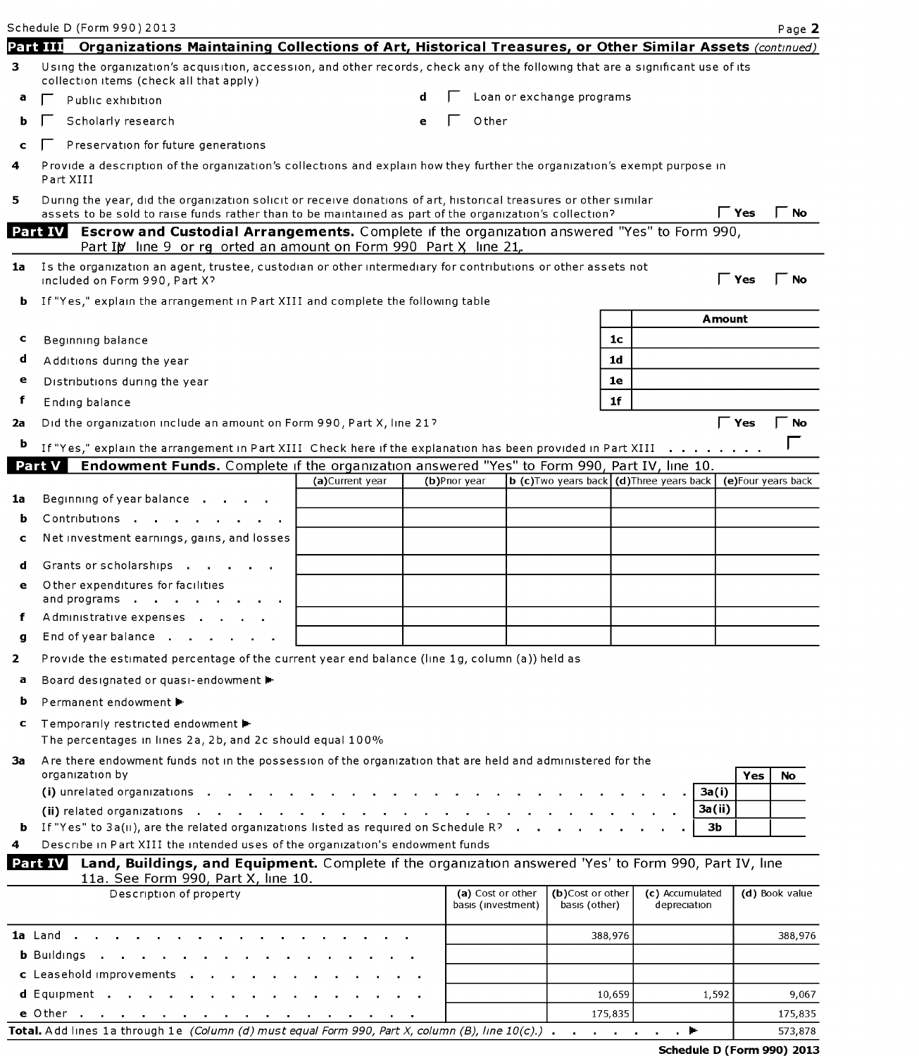| Schedule D (Form 990) 2013                                                                                                                                                                                                     |                 |   |               |                                         |                                                    |                                 |     | Page 2             |
|--------------------------------------------------------------------------------------------------------------------------------------------------------------------------------------------------------------------------------|-----------------|---|---------------|-----------------------------------------|----------------------------------------------------|---------------------------------|-----|--------------------|
| Part III<br>Organizations Maintaining Collections of Art, Historical Treasures, or Other Similar Assets (continued)                                                                                                            |                 |   |               |                                         |                                                    |                                 |     |                    |
| Using the organization's acquisition, accession, and other records, check any of the following that are a significant use of its<br>3.<br>collection items (check all that apply)                                              |                 |   |               |                                         |                                                    |                                 |     |                    |
| а<br>Public exhibition                                                                                                                                                                                                         |                 |   |               |                                         | Loan or exchange programs                          |                                 |     |                    |
| Scholarly research<br>ь                                                                                                                                                                                                        |                 | е | Other         |                                         |                                                    |                                 |     |                    |
| Preservation for future generations                                                                                                                                                                                            |                 |   |               |                                         |                                                    |                                 |     |                    |
| Provide a description of the organization's collections and explain how they further the organization's exempt purpose in<br>4<br>Part XIII                                                                                    |                 |   |               |                                         |                                                    |                                 |     |                    |
| During the year, did the organization solicit or receive donations of art, historical treasures or other similar<br>assets to be sold to raise funds rather than to be maintained as part of the organization's collection?    |                 |   |               |                                         |                                                    | $\mathsf{\Gamma}$ Yes           |     | No                 |
| <b>Escrow and Custodial Arrangements.</b> Complete if the organization answered "Yes" to Form 990,<br>Part IV<br>Part Ip line 9 or rg orted an amount on Form 990 Part X line 21,                                              |                 |   |               |                                         |                                                    |                                 |     |                    |
| Is the organization an agent, trustee, custodian or other intermediary for contributions or other assets not<br>1a<br>included on Form 990, Part X?                                                                            |                 |   |               |                                         |                                                    | $\mathsf \Gamma$ Yes            |     | $\Gamma$ No        |
| If "Yes," explain the arrangement in Part XIII and complete the following table<br>ь                                                                                                                                           |                 |   |               |                                         |                                                    |                                 |     |                    |
|                                                                                                                                                                                                                                |                 |   |               |                                         |                                                    | <b>Amount</b>                   |     |                    |
| c<br>Beginning balance                                                                                                                                                                                                         |                 |   |               |                                         | 1 <sub>c</sub>                                     |                                 |     |                    |
| d<br>Additions during the year                                                                                                                                                                                                 |                 |   |               |                                         | 1 <sub>d</sub>                                     |                                 |     |                    |
| Distributions during the year<br>e                                                                                                                                                                                             |                 |   |               |                                         | 1e                                                 |                                 |     |                    |
| f<br>Ending balance                                                                                                                                                                                                            |                 |   |               |                                         | 1f                                                 |                                 |     |                    |
| Did the organization include an amount on Form 990, Part X, line 21?<br>2a                                                                                                                                                     |                 |   |               |                                         |                                                    | $\Gamma$ Yes                    |     | $\Gamma$ No        |
| þ<br>If "Yes," explain the arrangement in Part XIII Check here if the explanation has been provided in Part XIII                                                                                                               |                 |   |               |                                         |                                                    |                                 |     |                    |
| Endowment Funds. Complete if the organization answered "Yes" to Form 990, Part IV, line 10.<br>Part V                                                                                                                          | (a)Current year |   | (b)Prior year |                                         | <b>b</b> (c) Two years back $(d)$ Three years back |                                 |     | (e)Four years back |
| Beginning of year balance<br>1a                                                                                                                                                                                                |                 |   |               |                                         |                                                    |                                 |     |                    |
| Contributions<br>b                                                                                                                                                                                                             |                 |   |               |                                         |                                                    |                                 |     |                    |
| Net investment earnings, gains, and losses<br>c                                                                                                                                                                                |                 |   |               |                                         |                                                    |                                 |     |                    |
|                                                                                                                                                                                                                                |                 |   |               |                                         |                                                    |                                 |     |                    |
| Grants or scholarships<br>d<br>Other expenditures for facilities                                                                                                                                                               |                 |   |               |                                         |                                                    |                                 |     |                    |
| е<br>and programs                                                                                                                                                                                                              |                 |   |               |                                         |                                                    |                                 |     |                    |
| Administrative expenses<br>f                                                                                                                                                                                                   |                 |   |               |                                         |                                                    |                                 |     |                    |
| End of year balance<br>g                                                                                                                                                                                                       |                 |   |               |                                         |                                                    |                                 |     |                    |
| Provide the estimated percentage of the current year end balance (line 1g, column (a)) held as                                                                                                                                 |                 |   |               |                                         |                                                    |                                 |     |                    |
| Board designated or quasi-endowment<br>а                                                                                                                                                                                       |                 |   |               |                                         |                                                    |                                 |     |                    |
| Permanent endowment ▶<br>b                                                                                                                                                                                                     |                 |   |               |                                         |                                                    |                                 |     |                    |
| Temporarily restricted endowment ▶<br>c<br>The percentages in lines 2a, 2b, and 2c should equal 100%                                                                                                                           |                 |   |               |                                         |                                                    |                                 |     |                    |
| Are there endowment funds not in the possession of the organization that are held and administered for the<br>За<br>organization by                                                                                            |                 |   |               |                                         |                                                    |                                 | Yes | No                 |
| (i) unrelated organizations with the control of the control of the control of the control of the control of the control of the control of the control of the control of the control of the control of the control of the contr |                 |   |               |                                         |                                                    | 3a(i)                           |     |                    |
|                                                                                                                                                                                                                                |                 |   |               |                                         |                                                    | 3a(ii)                          |     |                    |
| If "Yes" to $3a(u)$ , are the related organizations listed as required on Schedule R?<br>ь.                                                                                                                                    |                 |   |               |                                         |                                                    | 3b                              |     |                    |
| Describe in Part XIII the intended uses of the organization's endowment funds                                                                                                                                                  |                 |   |               |                                         |                                                    |                                 |     |                    |
| Land, Buildings, and Equipment. Complete if the organization answered 'Yes' to Form 990, Part IV, line<br>Part IV<br>11a. See Form 990, Part X, line 10.                                                                       |                 |   |               |                                         |                                                    |                                 |     |                    |
| Description of property                                                                                                                                                                                                        |                 |   |               | (a) Cost or other<br>basis (investment) | (b)Cost or other<br>basis (other)                  | (c) Accumulated<br>depreciation |     | (d) Book value     |
| <b>1a</b> Land <b>inc. i i i i i i i</b>                                                                                                                                                                                       |                 |   |               |                                         | 388,976                                            |                                 |     | 388,976            |
| <b>b</b> Buildings $\cdot$ $\cdot$ $\cdot$ $\cdot$ $\cdot$                                                                                                                                                                     |                 |   |               |                                         |                                                    |                                 |     |                    |
| c Leasehold improvements                                                                                                                                                                                                       |                 |   |               |                                         |                                                    |                                 |     |                    |
|                                                                                                                                                                                                                                |                 |   |               |                                         | 10,659                                             | 1,592                           |     | 9,067              |

Total. Add lines 1a through 1e (Column (d) must equal Form 990, Part X, column (B), line 10(c).) here helder here has stated as 573,878

e Other . . . . . . . . . . . . . . . 175,835 175,835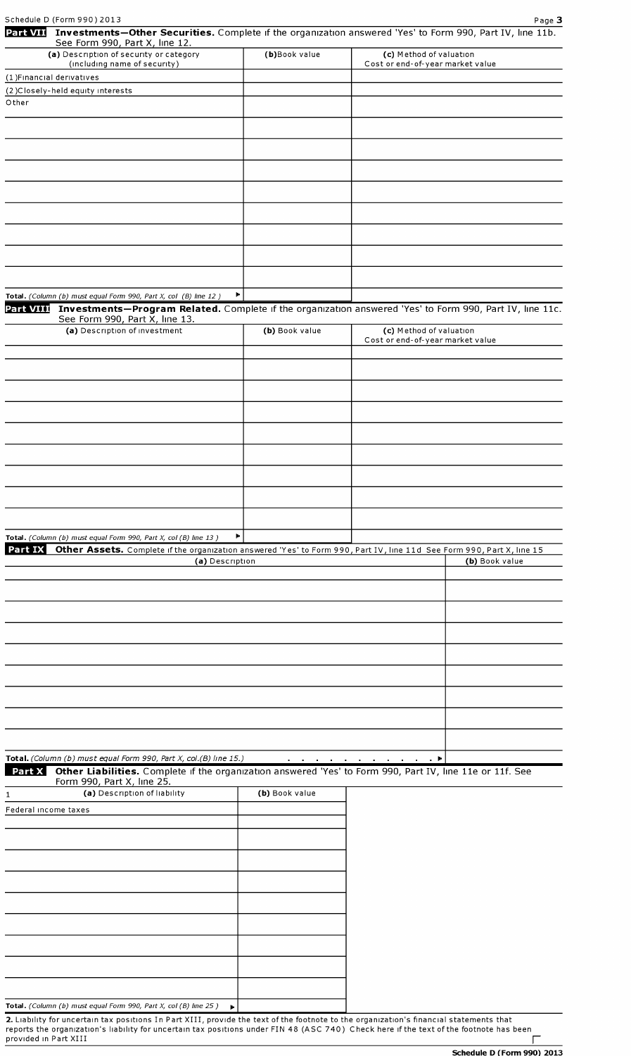| Part VII Investments-Other Securities. Complete if the organization answered 'Yes' to Form 990, Part IV, line 11b.<br>See Form 990, Part X, line 12.                                                  |                |                                                             |                |
|-------------------------------------------------------------------------------------------------------------------------------------------------------------------------------------------------------|----------------|-------------------------------------------------------------|----------------|
| (a) Description of security or category<br>(including name of security)                                                                                                                               | (b)Book value  | (c) Method of valuation<br>Cost or end-of-year market value |                |
| (1) Financial derivatives                                                                                                                                                                             |                |                                                             |                |
| (2) Closely-held equity interests                                                                                                                                                                     |                |                                                             |                |
| Other                                                                                                                                                                                                 |                |                                                             |                |
|                                                                                                                                                                                                       |                |                                                             |                |
|                                                                                                                                                                                                       |                |                                                             |                |
|                                                                                                                                                                                                       |                |                                                             |                |
|                                                                                                                                                                                                       |                |                                                             |                |
|                                                                                                                                                                                                       |                |                                                             |                |
|                                                                                                                                                                                                       |                |                                                             |                |
|                                                                                                                                                                                                       |                |                                                             |                |
|                                                                                                                                                                                                       |                |                                                             |                |
|                                                                                                                                                                                                       |                |                                                             |                |
|                                                                                                                                                                                                       |                |                                                             |                |
|                                                                                                                                                                                                       | Þ.             |                                                             |                |
| Total. (Column (b) must equal Form 990, Part X, col (B) line 12)<br>Part VIII Investments-Program Related. Complete if the organization answered 'Yes' to Form 990, Part IV, line 11c.                |                |                                                             |                |
| See Form 990, Part X, line 13.                                                                                                                                                                        |                |                                                             |                |
| (a) Description of investment                                                                                                                                                                         | (b) Book value | (c) Method of valuation<br>Cost or end-of-year market value |                |
|                                                                                                                                                                                                       |                |                                                             |                |
|                                                                                                                                                                                                       |                |                                                             |                |
|                                                                                                                                                                                                       |                |                                                             |                |
|                                                                                                                                                                                                       |                |                                                             |                |
|                                                                                                                                                                                                       |                |                                                             |                |
|                                                                                                                                                                                                       |                |                                                             |                |
|                                                                                                                                                                                                       |                |                                                             |                |
|                                                                                                                                                                                                       |                |                                                             |                |
|                                                                                                                                                                                                       |                |                                                             |                |
|                                                                                                                                                                                                       |                |                                                             |                |
|                                                                                                                                                                                                       |                |                                                             |                |
|                                                                                                                                                                                                       |                |                                                             |                |
| Total. (Column (b) must equal Form 990, Part X, col (B) line 13)<br>Part IX<br>Other Assets. Complete if the organization answered 'Yes' to Form 990, Part IV, line 11d See Form 990, Part X, line 15 | Þ.             |                                                             |                |
| (a) Description                                                                                                                                                                                       |                |                                                             | (b) Book value |
|                                                                                                                                                                                                       |                |                                                             |                |
|                                                                                                                                                                                                       |                |                                                             |                |
|                                                                                                                                                                                                       |                |                                                             |                |
|                                                                                                                                                                                                       |                |                                                             |                |
|                                                                                                                                                                                                       |                |                                                             |                |
|                                                                                                                                                                                                       |                |                                                             |                |
|                                                                                                                                                                                                       |                |                                                             |                |
|                                                                                                                                                                                                       |                |                                                             |                |
|                                                                                                                                                                                                       |                |                                                             |                |
|                                                                                                                                                                                                       |                |                                                             |                |
|                                                                                                                                                                                                       |                |                                                             |                |
| Total. (Column (b) must equal Form 990, Part X, col.(B) line 15.)                                                                                                                                     |                | <u>and a series of the series of the series of</u>          |                |
| Other Liabilities. Complete if the organization answered 'Yes' to Form 990, Part IV, line 11e or 11f. See<br>Part X                                                                                   |                |                                                             |                |
| Form 990, Part X, line 25.                                                                                                                                                                            |                |                                                             |                |
| (a) Description of liability<br>1                                                                                                                                                                     | (b) Book value |                                                             |                |
| Federal income taxes                                                                                                                                                                                  |                |                                                             |                |
|                                                                                                                                                                                                       |                |                                                             |                |
|                                                                                                                                                                                                       |                |                                                             |                |
|                                                                                                                                                                                                       |                |                                                             |                |
|                                                                                                                                                                                                       |                |                                                             |                |
|                                                                                                                                                                                                       |                |                                                             |                |
|                                                                                                                                                                                                       |                |                                                             |                |
|                                                                                                                                                                                                       |                |                                                             |                |
|                                                                                                                                                                                                       |                |                                                             |                |
|                                                                                                                                                                                                       |                |                                                             |                |
|                                                                                                                                                                                                       |                |                                                             |                |
|                                                                                                                                                                                                       |                |                                                             |                |
|                                                                                                                                                                                                       |                |                                                             |                |

2. Liability for uncertain tax positions In Part XIII, provide the text of the footnote to the organization's financial statements that reports the organization's liability for uncertain tax pOSItions under FIN 48 (ASC 740) Check here ifthe text ofthe footnote has been prOVIded in Part XIII [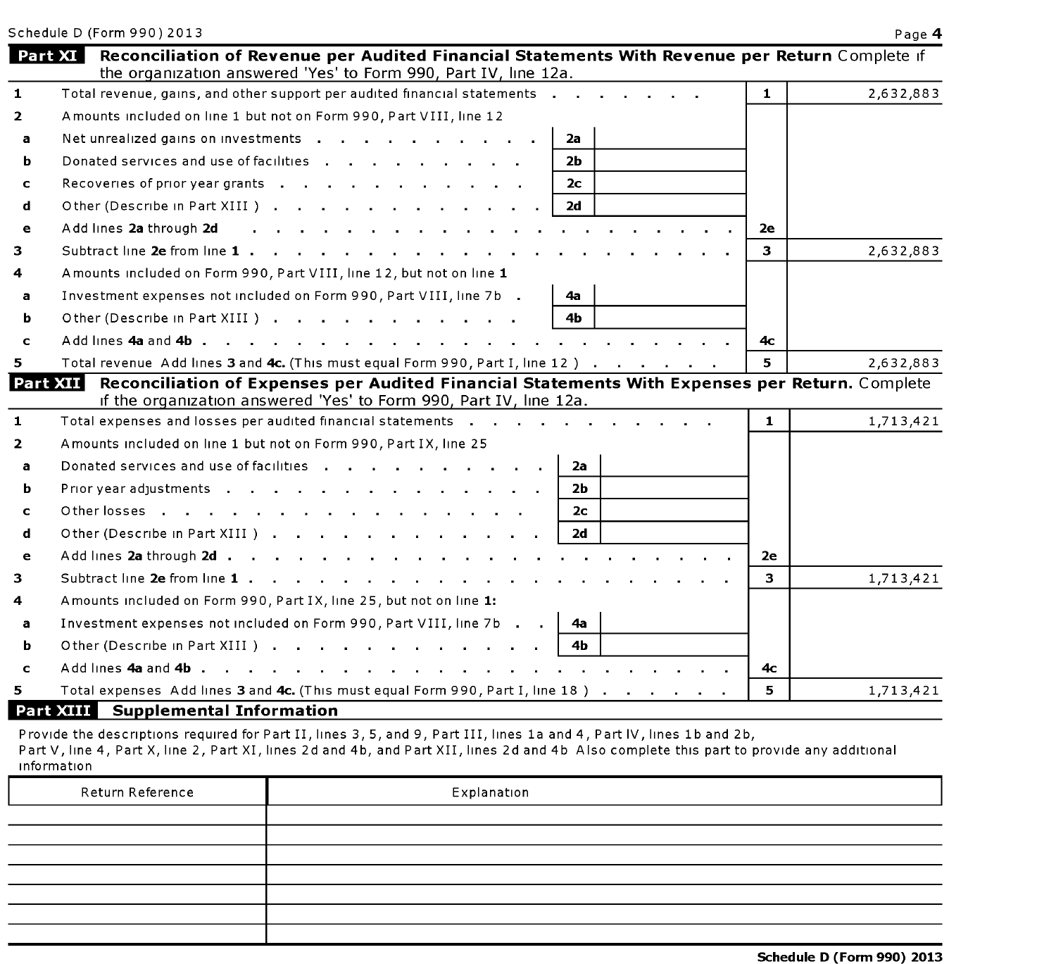Schedule D<br>| Part XI<br>| **Reconciliation of Revenue per Audited Financial Statements With Revenue per Return** Complete if the organization answered 'Yes' to Form 990, Part IV, line 12a. Total revenue, gains, and other support per audited financial statements  $\ldots$ , . . . .  $\ldots$  1 1 2,632,883  $\mathbf{1}$ 2 Amounts included on line 1 but not on Form 990, Part VIII, line 12 **a** Net unrealized gains on investments  $\cdot$  .  $\cdot$  .  $\cdot$  .  $\cdot$  . . . . . . . 2a **b** Donated services and use of facilities  $\cdot \cdot \cdot \cdot$  . . . . . . . . 2b c Recoveries of prior year grants . . . . . . . . . . . . 2c d Other (Describe in Part XIII )  $\cdots$  . . . . . . . . . . . 2d e Add |Ines 2a through 2d . . . . . . . . . . . . . . . . . . . . . 2e 3 Subtract |Ine 2e from |Ine <sup>1</sup> . . . . . . . . . . . . . . . . . . . . . 3 2,632,883 4 Amounts included on Form 990, Part VIII, line 12, but not on line 1 Investment expenses not included on Form 990, Part VIII, line 7b  $\,$   $\,$   $\,$   $\,$   $\,$   $\,$  4a  $\,$  $\mathbf{a}$ Other (Describe in Part XIII) . . . . . . . . . . . | 4b b c AddlInes4aand4b. . . . . . . . . . . . . . . . . . . . . . . 4c Total revenue Add lines 3 and 4c. (This must equal Form 990, Part I, line 12) . . . . . .  $\vert$  5  $\vert$  2.632.883 5 Tota<br>Part XII Reconciliation of Expenses per Audited Financial Statements With Expenses per Return. Complete If the organization answered 'Yes' to Form 990, Part IV, line 12a. Total expenses and losses per audited financial statements  $\ldots$  . . . . . . . . . . . . 1 1,713,421  $\mathbf{1}$ 2 Amounts included on line 1 but not on Form 990, Part IX, line 25 a Donated serVIces and use offaCIIItIes . . . . . . . . . . 2a **b** Prior year adjustments . . . . . . . . . . . . . . . 2b c Otherlosses . . . . . . . . . . . . . . . 2c d Other (Describe in Part XIII )  $\cdots$  . . . . . . . . . . . . 2d e Add |Ines 2a through 2d . . . . . . . . . . . . . . . . . . . . . . 2e 3 Subtract |Ine 2e from |Ine <sup>1</sup> . . . . . . . . . . . . . . . . . . . . . 3 1,713,421 4 Amounts included on Form 990, Part IX, line 25, but not on line 1: Investment expenses not included on Form 990, Part VIII, line 7b  $\blacksquare$ . a Other (Describe in Part XIII )  $\cdots$  . . . . . . . . . . . 4b b Other (<br>c Add lin<br>5 Total e<br>**Part XIII** c AddlInes4aand4b. . . . . . . . . . . . . . . . . . . . . . . 4c Total expenses Add lines 3 and 4c. (This must equal Form 990, Part I, line 18) . . . . . .  $\vert 5 \vert$  5  $\vert$  1,713,421

Schedule D (Form 990) 2013 Page 4

#### Supplemental Information

Provide the descriptions required for Part II, lines 3, 5, and 9, Part III, lines 1a and 4, Part IV, lines 1b and 2b, Part V, line 4, Part X, line 2, Part XI, lines 2d and 4b, and Part XII, lines 2d and 4b Also complete this part to provide any additional InformatIon

| Return Reference | Explanation |
|------------------|-------------|
|                  |             |
|                  |             |
|                  |             |
|                  |             |
|                  |             |
|                  |             |
|                  |             |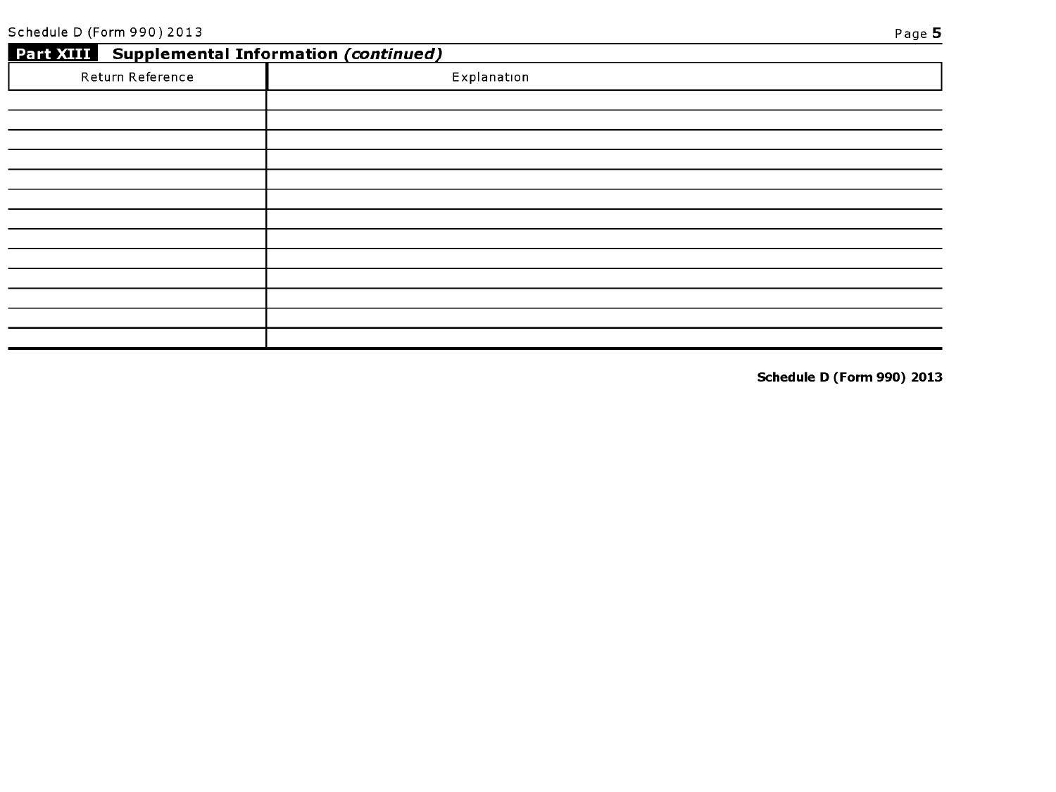|                  | Part XIII Supplemental Information (continued) |  |  |  |  |  |
|------------------|------------------------------------------------|--|--|--|--|--|
| Return Reference | Explanation                                    |  |  |  |  |  |
|                  |                                                |  |  |  |  |  |
|                  |                                                |  |  |  |  |  |
|                  |                                                |  |  |  |  |  |
|                  |                                                |  |  |  |  |  |
|                  |                                                |  |  |  |  |  |
|                  |                                                |  |  |  |  |  |
|                  |                                                |  |  |  |  |  |
|                  |                                                |  |  |  |  |  |
|                  |                                                |  |  |  |  |  |
|                  |                                                |  |  |  |  |  |
|                  |                                                |  |  |  |  |  |
|                  |                                                |  |  |  |  |  |
|                  |                                                |  |  |  |  |  |

Schedule D (Form 990) 2013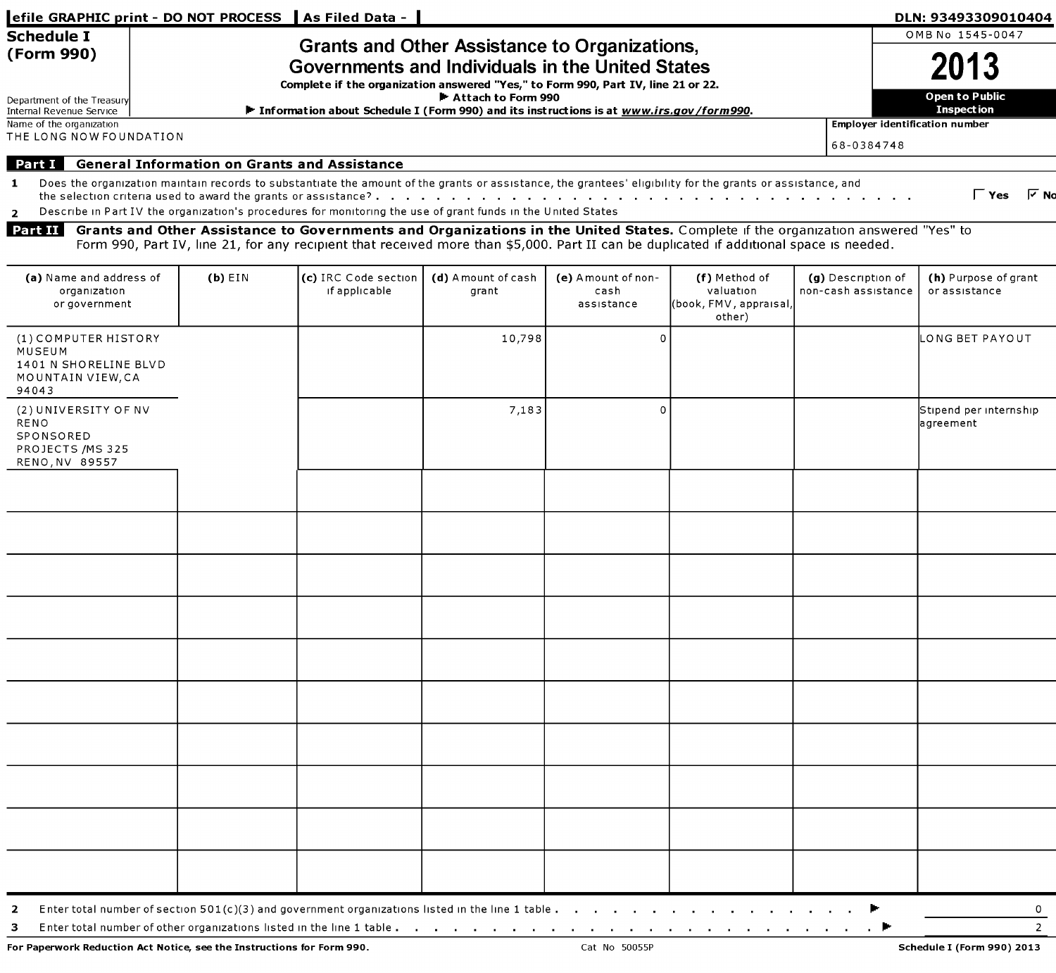|                                                                                       |                                                                                                                                                                                                                                                                                                                  |           | efile GRAPHIC print - DO NOT PROCESS   As Filed Data -                                                                                                                                                                                                                                                                                                                                                                                                                                                                                                                                                            |                             |                                          |                                                               |  |                                           | DLN: 93493309010404<br>OMB No 1545-0047            |
|---------------------------------------------------------------------------------------|------------------------------------------------------------------------------------------------------------------------------------------------------------------------------------------------------------------------------------------------------------------------------------------------------------------|-----------|-------------------------------------------------------------------------------------------------------------------------------------------------------------------------------------------------------------------------------------------------------------------------------------------------------------------------------------------------------------------------------------------------------------------------------------------------------------------------------------------------------------------------------------------------------------------------------------------------------------------|-----------------------------|------------------------------------------|---------------------------------------------------------------|--|-------------------------------------------|----------------------------------------------------|
| <b>Schedule I</b><br>(Form 990)<br>Department of the Treasury                         | <b>Grants and Other Assistance to Organizations,</b><br>Governments and Individuals in the United States<br>Complete if the organization answered "Yes," to Form 990, Part IV, line 21 or 22.<br>▶ Attach to Form 990<br>Information about Schedule I (Form 990) and its instructions is at www.irs.gov/form990. |           |                                                                                                                                                                                                                                                                                                                                                                                                                                                                                                                                                                                                                   |                             |                                          |                                                               |  |                                           | 2013<br><b>Open to Public</b><br><b>Inspection</b> |
| Internal Revenue Service<br>Name of the organization                                  |                                                                                                                                                                                                                                                                                                                  |           |                                                                                                                                                                                                                                                                                                                                                                                                                                                                                                                                                                                                                   |                             |                                          |                                                               |  |                                           | <b>Employer identification number</b>              |
| THE LONG NOW FOUNDATION                                                               |                                                                                                                                                                                                                                                                                                                  |           |                                                                                                                                                                                                                                                                                                                                                                                                                                                                                                                                                                                                                   |                             |                                          |                                                               |  | 68-0384748                                |                                                    |
| Part I<br>$\mathbf{1}$<br>$\overline{2}$<br>Part II                                   |                                                                                                                                                                                                                                                                                                                  |           | <b>General Information on Grants and Assistance</b><br>Does the organization maintain records to substantiate the amount of the grants or assistance, the grantees' eligibility for the grants or assistance, and<br>Describe in Part IV the organization's procedures for monitoring the use of grant funds in the United States<br>Grants and Other Assistance to Governments and Organizations in the United States. Complete if the organization answered "Yes" to<br>Form 990, Part IV, line 21, for any recipient that received more than \$5,000. Part II can be duplicated if additional space is needed. |                             |                                          |                                                               |  |                                           | $\Gamma$ Yes $\Gamma$ No                           |
| (a) Name and address of<br>organization<br>or government                              |                                                                                                                                                                                                                                                                                                                  | $(b)$ EIN | (c) IRC Code section<br>if applicable                                                                                                                                                                                                                                                                                                                                                                                                                                                                                                                                                                             | (d) Amount of cash<br>grant | (e) Amount of non-<br>cash<br>assistance | (f) Method of<br>valuation<br>(book, FMV, appraisal<br>other) |  | (g) Description of<br>non-cash assistance | (h) Purpose of grant<br>or assistance              |
| (1) COMPUTER HISTORY<br>MUSEUM<br>1401 N SHORELINE BLVD<br>MOUNTAIN VIEW, CA<br>94043 |                                                                                                                                                                                                                                                                                                                  |           |                                                                                                                                                                                                                                                                                                                                                                                                                                                                                                                                                                                                                   | 10,798                      | -0                                       |                                                               |  |                                           | LONG BET PAYOUT                                    |
| (2) UNIVERSITY OF NV<br>RENO<br>SPONSORED<br>PROJECTS / MS 325<br>RENO, NV 89557      |                                                                                                                                                                                                                                                                                                                  |           |                                                                                                                                                                                                                                                                                                                                                                                                                                                                                                                                                                                                                   | 7,183                       | -0                                       |                                                               |  |                                           | Stipend per internship<br>agreement                |
|                                                                                       |                                                                                                                                                                                                                                                                                                                  |           |                                                                                                                                                                                                                                                                                                                                                                                                                                                                                                                                                                                                                   |                             |                                          |                                                               |  |                                           |                                                    |
|                                                                                       |                                                                                                                                                                                                                                                                                                                  |           |                                                                                                                                                                                                                                                                                                                                                                                                                                                                                                                                                                                                                   |                             |                                          |                                                               |  |                                           |                                                    |
|                                                                                       |                                                                                                                                                                                                                                                                                                                  |           |                                                                                                                                                                                                                                                                                                                                                                                                                                                                                                                                                                                                                   |                             |                                          |                                                               |  |                                           |                                                    |
|                                                                                       |                                                                                                                                                                                                                                                                                                                  |           |                                                                                                                                                                                                                                                                                                                                                                                                                                                                                                                                                                                                                   |                             |                                          |                                                               |  |                                           |                                                    |
|                                                                                       |                                                                                                                                                                                                                                                                                                                  |           |                                                                                                                                                                                                                                                                                                                                                                                                                                                                                                                                                                                                                   |                             |                                          |                                                               |  |                                           |                                                    |
|                                                                                       |                                                                                                                                                                                                                                                                                                                  |           |                                                                                                                                                                                                                                                                                                                                                                                                                                                                                                                                                                                                                   |                             |                                          |                                                               |  |                                           |                                                    |
|                                                                                       |                                                                                                                                                                                                                                                                                                                  |           |                                                                                                                                                                                                                                                                                                                                                                                                                                                                                                                                                                                                                   |                             |                                          |                                                               |  |                                           |                                                    |
|                                                                                       |                                                                                                                                                                                                                                                                                                                  |           |                                                                                                                                                                                                                                                                                                                                                                                                                                                                                                                                                                                                                   |                             |                                          |                                                               |  |                                           |                                                    |
|                                                                                       |                                                                                                                                                                                                                                                                                                                  |           |                                                                                                                                                                                                                                                                                                                                                                                                                                                                                                                                                                                                                   |                             |                                          |                                                               |  |                                           |                                                    |
|                                                                                       |                                                                                                                                                                                                                                                                                                                  |           |                                                                                                                                                                                                                                                                                                                                                                                                                                                                                                                                                                                                                   |                             |                                          |                                                               |  |                                           |                                                    |
| $\mathbf{2}$<br>з                                                                     |                                                                                                                                                                                                                                                                                                                  |           | Enter total number of section $501(c)(3)$ and government organizations listed in the line 1 table $\ldots$ , $\ldots$ , $\ldots$ , $\ldots$ , $\ldots$                                                                                                                                                                                                                                                                                                                                                                                                                                                            |                             |                                          |                                                               |  |                                           | $\mathbf{0}$<br>$\overline{2}$                     |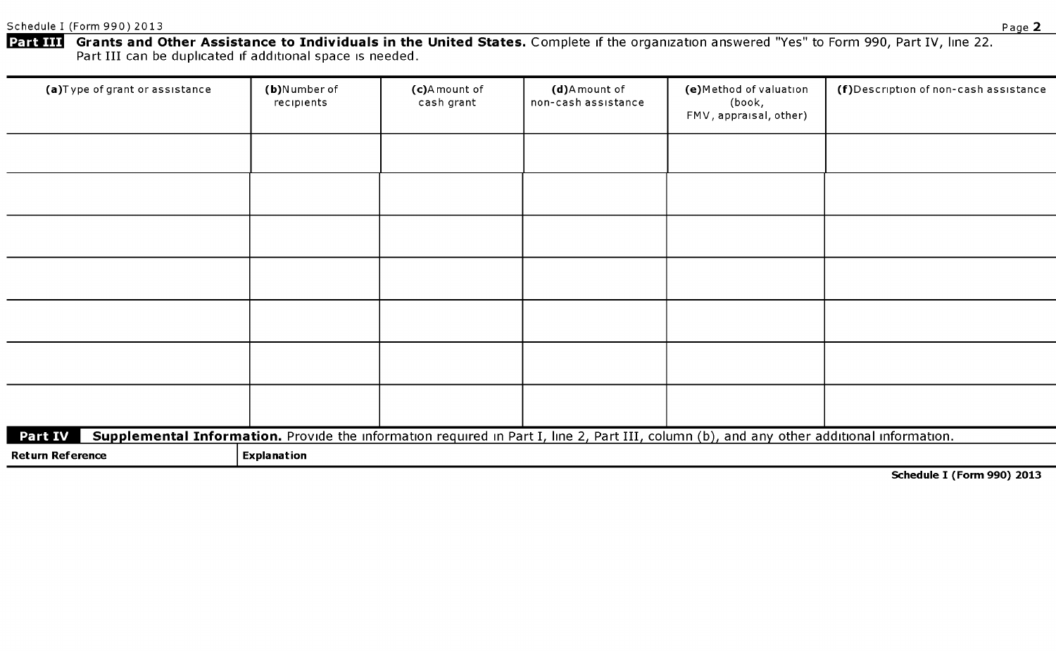Schedule I (Form 990) 2013 Page 2

Schedule I<br>Part III Gr<mark>ants and Other Assistance to Individuals in the United States.</mark> Complete if the organization answered "Yes" to Form 990, Part IV, line 22. Part III can be duplicated if additional space is needed.

| (a)Type of grant or assistance | (b)Number of<br>recipients | (c)A mount of<br>cash grant | (d)Amount of<br>non-cash assistance | (e)Method of valuation<br>(book,<br>FMV, appraisal, other)                                                                                | (f)Description of non-cash assistance |
|--------------------------------|----------------------------|-----------------------------|-------------------------------------|-------------------------------------------------------------------------------------------------------------------------------------------|---------------------------------------|
|                                |                            |                             |                                     |                                                                                                                                           |                                       |
|                                |                            |                             |                                     |                                                                                                                                           |                                       |
|                                |                            |                             |                                     |                                                                                                                                           |                                       |
|                                |                            |                             |                                     |                                                                                                                                           |                                       |
|                                |                            |                             |                                     |                                                                                                                                           |                                       |
|                                |                            |                             |                                     |                                                                                                                                           |                                       |
|                                |                            |                             |                                     |                                                                                                                                           |                                       |
| <b>Part IV</b>                 |                            |                             |                                     | Supplemental Information. Provide the information required in Part I, line 2, Part III, column (b), and any other additional information. |                                       |
| <b>Return Reference</b>        | <b>Explanation</b>         |                             |                                     |                                                                                                                                           |                                       |

Schedule I (Form 990) 2013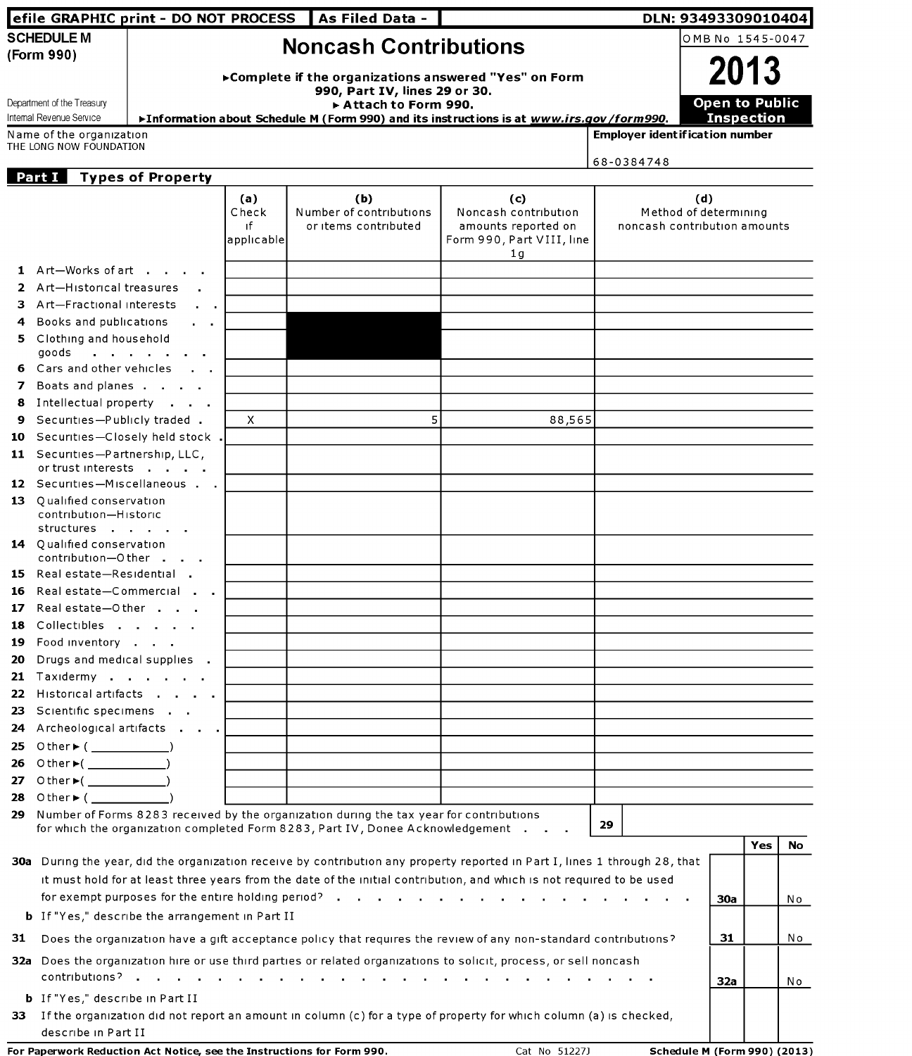|             |                                                                  | efile GRAPHIC print - DO NOT PROCESS                   |              | As Filed Data -                                                                                                                                                              |                                                  |                                       | DLN: 93493309010404          |     |           |
|-------------|------------------------------------------------------------------|--------------------------------------------------------|--------------|------------------------------------------------------------------------------------------------------------------------------------------------------------------------------|--------------------------------------------------|---------------------------------------|------------------------------|-----|-----------|
|             | <b>SCHEDULE M</b>                                                |                                                        |              |                                                                                                                                                                              |                                                  |                                       | OMB No 1545-0047             |     |           |
|             | (Form 990)                                                       | <b>Noncash Contributions</b><br>2013                   |              |                                                                                                                                                                              |                                                  |                                       |                              |     |           |
|             |                                                                  | ► Complete if the organizations answered "Yes" on Form |              |                                                                                                                                                                              |                                                  |                                       |                              |     |           |
|             | Department of the Treasury                                       |                                                        |              | 990, Part IV, lines 29 or 30.                                                                                                                                                |                                                  |                                       | <b>Open to Public</b>        |     |           |
|             | Internal Revenue Service                                         |                                                        |              | Attach to Form 990.<br>►Information about Schedule M (Form 990) and its instructions is at www.irs.gov/form990.                                                              |                                                  |                                       | <b>Inspection</b>            |     |           |
|             | Name of the organization                                         |                                                        |              |                                                                                                                                                                              |                                                  | <b>Employer identification number</b> |                              |     |           |
|             | THE LONG NOW FOUNDATION                                          |                                                        |              |                                                                                                                                                                              |                                                  | 68-0384748                            |                              |     |           |
|             | Part I                                                           | <b>Types of Property</b>                               |              |                                                                                                                                                                              |                                                  |                                       |                              |     |           |
|             |                                                                  |                                                        | (a)          | (b)                                                                                                                                                                          | (c)                                              |                                       | (d)                          |     |           |
|             |                                                                  |                                                        | Check        | Number of contributions                                                                                                                                                      | Noncash contribution                             |                                       | Method of determining        |     |           |
|             |                                                                  |                                                        | ıf           | or items contributed                                                                                                                                                         | amounts reported on<br>Form 990, Part VIII, line |                                       | noncash contribution amounts |     |           |
|             |                                                                  |                                                        | applicable   |                                                                                                                                                                              | 1 <sub>q</sub>                                   |                                       |                              |     |           |
|             | 1 Art-Works of art                                               |                                                        |              |                                                                                                                                                                              |                                                  |                                       |                              |     |           |
| 2           | Art-Historical treasures                                         |                                                        |              |                                                                                                                                                                              |                                                  |                                       |                              |     |           |
| 3           | Art-Fractional interests                                         |                                                        |              |                                                                                                                                                                              |                                                  |                                       |                              |     |           |
|             | Books and publications                                           | $\mathbf{r} = \mathbf{r} \cdot \mathbf{r}$             |              |                                                                                                                                                                              |                                                  |                                       |                              |     |           |
| 5.          | Clothing and household<br>goods                                  | the contract of the contract of                        |              |                                                                                                                                                                              |                                                  |                                       |                              |     |           |
| 6.          | Cars and other vehicles                                          |                                                        |              |                                                                                                                                                                              |                                                  |                                       |                              |     |           |
| 7           | Boats and planes                                                 |                                                        |              |                                                                                                                                                                              |                                                  |                                       |                              |     |           |
| 8           | Intellectual property                                            |                                                        |              |                                                                                                                                                                              |                                                  |                                       |                              |     |           |
| 9           | Securities-Publicly traded .                                     |                                                        | $\mathsf{X}$ | 5                                                                                                                                                                            | 88,565                                           |                                       |                              |     |           |
| 10.         | Securities—Closely held stock                                    |                                                        |              |                                                                                                                                                                              |                                                  |                                       |                              |     |           |
|             | 11 Securities-Partnership, LLC,<br>or trust interests            |                                                        |              |                                                                                                                                                                              |                                                  |                                       |                              |     |           |
|             | 12 Securities-Miscellaneous                                      |                                                        |              |                                                                                                                                                                              |                                                  |                                       |                              |     |           |
|             | 13 Qualified conservation<br>contribution-Historic<br>structures |                                                        |              |                                                                                                                                                                              |                                                  |                                       |                              |     |           |
|             | 14 Qualified conservation<br>contribution-Other                  |                                                        |              |                                                                                                                                                                              |                                                  |                                       |                              |     |           |
|             | 15 Real estate-Residential.                                      |                                                        |              |                                                                                                                                                                              |                                                  |                                       |                              |     |           |
| 16          | Real estate-Commercial                                           |                                                        |              |                                                                                                                                                                              |                                                  |                                       |                              |     |           |
|             | 17 Real estate-Other                                             |                                                        |              |                                                                                                                                                                              |                                                  |                                       |                              |     |           |
| 18.         | Collectibles                                                     |                                                        |              |                                                                                                                                                                              |                                                  |                                       |                              |     |           |
| 19.<br>20 - | Food inventory<br>Drugs and medical supplies.                    |                                                        |              |                                                                                                                                                                              |                                                  |                                       |                              |     |           |
|             | 21 Taxidermy                                                     |                                                        |              |                                                                                                                                                                              |                                                  |                                       |                              |     |           |
|             | 22 Historical artifacts                                          |                                                        |              |                                                                                                                                                                              |                                                  |                                       |                              |     |           |
|             | 23 Scientific specimens                                          |                                                        |              |                                                                                                                                                                              |                                                  |                                       |                              |     |           |
|             |                                                                  | 24 Archeological artifacts                             |              |                                                                                                                                                                              |                                                  |                                       |                              |     |           |
| 25          | O ther ► ( _______)                                              |                                                        |              |                                                                                                                                                                              |                                                  |                                       |                              |     |           |
| 26          | O ther ► ( ________________)                                     |                                                        |              |                                                                                                                                                                              |                                                  |                                       |                              |     |           |
|             | 27 Other $*($                                                    |                                                        |              |                                                                                                                                                                              |                                                  |                                       |                              |     |           |
|             | 28 Other $($                                                     |                                                        |              |                                                                                                                                                                              |                                                  |                                       |                              |     |           |
|             |                                                                  |                                                        |              | 29 Number of Forms 8283 received by the organization during the tax year for contributions<br>for which the organization completed Form 8283, Part IV, Donee Acknowledgement |                                                  | 29                                    |                              |     |           |
|             |                                                                  |                                                        |              |                                                                                                                                                                              |                                                  |                                       |                              | Yes | <b>No</b> |
|             |                                                                  |                                                        |              | 30a During the year, did the organization receive by contribution any property reported in Part I, lines 1 through 28, that                                                  |                                                  |                                       |                              |     |           |
|             |                                                                  |                                                        |              | it must hold for at least three years from the date of the initial contribution, and which is not required to be used                                                        |                                                  |                                       |                              |     |           |
|             |                                                                  |                                                        |              |                                                                                                                                                                              |                                                  |                                       | <b>30a</b>                   |     | No        |
|             |                                                                  | <b>b</b> If "Yes," describe the arrangement in Part II |              |                                                                                                                                                                              |                                                  |                                       |                              |     |           |
| 31          |                                                                  |                                                        |              | Does the organization have a gift acceptance policy that requires the review of any non-standard contributions?                                                              |                                                  |                                       | 31                           |     | No        |
|             |                                                                  |                                                        |              |                                                                                                                                                                              |                                                  |                                       |                              |     |           |
|             |                                                                  |                                                        |              | 32a Does the organization hire or use third parties or related organizations to solicit, process, or sell noncash                                                            |                                                  |                                       |                              |     |           |
|             |                                                                  |                                                        |              |                                                                                                                                                                              |                                                  |                                       | 32a                          |     | No.       |
| 33.         | <b>b</b> If "Yes," describe in Part II                           |                                                        |              | If the organization did not report an amount in column (c) for a type of property for which column (a) is checked,                                                           |                                                  |                                       |                              |     |           |
|             | describe in Part II                                              |                                                        |              |                                                                                                                                                                              |                                                  |                                       |                              |     |           |

For Paperwork Reduction Act Notice, see the Instructions for Form 990. Cat No 51227] Schedule M (Form 990) (2013)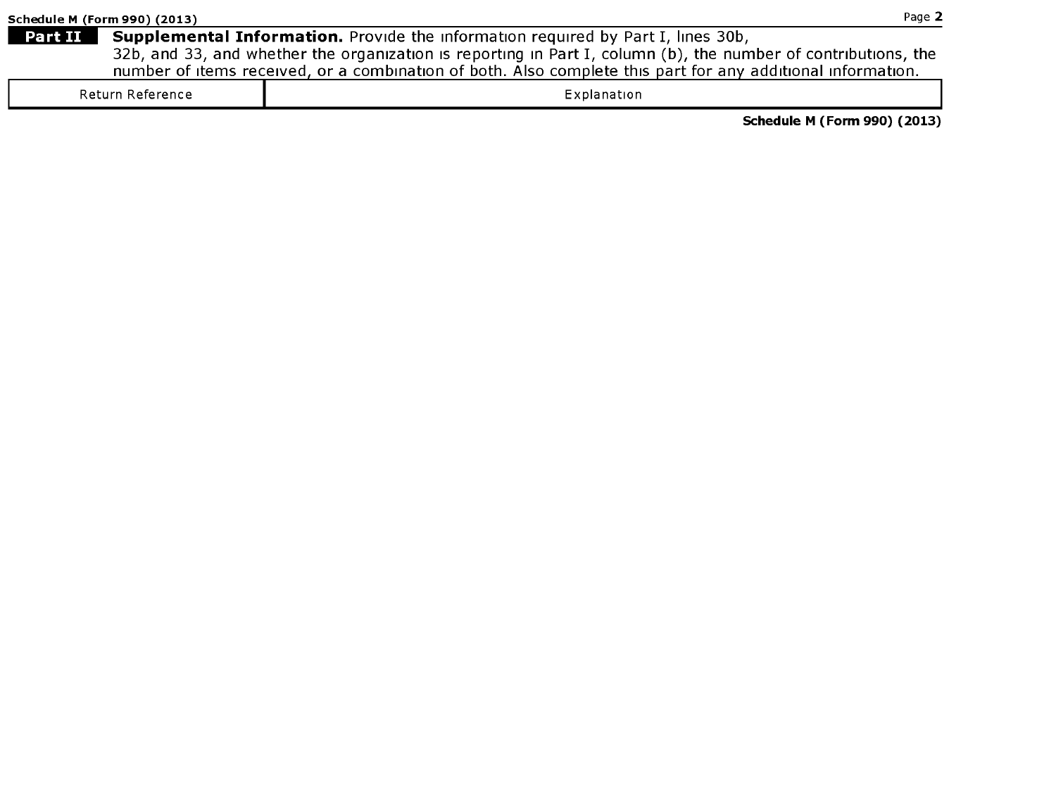Schedule <sup>M</sup> (Form 990) (2013)